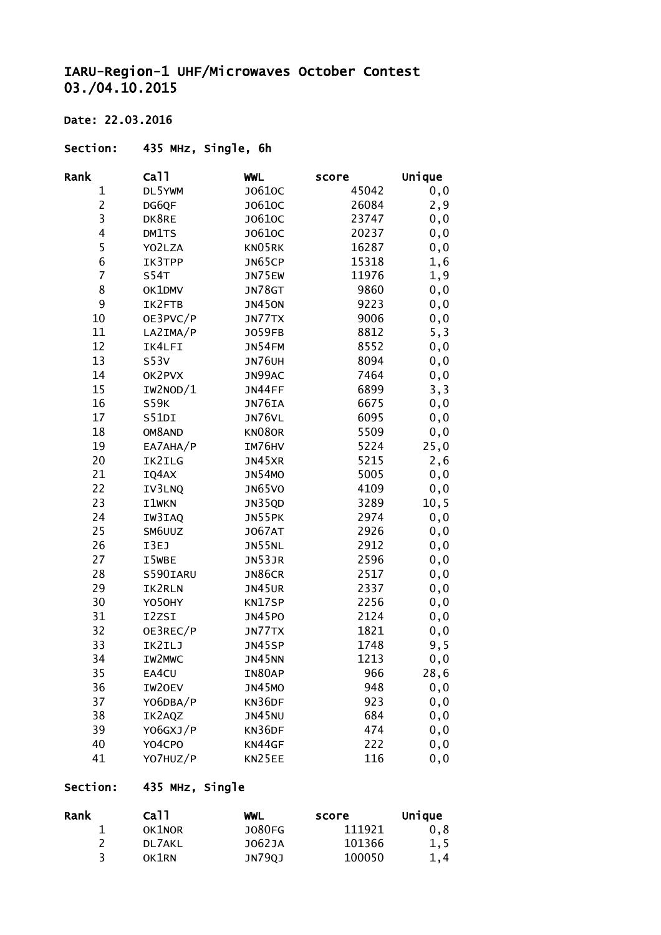## IARU-Region-1 UHF/Microwaves October Contest 03./04.10.2015

### Date: 22.03.2016

#### Section: 435 MHz, Single, 6h

| Rank           | Ca11        | <b>WWL</b>    | score | Unique |
|----------------|-------------|---------------|-------|--------|
| 1              | DL5YWM      | J0610C        | 45042 | 0, 0   |
| $\overline{c}$ | DG6QF       | J0610C        | 26084 | 2,9    |
| 3              | DK8RE       | J0610C        | 23747 | 0, 0   |
| 4              | DM1TS       | J0610C        | 20237 | 0, 0   |
| 5              | YO2LZA      | KN05RK        | 16287 | 0, 0   |
| 6              | IK3TPP      | JN65CP        | 15318 | 1,6    |
| $\overline{7}$ | <b>S54T</b> | JN75EW        | 11976 | 1,9    |
| 8              | OK1DMV      | JN78GT        | 9860  | 0, 0   |
| 9              | IK2FTB      | <b>JN450N</b> | 9223  | 0, 0   |
| $10\,$         | OE3PVC/P    | JN77TX        | 9006  | 0, 0   |
| 11             | LA2IMA/P    | J059FB        | 8812  | 5, 3   |
| 12             | IK4LFI      | <b>JN54FM</b> | 8552  | 0, 0   |
| 13             | S53V        | <b>JN76UH</b> | 8094  | 0, 0   |
| 14             | OK2PVX      | JN99AC        | 7464  | 0, 0   |
| 15             | IW2NOD/1    | JN44FF        | 6899  | 3, 3   |
| 16             | <b>S59K</b> | JN76IA        | 6675  | 0, 0   |
| 17             | S51DI       | JN76VL        | 6095  | 0, 0   |
| 18             | OM8AND      | KN08OR        | 5509  | 0, 0   |
| 19             | EA7AHA/P    | IM76HV        | 5224  | 25,0   |
| 20             | IK2ILG      | JN45XR        | 5215  | 2,6    |
| 21             | IQ4AX       | <b>JN54MO</b> | 5005  | 0, 0   |
| 22             | IV3LNQ      | <b>JN65VO</b> | 4109  | 0, 0   |
| 23             | I1wKN       | JN35QD        | 3289  | 10, 5  |
| 24             | IW3IAQ      | JN55PK        | 2974  | 0, 0   |
| 25             | SM6UUZ      | <b>JO67AT</b> | 2926  | 0, 0   |
| 26             | I3EJ        | JN55NL        | 2912  | 0, 0   |
| 27             | I5WBE       | JN53JR        | 2596  | 0, 0   |
| 28             | S590IARU    | JN86CR        | 2517  | 0, 0   |
| 29             | IK2RLN      | <b>JN45UR</b> | 2337  | 0,0    |
| 30             | Y050HY      | KN17SP        | 2256  | 0, 0   |
| 31             | I2ZSI       | <b>JN45PO</b> | 2124  | 0, 0   |
| 32             | OE3REC/P    | JN77TX        | 1821  | 0,0    |
| 33             | IK2ILJ      | JN45SP        | 1748  | 9,5    |
| 34             | IW2MWC      | <b>JN45NN</b> | 1213  | 0, 0   |
| 35             | EA4CU       | IN80AP        | 966   | 28,6   |
| 36             | IW20EV      | <b>JN45MO</b> | 948   | 0, 0   |
| 37             | YO6DBA/P    | KN36DF        | 923   | 0,0    |
| 38             | IK2AQZ      | <b>JN45NU</b> | 684   | 0, 0   |
| 39             | Y06GXJ/P    | KN36DF        | 474   | 0, 0   |
| 40             | Y04CPO      | KN44GF        | 222   | 0, 0   |
| 41             | YO7HUZ/P    | KN25EE        | 116   | 0, 0   |

## Section: 435 MHz, Single

| Rank | Ca <sub>11</sub> | WWL    | score  | Unique |
|------|------------------|--------|--------|--------|
|      | OK1NOR           | J080FG | 111921 | 0.8    |
|      | DL 7AKL          | J062JA | 101366 | 1,5    |
|      | OK1RN            | JN790J | 100050 | 1.4    |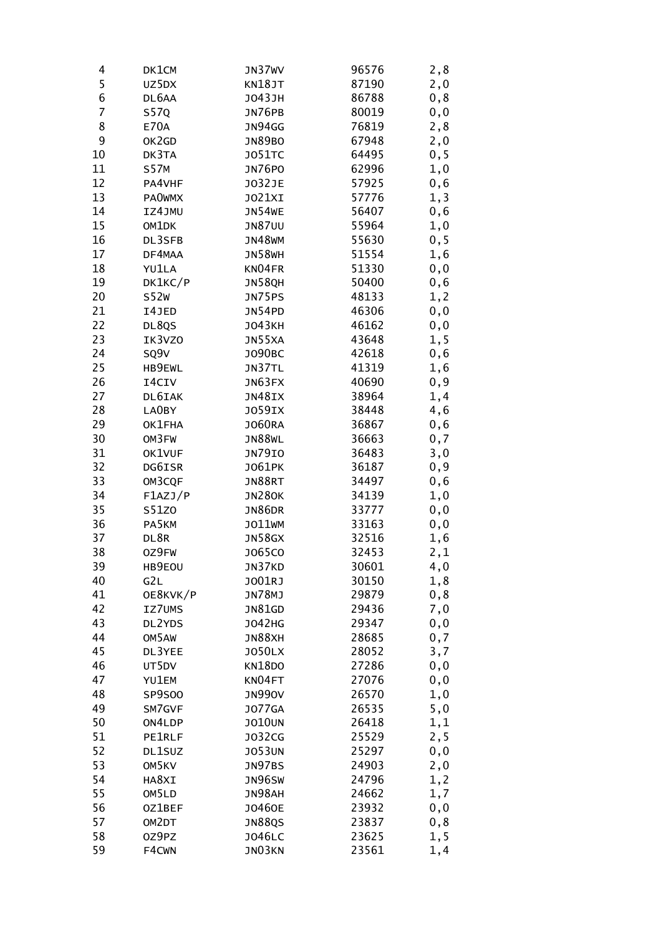| 4              | DK1CM         | JN37WV        | 96576 | 2,8  |
|----------------|---------------|---------------|-------|------|
| 5              | UZ5DX         | KN18JT        | 87190 | 2,0  |
| 6              | DL6AA         | J043JH        | 86788 | 0,8  |
| $\overline{7}$ | <b>S57Q</b>   | JN76PB        | 80019 | 0, 0 |
| 8              | E70A          | <b>JN94GG</b> | 76819 | 2,8  |
| 9              | OK2GD         | <b>JN89BO</b> | 67948 | 2,0  |
| 10             | DK3TA         | <b>JO51TC</b> | 64495 | 0, 5 |
| 11             | <b>S57M</b>   | <b>JN76PO</b> | 62996 | 1,0  |
| 12             | PA4VHF        | J032JE        | 57925 | 0,6  |
| 13             | <b>PAOWMX</b> | J021XI        | 57776 | 1,3  |
| 14             | IZ4JMU        | <b>JN54WE</b> | 56407 | 0, 6 |
| 15             | OM1DK         | <b>JN87UU</b> | 55964 | 1,0  |
| 16             | DL3SFB        | <b>JN48WM</b> | 55630 | 0, 5 |
| 17             | DF4MAA        | <b>JN58WH</b> | 51554 | 1,6  |
| 18             | YU1LA         | KN04FR        | 51330 | 0, 0 |
| 19             | DK1KC/P       | <b>JN58QH</b> | 50400 | 0,6  |
| 20             | S52w          | JN75PS        | 48133 | 1, 2 |
| 21             | I4JED         | JN54PD        | 46306 | 0, 0 |
| 22             | DL8QS         | <b>JO43KH</b> | 46162 | 0, 0 |
| 23             | IK3VZ0        | JN55XA        | 43648 | 1,5  |
| 24             | SQ9V          | J090BC        | 42618 | 0,6  |
| 25             | HB9EWL        | JN37TL        | 41319 | 1,6  |
| 26             | I4CIV         | JN63FX        | 40690 | 0, 9 |
| 27             | DL6IAK        | JN48IX        | 38964 | 1,4  |
| 28             | LA0BY         | <b>JO59IX</b> | 38448 | 4,6  |
| 29             | OK1FHA        | <b>JO60RA</b> | 36867 | 0, 6 |
| 30             | OM3FW         | <b>JN88WL</b> | 36663 | 0,7  |
| 31             | OK1VUF        | <b>JN79IO</b> | 36483 | 3,0  |
| 32             | DG6ISR        | J061PK        | 36187 | 0, 9 |
| 33             | OM3CQF        | JN88RT        | 34497 | 0,6  |
| 34             | F1AZJ/P       | <b>JN280K</b> | 34139 | 1,0  |
| 35             | S51Z0         | JN86DR        | 33777 | 0, 0 |
| 36             | PA5KM         | J011WM        | 33163 | 0,0  |
| 37             | DL8R          | <b>JN58GX</b> | 32516 | 1,6  |
| 38             | 0Z9FW         | J065C0        | 32453 | 2,1  |
| 39             | HB9EOU        | JN37KD        | 30601 | 4,0  |
| 40             | G2L           | J001RJ        | 30150 | 1,8  |
| 41             | OE8KVK/P      | JN78MJ        | 29879 | 0,8  |
| 42             | IZ7UMS        | <b>JN81GD</b> | 29436 | 7,0  |
| 43             | DL2YDS        | <b>JO42HG</b> | 29347 | 0, 0 |
| 44             | OM5AW         | JN88XH        | 28685 | 0,7  |
| 45             | DL3YEE        | <b>JO50LX</b> | 28052 | 3,7  |
| 46             | UT5DV         | <b>KN18DO</b> | 27286 | 0, 0 |
| 47             | YU1EM         | KN04FT        | 27076 | 0, 0 |
| 48             | SP9S00        | <b>JN990V</b> | 26570 | 1,0  |
| 49             | SM7GVF        | <b>JO77GA</b> | 26535 | 5,0  |
| 50             | ON4LDP        | <b>JO10UN</b> | 26418 | 1,1  |
| 51             | PE1RLF        | J032CG        | 25529 | 2,5  |
| 52             | DL1SUZ        | <b>JO53UN</b> | 25297 | 0, 0 |
| 53             | OM5KV         | JN97BS        | 24903 | 2,0  |
| 54             | HA8XI         | JN96SW        | 24796 | 1, 2 |
| 55             | OM5LD         | JN98AH        | 24662 | 1,7  |
| 56             | 0Z1BEF        | J0460E        | 23932 | 0, 0 |
| 57             | OM2DT         | <b>JN88QS</b> | 23837 | 0,8  |
| 58             | OZ9PZ         | J046LC        | 23625 | 1,5  |
| 59             | F4CWN         | JN03KN        | 23561 | 1,4  |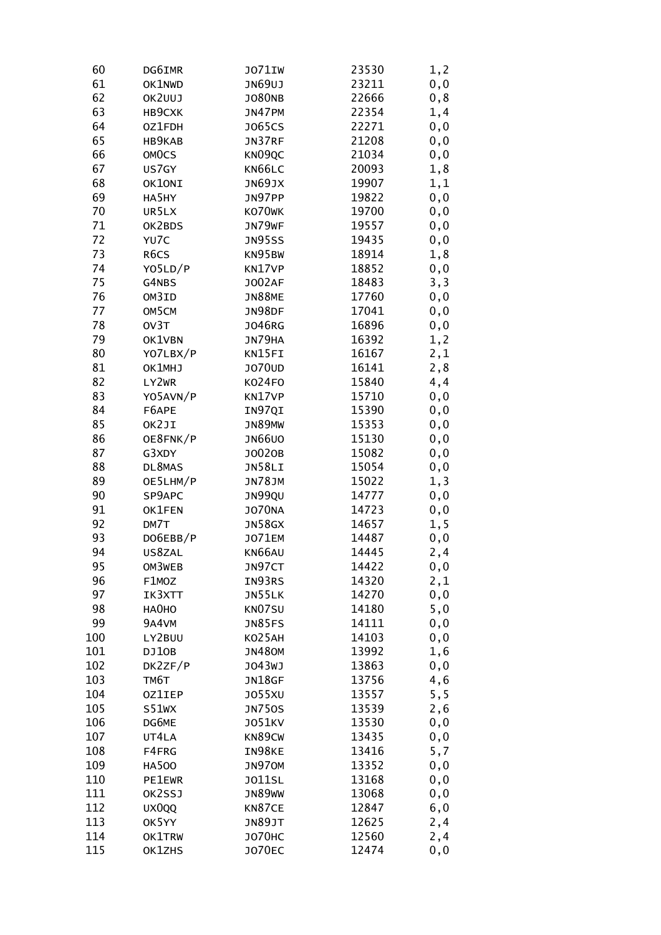| 60  | DG6IMR            | <b>JO71IW</b> | 23530 | 1, 2 |
|-----|-------------------|---------------|-------|------|
| 61  | OK1NWD            | JN69UJ        | 23211 | 0, 0 |
| 62  | OK2UUJ            | <b>JO80NB</b> | 22666 | 0, 8 |
| 63  | HB9CXK            | JN47PM        | 22354 | 1,4  |
| 64  | OZ1FDH            | J065CS        | 22271 | 0, 0 |
| 65  | HB9KAB            | JN37RF        | 21208 | 0, 0 |
| 66  | OMOCS             | KN09QC        | 21034 | 0,0  |
| 67  | US7GY             | KN66LC        | 20093 | 1,8  |
| 68  | OK10NI            | JN69JX        | 19907 | 1,1  |
| 69  | HA5HY             | JN97PP        | 19822 | 0, 0 |
| 70  | UR5LX             | KO70WK        | 19700 | 0, 0 |
| 71  | OK2BDS            | JN79WF        | 19557 | 0, 0 |
| 72  | YU7C              | <b>JN95SS</b> | 19435 | 0, 0 |
| 73  | R <sub>6</sub> CS | KN95BW        | 18914 | 1,8  |
| 74  | YO5LD/P           | KN17VP        | 18852 | 0, 0 |
| 75  | G4NBS             | <b>JO02AF</b> | 18483 | 3, 3 |
| 76  | OM3ID             | <b>JN88ME</b> | 17760 | 0, 0 |
| 77  | OM5CM             | JN98DF        | 17041 | 0, 0 |
| 78  | OV3T              | <b>JO46RG</b> | 16896 | 0, 0 |
| 79  | OK1VBN            | JN79HA        | 16392 | 1,2  |
| 80  | YO7LBX/P          | KN15FI        | 16167 | 2,1  |
| 81  | OK1MHJ            | <b>JO70UD</b> | 16141 | 2,8  |
| 82  | LY2WR             | KO24FO        | 15840 | 4,4  |
| 83  | YO5AVN/P          | KN17VP        | 15710 | 0,0  |
| 84  | F6APE             | IN97QI        | 15390 | 0, 0 |
| 85  | OK2JI             | JN89MW        | 15353 | 0, 0 |
| 86  | OE8FNK/P          | <b>JN66UO</b> | 15130 | 0, 0 |
| 87  | G3XDY             | J0020B        | 15082 | 0, 0 |
| 88  | DL8MAS            | JN58LI        | 15054 | 0, 0 |
| 89  | OE5LHM/P          | <b>JN78JM</b> | 15022 | 1, 3 |
| 90  | SP9APC            | JN99QU        | 14777 | 0,0  |
| 91  | OK1FEN            | <b>JO70NA</b> | 14723 | 0,0  |
| 92  | DM7T              | <b>JN58GX</b> | 14657 | 1,5  |
| 93  | DO6EBB/P          | <b>JO71EM</b> | 14487 | 0, 0 |
| 94  | US8ZAL            | KN66AU        | 14445 | 2,4  |
| 95  | OM3WEB            | JN97CT        | 14422 | 0, 0 |
| 96  | F1MOZ             | IN93RS        | 14320 | 2,1  |
| 97  | IK3XTT            | JN55LK        | 14270 | 0,0  |
| 98  | HA0HO             | KN07SU        | 14180 | 5,0  |
| 99  | 9A4VM             | <b>JN85FS</b> | 14111 | 0,0  |
| 100 | LY2BUU            | KO25AH        | 14103 | 0, 0 |
| 101 | DJ10B             | <b>JN480M</b> | 13992 | 1,6  |
| 102 | DK2ZF/P           | J043WJ        | 13863 | 0,0  |
| 103 | TM6T              | JN18GF        | 13756 | 4,6  |
| 104 | <b>OZ1IEP</b>     | <b>JO55XU</b> | 13557 | 5, 5 |
| 105 | S51WX             | <b>JN750S</b> | 13539 | 2,6  |
| 106 | DG6ME             | J051KV        | 13530 | 0, 0 |
| 107 | UT4LA             | KN89CW        | 13435 | 0, 0 |
| 108 | F4FRG             | IN98KE        | 13416 | 5,7  |
| 109 | <b>HA500</b>      | JN970M        | 13352 | 0, 0 |
| 110 | <b>PE1EWR</b>     | J011SL        | 13168 | 0, 0 |
| 111 | OK2SSJ            | <b>JN89WW</b> | 13068 | 0, 0 |
| 112 | UX0QQ             | KN87CE        | 12847 | 6,0  |
| 113 | OK5YY             | <b>JN89JT</b> | 12625 | 2,4  |
| 114 | OK1TRW            | <b>JO70HC</b> | 12560 | 2,4  |
| 115 | OK1ZHS            | <b>JO70EC</b> | 12474 | 0,0  |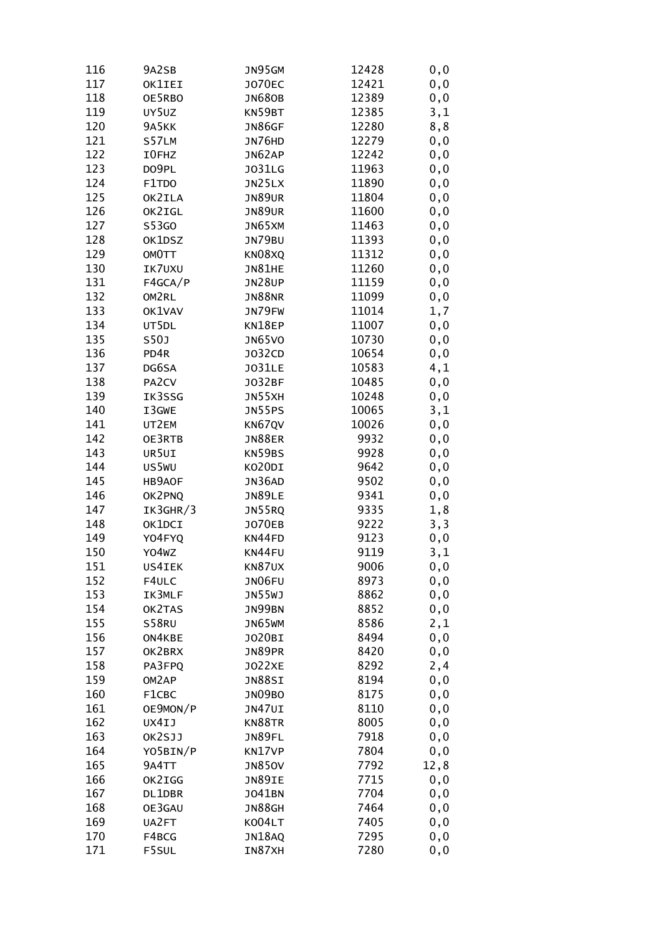| 116 | 9A2SB       | JN95GM        | 12428 | 0, 0        |
|-----|-------------|---------------|-------|-------------|
| 117 | OK1IEI      | <b>JO70EC</b> | 12421 | 0, 0        |
| 118 | OE5RBO      | <b>JN680B</b> | 12389 | 0,0         |
| 119 | UY5UZ       | KN59BT        | 12385 | 3,1         |
| 120 | 9A5KK       | <b>JN86GF</b> | 12280 | 8,8         |
| 121 | S57LM       | JN76HD        | 12279 | 0, 0        |
| 122 | I0FHZ       | JN62AP        | 12242 | 0,0         |
| 123 | DO9PL       | <b>JO31LG</b> | 11963 | 0,0         |
| 124 | F1TDO       | JN25LX        | 11890 | 0, 0        |
| 125 | OK2ILA      | <b>JN89UR</b> | 11804 |             |
|     |             |               |       | 0,0         |
| 126 | OK2IGL      | <b>JN89UR</b> | 11600 | 0, 0        |
| 127 | S53GO       | JN65XM        | 11463 | 0, 0        |
| 128 | OK1DSZ      | JN79BU        | 11393 | 0, 0        |
| 129 | OMOTT       | KN08XQ        | 11312 | 0, 0        |
| 130 | IK7UXU      | JN81HE        | 11260 | 0,0         |
| 131 | F4GCA/P     | <b>JN28UP</b> | 11159 | 0,0         |
| 132 | OM2RL       | <b>JN88NR</b> | 11099 | 0, 0        |
| 133 | OK1VAV      | JN79FW        | 11014 | 1,7         |
| 134 | UT5DL       | KN18EP        | 11007 | 0, 0        |
| 135 | <b>S50J</b> | <b>JN65VO</b> | 10730 | 0, 0        |
| 136 | PD4R        | J032CD        | 10654 | 0,0         |
| 137 | DG6SA       | <b>JO31LE</b> | 10583 | 4,1         |
| 138 | PA2CV       | J032BF        | 10485 | 0,0         |
| 139 | IK3SSG      | JN55XH        | 10248 | 0,0         |
| 140 | I3GWE       | JN55PS        | 10065 | 3,1         |
| 141 | UT2EM       | KN67QV        | 10026 | 0, 0        |
| 142 | OE3RTB      | <b>JN88ER</b> | 9932  | 0, 0        |
| 143 | UR5UI       | KN59BS        | 9928  | 0, 0        |
| 144 | US5WU       | KO20DI        | 9642  | 0, 0        |
| 145 | HB9AOF      | JN36AD        | 9502  | 0,0         |
| 146 | OK2PNQ      | JN89LE        | 9341  | 0,0         |
| 147 | IK3GHR/3    | JN55RQ        | 9335  | 1,8         |
| 148 | OK1DCI      | <b>JO70EB</b> | 9222  | 3, 3        |
| 149 | Y04FYQ      | KN44FD        | 9123  | 0, 0        |
| 150 | Y04WZ       | KN44FU        | 9119  |             |
| 151 | US4IEK      | KN87UX        | 9006  | 3,1<br>0, 0 |
|     |             |               |       |             |
| 152 | F4ULC       | JN06FU        | 8973  | 0,0         |
| 153 | IK3MLF      | <b>JN55WJ</b> | 8862  | 0,0         |
| 154 | OK2TAS      | JN99BN        | 8852  | 0,0         |
| 155 | S58RU       | JN65WM        | 8586  | 2,1         |
| 156 | ON4KBE      | J020BI        | 8494  | 0, 0        |
| 157 | OK2BRX      | JN89PR        | 8420  | 0, 0        |
| 158 | PA3FPQ      | <b>JO22XE</b> | 8292  | 2,4         |
| 159 | OM2AP       | JN88SI        | 8194  | 0, 0        |
| 160 | F1CBC       | JN09BO        | 8175  | 0, 0        |
| 161 | OE9MON/P    | JN47UI        | 8110  | 0,0         |
| 162 | UX4IJ       | KN88TR        | 8005  | 0,0         |
| 163 | OK2SJJ      | JN89FL        | 7918  | 0, 0        |
| 164 | YO5BIN/P    | KN17VP        | 7804  | 0, 0        |
| 165 | 9A4TT       | <b>JN850V</b> | 7792  | 12,8        |
| 166 | OK2IGG      | JN89IE        | 7715  | 0, 0        |
| 167 | DL1DBR      | J041BN        | 7704  | 0, 0        |
| 168 | OE3GAU      | <b>JN88GH</b> | 7464  | 0,0         |
| 169 | UA2FT       | K004LT        | 7405  | 0,0         |
| 170 | F4BCG       | JN18AQ        | 7295  | 0,0         |
| 171 | F5SUL       | IN87XH        | 7280  | 0,0         |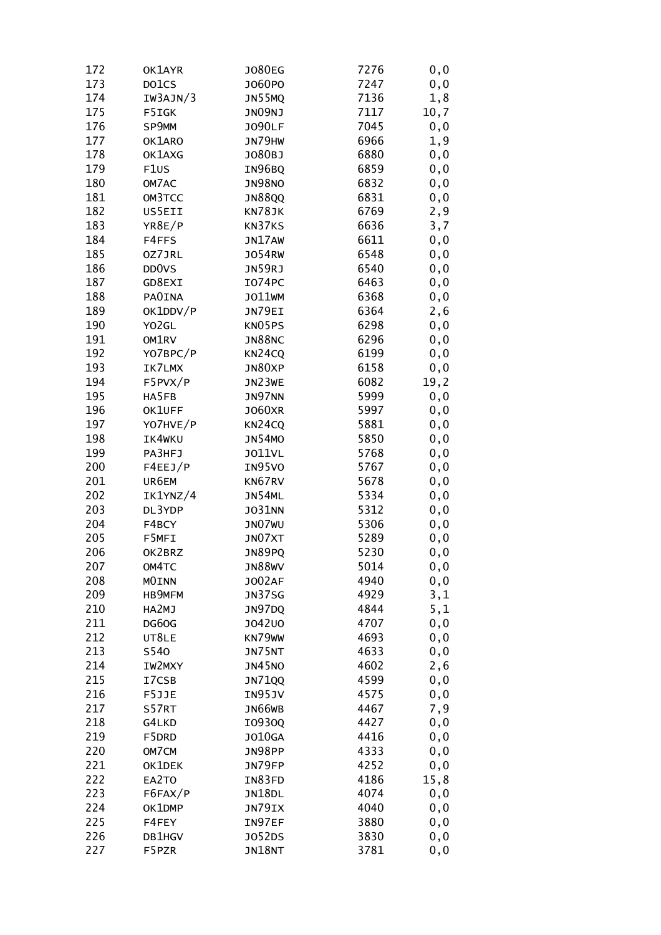| 172 | OK1AYR                         | J080EG        | 7276 | 0, 0 |
|-----|--------------------------------|---------------|------|------|
| 173 | DO1CS                          | J060P0        | 7247 | 0,0  |
| 174 | IW3AJN/3                       | <b>JN55MQ</b> | 7136 | 1,8  |
| 175 | F5IGK                          | JNO9NJ        | 7117 | 10,7 |
| 176 | SP9MM                          | <b>JO90LF</b> | 7045 | 0, 0 |
| 177 | OK1ARO                         | JN79HW        | 6966 | 1,9  |
| 178 | OK1AXG                         | J080BJ        | 6880 | 0, 0 |
| 179 | F <sub>1</sub> US              | IN96BQ        | 6859 | 0,0  |
| 180 | OM7AC                          | <b>JN98NO</b> | 6832 | 0, 0 |
|     |                                |               |      |      |
| 181 | OM3TCC                         | <b>JN88QQ</b> | 6831 | 0, 0 |
| 182 | US5EII                         | KN78JK        | 6769 | 2,9  |
| 183 | YR8E/P                         | KN37KS        | 6636 | 3,7  |
| 184 | F4FFS                          | JN17AW        | 6611 | 0, 0 |
| 185 | OZ7JRL                         | <b>JO54RW</b> | 6548 | 0, 0 |
| 186 | DD <sub>0</sub> v <sub>S</sub> | JN59RJ        | 6540 | 0,0  |
| 187 | GD8EXI                         | <b>IO74PC</b> | 6463 | 0,0  |
| 188 | <b>PAOINA</b>                  | J011WM        | 6368 | 0, 0 |
| 189 | OK1DDV/P                       | JN79EI        | 6364 | 2,6  |
| 190 | Y02GL                          | KN05PS        | 6298 | 0, 0 |
| 191 | OM1RV                          | <b>JN88NC</b> | 6296 | 0, 0 |
| 192 | YO7BPC/P                       | KN24CQ        | 6199 | 0, 0 |
| 193 | IK7LMX                         | JN80XP        | 6158 | 0, 0 |
| 194 | F5PVX/P                        | JN23WE        | 6082 | 19,2 |
| 195 | HA5FB                          | JN97NN        | 5999 | 0, 0 |
| 196 | OK1UFF                         | <b>JO60XR</b> | 5997 | 0, 0 |
| 197 | YO7HVE/P                       | KN24CQ        | 5881 | 0, 0 |
| 198 | IK4WKU                         | <b>JN54MO</b> | 5850 | 0, 0 |
| 199 | PA3HFJ                         | J011VL        | 5768 | 0, 0 |
| 200 | F4EEJ/P                        | IN95VO        | 5767 | 0, 0 |
| 201 | UR6EM                          | KN67RV        | 5678 | 0,0  |
| 202 | IK1YNZ/4                       | JN54ML        | 5334 | 0,0  |
| 203 | DL3YDP                         | <b>JO31NN</b> | 5312 | 0,0  |
| 204 | F4BCY                          | JN07WU        | 5306 | 0, 0 |
| 205 | F5MFI                          | JN07XT        | 5289 | 0, 0 |
| 206 | OK2BRZ                         | JN89PQ        | 5230 |      |
|     |                                |               |      | 0,0  |
| 207 | OM4TC                          | <b>JN88WV</b> | 5014 | 0, 0 |
| 208 | <b>MOINN</b>                   | <b>JO02AF</b> | 4940 | 0,0  |
| 209 | HB9MFM                         | <b>JN37SG</b> | 4929 | 3,1  |
| 210 | HA2MJ                          | JN97DQ        | 4844 | 5,1  |
| 211 | DG60G                          | J042U0        | 4707 | 0, 0 |
| 212 | UT8LE                          | KN79WW        | 4693 | 0, 0 |
| 213 | S540                           | JN75NT        | 4633 | 0, 0 |
| 214 | IW2MXY                         | <b>JN45NO</b> | 4602 | 2,6  |
| 215 | I7CSB                          | <b>JN71QQ</b> | 4599 | 0,0  |
| 216 | F5JJE                          | IN95JV        | 4575 | 0, 0 |
| 217 | S57RT                          | JN66WB        | 4467 | 7,9  |
| 218 | G4LKD                          | I0930Q        | 4427 | 0, 0 |
| 219 | F5DRD                          | <b>JO10GA</b> | 4416 | 0, 0 |
| 220 | OM7CM                          | JN98PP        | 4333 | 0, 0 |
| 221 | OK1DEK                         | JN79FP        | 4252 | 0, 0 |
| 222 | EA2TO                          | IN83FD        | 4186 | 15,8 |
| 223 | F6FAX/P                        | JN18DL        | 4074 | 0, 0 |
| 224 | OK1DMP                         | JN79IX        | 4040 | 0,0  |
| 225 | F4FEY                          | IN97EF        | 3880 | 0,0  |
| 226 | DB1HGV                         | J052DS        | 3830 | 0,0  |
| 227 | F5PZR                          | JN18NT        | 3781 | 0,0  |
|     |                                |               |      |      |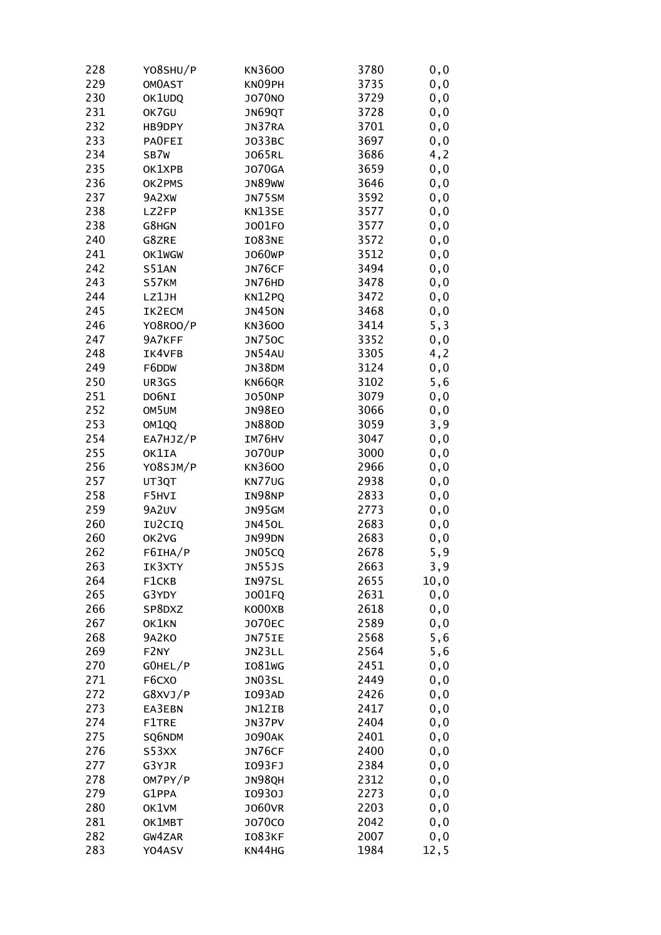| 228 | YO8SHU/P          | KN3600        | 3780 | 0, 0  |
|-----|-------------------|---------------|------|-------|
| 229 | <b>OMOAST</b>     | KN09PH        | 3735 | 0, 0  |
| 230 | OK1UDQ            | <b>JO70NO</b> | 3729 | 0, 0  |
| 231 | OK7GU             | JN69QT        | 3728 | 0, 0  |
| 232 | HB9DPY            | JN37RA        | 3701 | 0, 0  |
| 233 | <b>PAOFEI</b>     | J033BC        | 3697 | 0, 0  |
| 234 | SB7W              | <b>JO65RL</b> | 3686 | 4, 2  |
| 235 | OK1XPB            | <b>JO70GA</b> | 3659 | 0,0   |
| 236 | OK2PMS            | <b>JN89WW</b> | 3646 | 0,0   |
| 237 | 9A2XW             | JN75SM        | 3592 | 0, 0  |
| 238 | LZ2FP             | KN13SE        | 3577 | 0, 0  |
| 238 | G8HGN             | J001F0        | 3577 | 0, 0  |
|     |                   |               |      |       |
| 240 | G8ZRE             | IO83NE        | 3572 | 0, 0  |
| 241 | OK1WGW            | J060WP        | 3512 | 0, 0  |
| 242 | <b>S51AN</b>      | JN76CF        | 3494 | 0, 0  |
| 243 | S57KM             | JN76HD        | 3478 | 0,0   |
| 244 | LZ1JH             | KN12PQ        | 3472 | 0, 0  |
| 245 | IK2ECM            | <b>JN450N</b> | 3468 | 0, 0  |
| 246 | Y08R00/P          | KN3600        | 3414 | 5, 3  |
| 247 | 9A7KFF            | <b>JN750C</b> | 3352 | 0, 0  |
| 248 | IK4VFB            | <b>JN54AU</b> | 3305 | 4, 2  |
| 249 | F6DDW             | JN38DM        | 3124 | 0, 0  |
| 250 | UR3GS             | KN66QR        | 3102 | 5,6   |
| 251 | DO6NI             | <b>JO50NP</b> | 3079 | 0,0   |
| 252 | OM5UM             | <b>JN98EO</b> | 3066 | 0, 0  |
| 253 | OM <sub>1QQ</sub> | <b>JN880D</b> | 3059 | 3,9   |
| 254 | EA7HJZ/P          | IM76HV        | 3047 | 0, 0  |
| 255 | OK1IA             | <b>JO70UP</b> | 3000 | 0, 0  |
| 256 | YO8SJM/P          | <b>KN3600</b> | 2966 | 0, 0  |
| 257 | UT3QT             | KN77UG        | 2938 | 0,0   |
| 258 | F5HVI             | IN98NP        | 2833 | 0,0   |
| 259 | 9A2UV             | JN95GM        | 2773 | 0,0   |
| 260 | IU2CIQ            | <b>JN450L</b> | 2683 | 0,0   |
| 260 | OK2VG             | JN99DN        | 2683 | 0, 0  |
| 262 | F6IHA/P           | JN05CQ        | 2678 | 5,9   |
| 263 | IK3XTY            | <b>JN55JS</b> | 2663 | 3,9   |
| 264 | F1CKB             | IN97SL        | 2655 | 10, 0 |
| 265 | G3YDY             | J001FQ        | 2631 | 0, 0  |
| 266 | SP8DXZ            | KO00XB        | 2618 | 0, 0  |
| 267 | OK1KN             | <b>JO70EC</b> | 2589 | 0, 0  |
| 268 | 9A2KO             | JN75IE        | 2568 | 5,6   |
| 269 | F2NY              | JN23LL        | 2564 | 5,6   |
| 270 | GOHEL/P           | <b>IO81WG</b> | 2451 | 0, 0  |
| 271 | F6CXO             | JN03SL        | 2449 | 0, 0  |
| 272 | G8XVJ/P           | I093AD        | 2426 | 0, 0  |
|     |                   |               |      |       |
| 273 | EA3EBN            | JN12IB        | 2417 | 0,0   |
| 274 | F1TRE             | JN37PV        | 2404 | 0,0   |
| 275 | SQ6NDM            | <b>JO90AK</b> | 2401 | 0, 0  |
| 276 | S53XX             | JN76CF        | 2400 | 0, 0  |
| 277 | G3YJR             | I093FJ        | 2384 | 0, 0  |
| 278 | OM7PY/P           | JN98QH        | 2312 | 0, 0  |
| 279 | G1PPA             | I0930J        | 2273 | 0, 0  |
| 280 | OK1VM             | <b>JO60VR</b> | 2203 | 0,0   |
| 281 | OK1MBT            | J070C0        | 2042 | 0,0   |
| 282 | GW4ZAR            | I083KF        | 2007 | 0,0   |
| 283 | Y04ASV            | KN44HG        | 1984 | 12, 5 |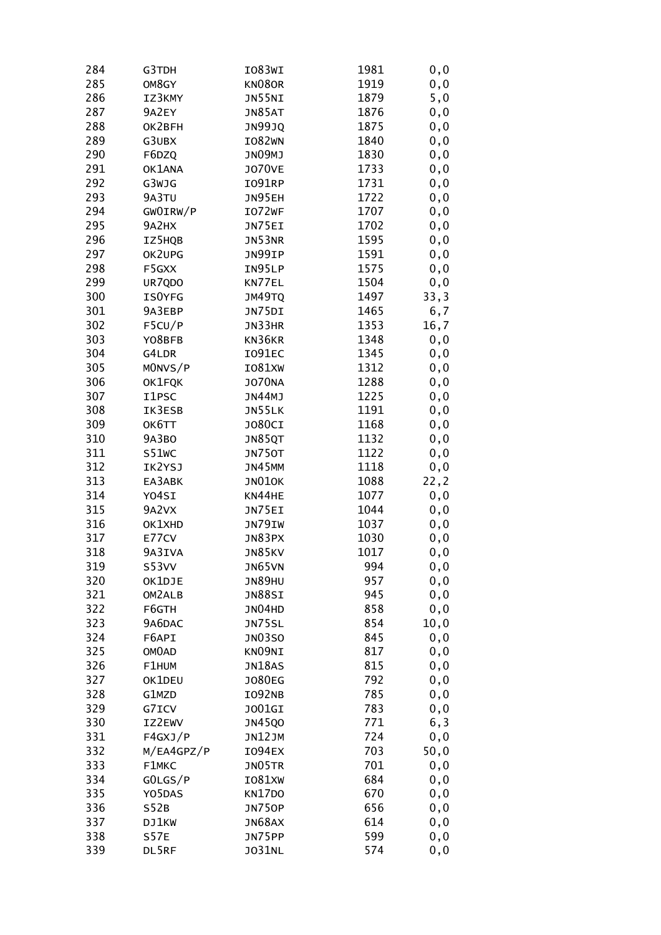| 284 | G3TDH        | IO83WI        | 1981 | 0, 0  |
|-----|--------------|---------------|------|-------|
| 285 | OM8GY        | KN08OR        | 1919 | 0, 0  |
| 286 | IZ3KMY       | JN55NI        | 1879 | 5,0   |
| 287 | 9A2EY        | JN85AT        | 1876 | 0, 0  |
| 288 | OK2BFH       | <b>JN99JQ</b> | 1875 | 0, 0  |
| 289 | G3UBX        | IO82WN        | 1840 | 0, 0  |
| 290 | F6DZQ        | JN09MJ        | 1830 | 0,0   |
| 291 | OK1ANA       | <b>JO70VE</b> | 1733 | 0,0   |
| 292 | G3WJG        | <b>IO91RP</b> | 1731 | 0,0   |
| 293 | 9A3TU        | JN95EH        | 1722 | 0,0   |
| 294 | GWOIRW/P     | IO72WF        | 1707 | 0, 0  |
| 295 | 9A2HX        | JN75EI        | 1702 | 0, 0  |
|     |              | JN53NR        |      |       |
| 296 | IZ5HQB       |               | 1595 | 0, 0  |
| 297 | OK2UPG       | JN99IP        | 1591 | 0,0   |
| 298 | F5GXX        | IN95LP        | 1575 | 0,0   |
| 299 | UR7QDO       | KN77EL        | 1504 | 0,0   |
| 300 | ISOYFG       | JM49TQ        | 1497 | 33,3  |
| 301 | 9A3EBP       | JN75DI        | 1465 | 6,7   |
| 302 | F5CU/P       | JN33HR        | 1353 | 16,7  |
| 303 | YO8BFB       | KN36KR        | 1348 | 0, 0  |
| 304 | G4LDR        | I091EC        | 1345 | 0, 0  |
| 305 | MONVS/P      | <b>IO81XW</b> | 1312 | 0, 0  |
| 306 | OK1FQK       | <b>JO70NA</b> | 1288 | 0,0   |
| 307 | I1PSC        | JN44MJ        | 1225 | 0,0   |
| 308 | IK3ESB       | JN55LK        | 1191 | 0, 0  |
| 309 | OK6TT        | <b>JO80CI</b> | 1168 | 0, 0  |
| 310 | 9A3BO        | JN85QT        | 1132 | 0, 0  |
| 311 | S51WC        | <b>JN750T</b> | 1122 | 0,0   |
| 312 | IK2YSJ       | <b>JN45MM</b> | 1118 | 0,0   |
| 313 | EA3ABK       | <b>JN010K</b> | 1088 | 22,2  |
| 314 | Y04SI        | KN44HE        | 1077 | 0,0   |
| 315 | 9A2VX        | JN75EI        | 1044 | 0,0   |
| 316 | OK1XHD       | JN79IW        | 1037 | 0,0   |
| 317 | E77CV        | JN83PX        | 1030 | 0, 0  |
| 318 | 9A3IVA       | JN85KV        | 1017 | 0, 0  |
| 319 | S53VV        | JN65VN        | 994  | 0, 0  |
| 320 | OK1DJE       | <b>JN89HU</b> | 957  | 0, 0  |
| 321 | OM2ALB       | <b>JN88SI</b> | 945  | 0, 0  |
| 322 | F6GTH        | JN04HD        | 858  |       |
|     |              |               | 854  | 0, 0  |
| 323 | 9A6DAC       | JN75SL        |      | 10, 0 |
| 324 | F6API        | <b>JN03SO</b> | 845  | 0, 0  |
| 325 | <b>OMOAD</b> | KNO9NI        | 817  | 0, 0  |
| 326 | F1HUM        | JN18AS        | 815  | 0, 0  |
| 327 | OK1DEU       | <b>JO80EG</b> | 792  | 0, 0  |
| 328 | G1MZD        | I092NB        | 785  | 0, 0  |
| 329 | G7ICV        | J001GI        | 783  | 0, 0  |
| 330 | IZ2EWV       | <b>JN45QO</b> | 771  | 6,3   |
| 331 | F4GXJ/P      | JN12JM        | 724  | 0, 0  |
| 332 | M/EA4GPZ/P   | <b>IO94EX</b> | 703  | 50,0  |
| 333 | F1MKC        | JN05TR        | 701  | 0, 0  |
| 334 | GOLGS/P      | IO81XW        | 684  | 0, 0  |
| 335 | Y05DAS       | KN17DO        | 670  | 0, 0  |
| 336 | S52B         | <b>JN750P</b> | 656  | 0,0   |
| 337 | DJ1KW        | JN68AX        | 614  | 0, 0  |
| 338 | <b>S57E</b>  | JN75PP        | 599  | 0,0   |
| 339 | DL5RF        | <b>JO31NL</b> | 574  | 0,0   |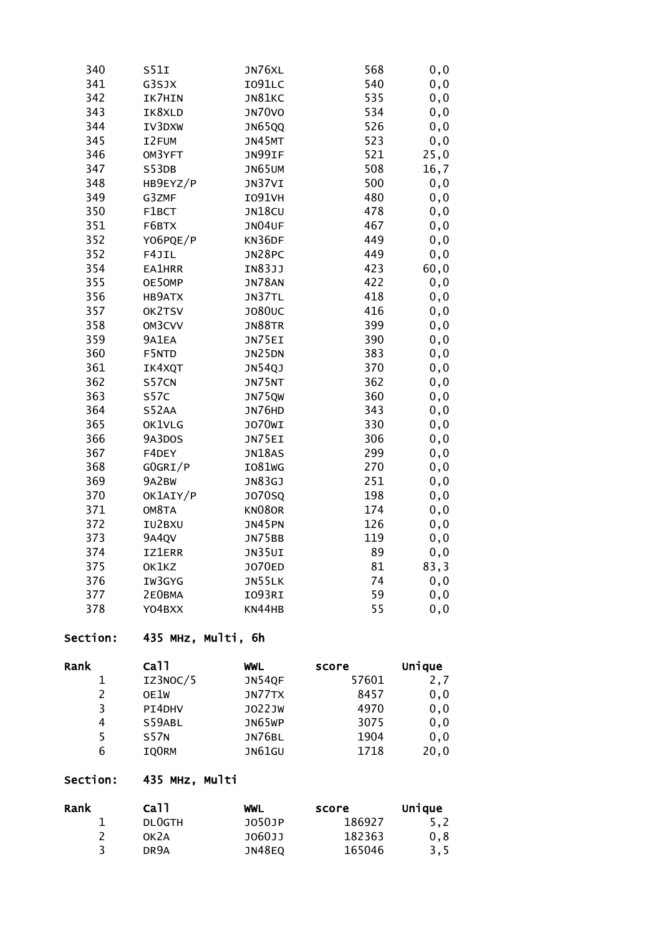| 340 | S51I          | JN76XL        | 568 | 0, 0  |
|-----|---------------|---------------|-----|-------|
| 341 | G3SJX         | I091LC        | 540 | 0, 0  |
| 342 | IK7HIN        | JN81KC        | 535 | 0,0   |
| 343 | IK8XLD        | <b>JN70VO</b> | 534 | 0, 0  |
| 344 | IV3DXW        | <b>JN65QQ</b> | 526 | 0,0   |
| 345 | I2FUM         | JN45MT        | 523 | 0,0   |
| 346 | OM3YFT        | JN99IF        | 521 | 25,0  |
| 347 | S53DB         | JN65UM        | 508 | 16,7  |
| 348 | HB9EYZ/P      | JN37VI        | 500 | 0,0   |
| 349 | G3ZMF         | <b>IO91VH</b> | 480 | 0,0   |
| 350 | F1BCT         | JN18CU        | 478 | $0,0$ |
| 351 | F6BTX         | JN04UF        | 467 | 0,0   |
| 352 | Y06PQE/P      | KN36DF        | 449 | 0,0   |
| 352 | F4JIL         | JN28PC        | 449 | 0,0   |
| 354 | <b>EA1HRR</b> | IN83JJ        | 423 | 60,0  |
| 355 | OE50MP        | <b>JN78AN</b> | 422 | 0, 0  |
| 356 | HB9ATX        | JN37TL        | 418 | 0, 0  |
| 357 | OK2TSV        | <b>JO80UC</b> | 416 | 0, 0  |
| 358 | OM3CVV        | <b>JN88TR</b> | 399 | 0,0   |
| 359 | 9A1EA         | JN75EI        | 390 | 0,0   |
| 360 | F5NTD         | JN25DN        | 383 | 0, 0  |
| 361 | IK4XQT        | JN54QJ        | 370 | 0, 0  |
| 362 | S57CN         | JN75NT        | 362 | 0,0   |
| 363 | <b>S57C</b>   | JN75QW        | 360 | 0,0   |
| 364 | S52AA         | JN76HD        | 343 | 0,0   |
| 365 | OK1VLG        | <b>JO70WI</b> | 330 | 0,0   |
| 366 | 9A3DOS        | JN75EI        | 306 | 0, 0  |
| 367 | F4DEY         | <b>JN18AS</b> | 299 | 0,0   |
| 368 | GOGRI/P       | <b>IO81WG</b> | 270 | 0, 0  |
| 369 | 9A2BW         | JN83GJ        | 251 | 0,0   |
| 370 | OK1AIY/P      | J070SQ        | 198 | 0,0   |
| 371 | OM8TA         | KN080R        | 174 | 0, 0  |
| 372 | IU2BXU        | <b>JN45PN</b> | 126 | 0,0   |
| 373 | 9A4QV         | JN75BB        | 119 | 0,0   |
| 374 | <b>IZ1ERR</b> | JN35UI        | 89  | 0,0   |
| 375 | OK1KZ         | <b>JO70ED</b> | 81  | 83,3  |
| 376 | IW3GYG        | JN55LK        | 74  | 0,0   |
| 377 | 2E0BMA        | IO93RI        | 59  | 0, 0  |
| 378 | Y04BXX        | KN44HB        | 55  | 0,0   |

### Section: 435 MHz, Multi, 6h

| Rank          | Ca11        | WWL    | score | Unique |
|---------------|-------------|--------|-------|--------|
|               | IZ3NOC/5    | JN54QF | 57601 | 2,7    |
| $\mathcal{P}$ | OE1W        | JN77TX | 8457  | 0, 0   |
| 3             | PI4DHV      | J022JW | 4970  | 0, 0   |
| 4             | S59ABL      | JN65WP | 3075  | 0, 0   |
| 5             | <b>S57N</b> | JN76BL | 1904  | 0, 0   |
| 6             | IQ0RM       | JN61GU | 1718  | 20,0   |

# Section: 435 MHz, Multi

| Rank | Ca11          | WWL    | score  | Unique |
|------|---------------|--------|--------|--------|
|      | <b>DLOGTH</b> | J050JP | 186927 | 5, 2   |
|      | OK2A          | J060JJ | 182363 | 0,8    |
|      | DR9A          | JN48EO | 165046 | 3,5    |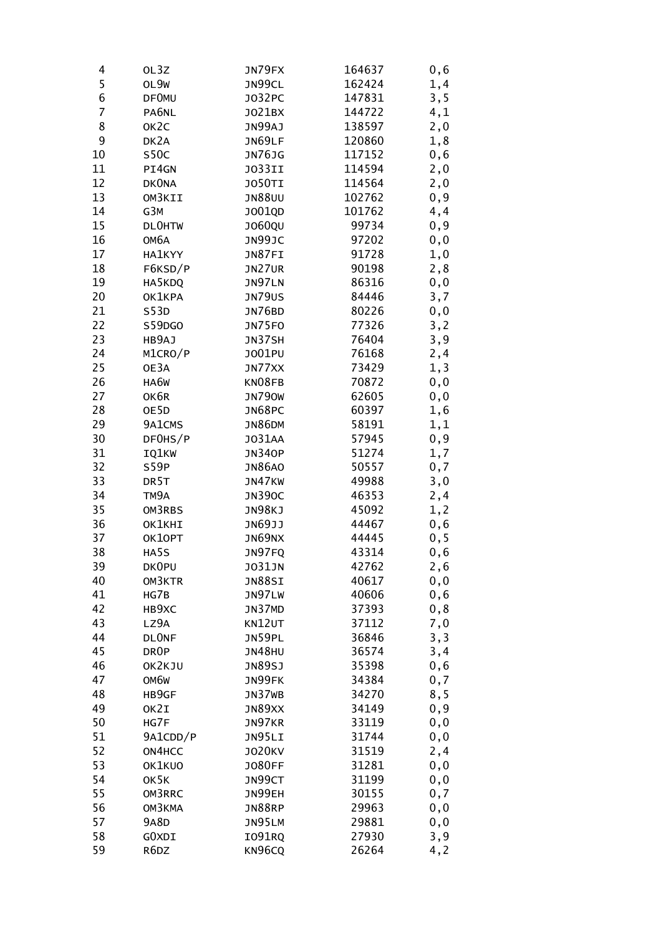| 4  | OL3Z              | JN79FX        | 164637 | 0,6  |
|----|-------------------|---------------|--------|------|
| 5  | OL9W              | JN99CL        | 162424 | 1,4  |
| 6  | <b>DF0MU</b>      | J032PC        | 147831 | 3, 5 |
| 7  | PA6NL             | J021BX        | 144722 | 4,1  |
| 8  | OK <sub>2</sub> C | JN99AJ        | 138597 | 2,0  |
| 9  | DK2A              | JN69LF        | 120860 | 1,8  |
| 10 | S50C              | JN76JG        | 117152 | 0,6  |
| 11 | PI4GN             | <b>JO33II</b> | 114594 | 2,0  |
| 12 | <b>DKONA</b>      | <b>JO50TI</b> | 114564 | 2,0  |
| 13 | OM3KII            | <b>JN88UU</b> | 102762 | 0, 9 |
| 14 | G3M               | J001QD        | 101762 | 4,4  |
| 15 | <b>DLOHTW</b>     | J060QU        | 99734  | 0, 9 |
| 16 | ОМ6А              | JN99JC        | 97202  | 0, 0 |
| 17 | HA1KYY            | JN87FI        | 91728  | 1,0  |
| 18 | F6KSD/P           | JN27UR        | 90198  | 2,8  |
| 19 | HA5KDQ            | JN97LN        | 86316  | 0, 0 |
| 20 | OK1KPA            | <b>JN79US</b> | 84446  | 3,7  |
| 21 | S53D              | JN76BD        | 80226  | 0,0  |
| 22 | S59DGO            | JN75FO        | 77326  | 3,2  |
| 23 | HB9AJ             | JN37SH        | 76404  | 3,9  |
| 24 | M1CRO/P           | J001PU        | 76168  | 2,4  |
| 25 | OE3A              | JN77XX        | 73429  | 1, 3 |
| 26 | HA6W              | KN08FB        | 70872  | 0,0  |
| 27 | OK6R              | <b>JN790W</b> | 62605  | 0, 0 |
| 28 | OE5D              | JN68PC        | 60397  | 1,6  |
| 29 | 9A1CMS            | <b>JN86DM</b> | 58191  | 1,1  |
| 30 | DF0HS/P           | J031AA        | 57945  | 0, 9 |
| 31 | IQ1KW             | <b>JN340P</b> | 51274  | 1,7  |
| 32 | S59P              | <b>JN86A0</b> | 50557  | 0,7  |
| 33 | DR <sub>5</sub> T | JN47KW        | 49988  | 3,0  |
| 34 | TM9A              | <b>JN390C</b> | 46353  | 2,4  |
| 35 | OM3RBS            | JN98KJ        | 45092  | 1, 2 |
| 36 | OK1KHI            | JN69JJ        | 44467  | 0,6  |
| 37 | OK10PT            | JN69NX        | 44445  | 0, 5 |
| 38 | HA5S              | JN97FQ        | 43314  | 0,6  |
| 39 | DK0PU             | <b>JO31JN</b> | 42762  | 2,6  |
| 40 | OM3KTR            | JN88SI        | 40617  | 0,0  |
| 41 | HG7B              | JN97LW        | 40606  | 0,6  |
| 42 | HB9XC             | JN37MD        | 37393  | 0,8  |
| 43 | LZ9A              | KN12UT        | 37112  | 7,0  |
| 44 | <b>DLONF</b>      | JN59PL        | 36846  | 3, 3 |
| 45 | DR <sub>OP</sub>  | <b>JN48HU</b> | 36574  | 3,4  |
| 46 | OK2KJU            | JN89SJ        | 35398  | 0,6  |
| 47 | OM6W              | JN99FK        | 34384  | 0,7  |
| 48 | HB9GF             | JN37WB        | 34270  | 8,5  |
| 49 | OK2I              | JN89XX        | 34149  | 0, 9 |
| 50 | HG7F              | JN97KR        | 33119  | 0, 0 |
| 51 | 9A1CDD/P          | JN95LI        | 31744  | 0, 0 |
| 52 | ON4HCC            | <b>JO20KV</b> | 31519  | 2, 4 |
| 53 | OK1KUO            | <b>JO80FF</b> | 31281  | 0, 0 |
| 54 | OK5K              | JN99CT        | 31199  | 0, 0 |
| 55 | OM3RRC            | JN99EH        | 30155  | 0,7  |
| 56 | ОМЗКМА            | <b>JN88RP</b> | 29963  | 0,0  |
| 57 | <b>9A8D</b>       | JN95LM        | 29881  | 0,0  |
| 58 | GOXDI             | I091RQ        | 27930  | 3,9  |
| 59 | R6DZ              | KN96CQ        | 26264  | 4,2  |
|    |                   |               |        |      |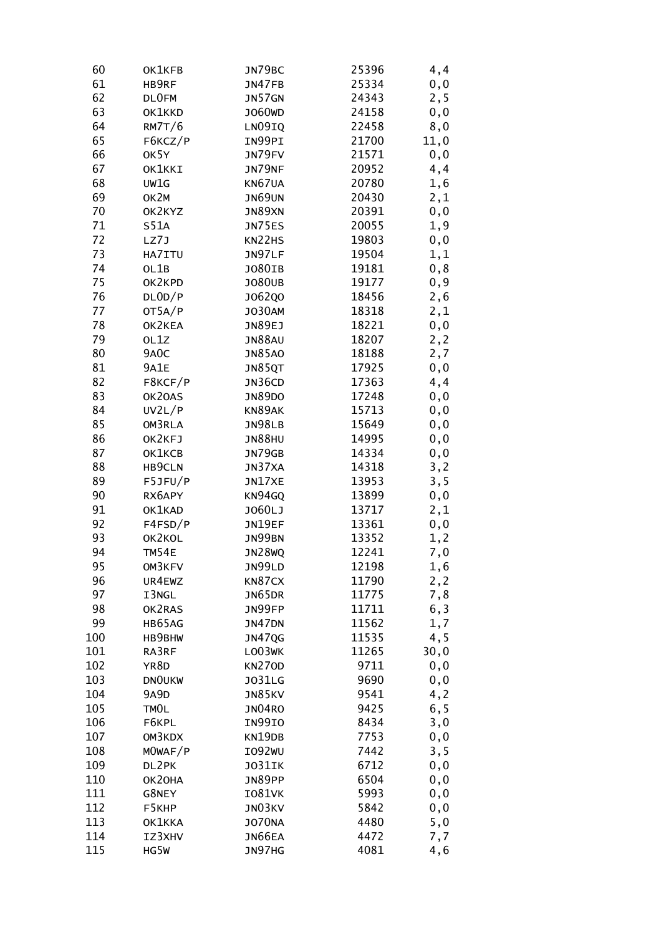| 60  | OK1KFB            | JN79BC        | 25396 | 4,4  |
|-----|-------------------|---------------|-------|------|
| 61  | HB9RF             | JN47FB        | 25334 | 0, 0 |
| 62  | <b>DLOFM</b>      | JN57GN        | 24343 | 2,5  |
| 63  | OK1KKD            | J060WD        | 24158 | 0, 0 |
| 64  | RM7T/6            | LN09IQ        | 22458 | 8,0  |
| 65  | F6KCZ/P           | IN99PI        | 21700 | 11,0 |
| 66  | OK5Y              | JN79FV        | 21571 | 0, 0 |
| 67  | OK1KKI            | JN79NF        | 20952 | 4,4  |
| 68  | UW1G              | KN67UA        | 20780 | 1,6  |
| 69  | OK2M              | JN69UN        | 20430 | 2,1  |
| 70  | OK2KYZ            | JN89XN        | 20391 | 0, 0 |
| 71  | <b>S51A</b>       | JN75ES        | 20055 | 1,9  |
| 72  | LZ7J              | KN22HS        | 19803 | 0, 0 |
| 73  | HA7ITU            | JN97LF        | 19504 | 1,1  |
| 74  | OL1B              | J080IB        | 19181 | 0, 8 |
| 75  | OK2KPD            | <b>JO80UB</b> | 19177 | 0, 9 |
| 76  | DLOD/P            | J062Q0        | 18456 | 2,6  |
| 77  | OT5A/P            | <b>JO30AM</b> | 18318 | 2,1  |
| 78  | OK2KEA            | JN89EJ        | 18221 | 0, 0 |
| 79  | OL1Z              | <b>JN88AU</b> | 18207 | 2, 2 |
| 80  | 9A <sub>0</sub> C | <b>JN85AO</b> | 18188 | 2,7  |
| 81  | <b>9A1E</b>       | JN85QT        | 17925 | 0, 0 |
| 82  | F8KCF/P           | JN36CD        | 17363 | 4,4  |
| 83  | OK20AS            | <b>JN89DO</b> | 17248 | 0, 0 |
| 84  | UV2L/P            | KN89AK        | 15713 | 0, 0 |
| 85  | OM3RLA            | <b>JN98LB</b> | 15649 | 0, 0 |
| 86  | OK2KFJ            | <b>JN88HU</b> | 14995 | 0, 0 |
| 87  | OK1KCB            | JN79GB        | 14334 | 0, 0 |
| 88  | HB9CLN            | JN37XA        | 14318 | 3,2  |
| 89  | F5JFU/P           | JN17XE        | 13953 | 3, 5 |
| 90  | RX6APY            | KN94GQ        | 13899 | 0, 0 |
| 91  | OK1KAD            | J060LJ        | 13717 | 2,1  |
| 92  | F4FSD/P           | JN19EF        | 13361 | 0,0  |
| 93  | OK2KOL            | JN99BN        | 13352 | 1, 2 |
| 94  | TM54E             | <b>JN28WQ</b> | 12241 | 7,0  |
| 95  | OM3KFV            | JN99LD        | 12198 | 1,6  |
| 96  | UR4EWZ            | KN87CX        | 11790 | 2, 2 |
| 97  | I3NGL             | JN65DR        | 11775 | 7,8  |
| 98  | OK2RAS            | JN99FP        | 11711 | 6, 3 |
| 99  | HB65AG            | JN47DN        | 11562 | 1,7  |
| 100 | HB9BHW            | <b>JN47QG</b> | 11535 | 4,5  |
| 101 | RA3RF             | LO03WK        | 11265 | 30,0 |
| 102 | YR8D              | <b>KN270D</b> | 9711  | 0, 0 |
| 103 | <b>DNOUKW</b>     | <b>JO31LG</b> | 9690  | 0, 0 |
| 104 | 9A9D              | JN85KV        | 9541  | 4, 2 |
| 105 | TMOL              | <b>JN04RO</b> | 9425  | 6, 5 |
| 106 | F6KPL             | IN99IO        | 8434  | 3,0  |
| 107 | OM3KDX            | KN19DB        | 7753  | 0, 0 |
| 108 | MOWAF/P           | IO92WU        | 7442  | 3, 5 |
| 109 | DL2PK             | JO31IK        | 6712  | 0, 0 |
| 110 | ОК2ОНА            | JN89PP        | 6504  | 0, 0 |
| 111 | G8NEY             | <b>IO81VK</b> | 5993  | 0,0  |
| 112 | F5KHP             | JN03KV        | 5842  | 0,0  |
| 113 | OK1KKA            | <b>JO70NA</b> | 4480  | 5,0  |
| 114 | IZ3XHV            | JN66EA        | 4472  | 7,7  |
| 115 | HG5W              | JN97HG        | 4081  | 4,6  |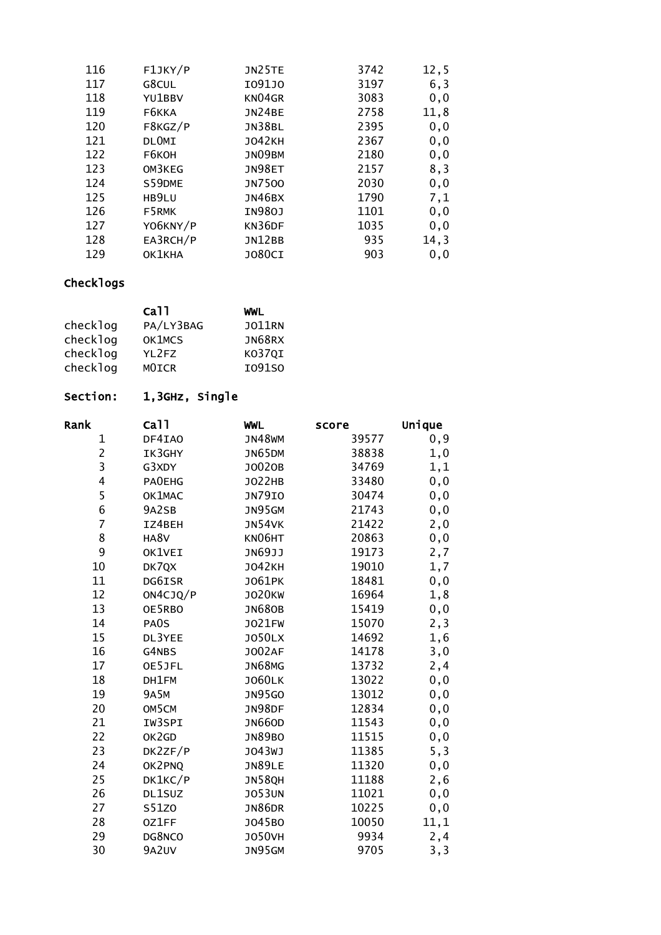| 116 | F1JKY/P      | JN25TE        | 3742 | 12, 5 |
|-----|--------------|---------------|------|-------|
| 117 | G8CUL        | I091J0        | 3197 | 6, 3  |
| 118 | YU1BBV       | KN04GR        | 3083 | 0, 0  |
| 119 | F6KKA        | <b>JN24BE</b> | 2758 | 11,8  |
| 120 | F8KGZ/P      | JN38BL        | 2395 | 0, 0  |
| 121 | <b>DLOMI</b> | <b>JO42KH</b> | 2367 | 0, 0  |
| 122 | F6KOH        | JN09BM        | 2180 | 0, 0  |
| 123 | OM3KEG       | JN98ET        | 2157 | 8,3   |
| 124 | S59DME       | <b>JN7500</b> | 2030 | 0, 0  |
| 125 | HB9LU        | JN46BX        | 1790 | 7,1   |
| 126 | F5RMK        | IN980J        | 1101 | 0, 0  |
| 127 | YO6KNY/P     | KN36DF        | 1035 | 0, 0  |
| 128 | EA3RCH/P     | <b>JN12BB</b> | 935  | 14,3  |
| 129 | OK1KHA       | <b>JO80CI</b> | 903  | 0, 0  |

|          | ca11              | WWL           |
|----------|-------------------|---------------|
| checklog | PA/LY3BAG         | <b>JO11RN</b> |
| checklog | OK1MCS            | JN68RX        |
| checklog | YL <sub>2FZ</sub> | KO37QI        |
| checklog | MOICR             | I091S0        |

## Section: 1,3GHz, Single

| Rank           | Ca <sub>11</sub> | <b>WWL</b>    | score | Unique |
|----------------|------------------|---------------|-------|--------|
| 1              | DF4IA0           | <b>JN48WM</b> | 39577 | 0, 9   |
| $\overline{2}$ | IK3GHY           | JN65DM        | 38838 | 1,0    |
| 3              | G3XDY            | J0020B        | 34769 | 1,1    |
| 4              | <b>PAOEHG</b>    | J022HB        | 33480 | 0, 0   |
| 5              | OK1MAC           | <b>JN79IO</b> | 30474 | 0,0    |
| 6              | 9A2SB            | JN95GM        | 21743 | 0,0    |
| $\overline{7}$ | IZ4BEH           | JN54VK        | 21422 | 2,0    |
| 8              | HA8V             | KN06HT        | 20863 | 0, 0   |
| 9              | OK1VEI           | JN69JJ        | 19173 | 2,7    |
| 10             | DK7QX            | <b>JO42KH</b> | 19010 | 1,7    |
| 11             | DG6ISR           | J061PK        | 18481 | 0,0    |
| 12             | ON4CJQ/P         | <b>JO20KW</b> | 16964 | 1,8    |
| 13             | OE5RBO           | <b>JN680B</b> | 15419 | 0,0    |
| 14             | PA0S             | <b>JO21FW</b> | 15070 | 2, 3   |
| 15             | DL3YEE           | <b>JO50LX</b> | 14692 | 1,6    |
| 16             | G4NBS            | <b>JO02AF</b> | 14178 | 3,0    |
| 17             | OE5JFL           | <b>JN68MG</b> | 13732 | 2,4    |
| 18             | DH1FM            | <b>JO60LK</b> | 13022 | 0,0    |
| 19             | <b>9A5M</b>      | <b>JN95GO</b> | 13012 | 0, 0   |
| 20             | OM5CM            | JN98DF        | 12834 | 0,0    |
| 21             | IW3SPI           | <b>JN66OD</b> | 11543 | 0, 0   |
| 22             | OK2GD            | <b>JN89BO</b> | 11515 | 0,0    |
| 23             | DK2ZF/P          | J043WJ        | 11385 | 5, 3   |
| 24             | OK2PNQ           | <b>JN89LE</b> | 11320 | 0, 0   |
| 25             | DK1KC/P          | JN58QH        | 11188 | 2,6    |
| 26             | DL1SUZ           | <b>JO53UN</b> | 11021 | 0,0    |
| 27             | S51Z0            | <b>JN86DR</b> | 10225 | 0,0    |
| 28             | 0Z1FF            | J045B0        | 10050 | 11,1   |
| 29             | DG8NCO           | <b>JO50VH</b> | 9934  | 2,4    |
| 30             | 9A2UV            | JN95GM        | 9705  | 3, 3   |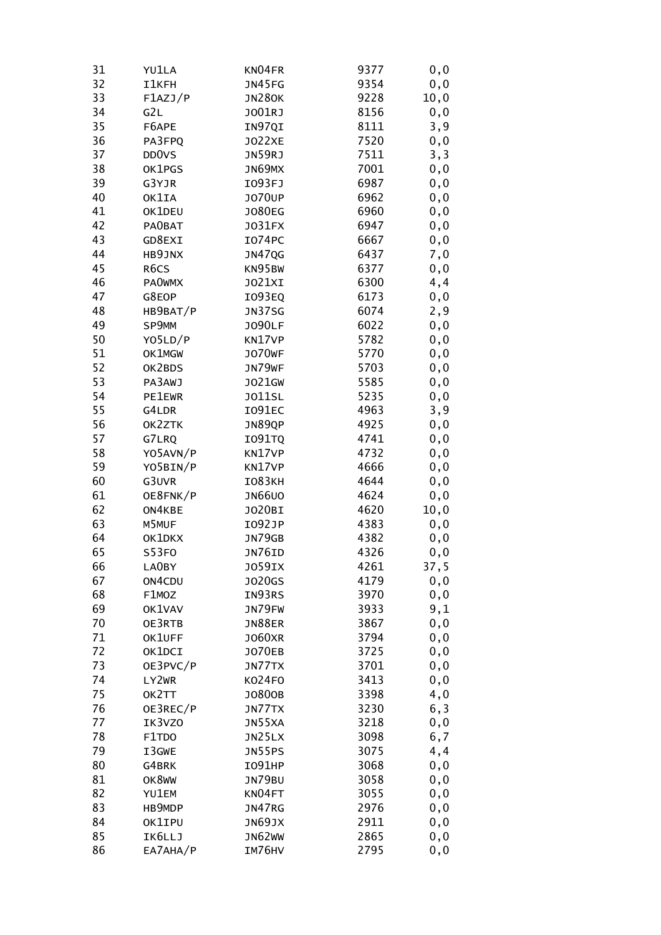| 31 | YU1LA              | KN04FR        | 9377 | 0, 0  |
|----|--------------------|---------------|------|-------|
| 32 | <b>I1KFH</b>       | JN45FG        | 9354 | 0, 0  |
| 33 | F1AZJ/P            | <b>JN280K</b> | 9228 | 10, 0 |
| 34 | G2L                | J001RJ        | 8156 | 0, 0  |
| 35 | F6APE              | IN97QI        | 8111 | 3,9   |
| 36 | PA3FPQ             | <b>JO22XE</b> | 7520 | 0, 0  |
| 37 | DD <sub>0</sub> VS | JN59RJ        | 7511 | 3, 3  |
| 38 | OK1PGS             | JN69MX        | 7001 | 0, 0  |
| 39 | G3YJR              | I093FJ        | 6987 | 0, 0  |
| 40 | OK1IA              | <b>JO70UP</b> | 6962 | 0, 0  |
| 41 | OK1DEU             | <b>JO80EG</b> | 6960 | 0, 0  |
| 42 | PA0BAT             | J031FX        | 6947 | 0, 0  |
| 43 | GD8EXI             | <b>IO74PC</b> | 6667 | 0,0   |
| 44 | HB9JNX             | JN47QG        | 6437 | 7,0   |
| 45 | R6CS               | KN95BW        | 6377 | 0,0   |
| 46 | <b>PAOWMX</b>      | J021XI        | 6300 | 4,4   |
| 47 | G8EOP              | <b>IO93EQ</b> | 6173 | 0, 0  |
| 48 | HB9BAT/P           | <b>JN37SG</b> | 6074 | 2,9   |
| 49 | SP9MM              | <b>JO90LF</b> | 6022 | 0, 0  |
| 50 | YO5LD/P            | KN17VP        | 5782 | 0, 0  |
| 51 | OK1MGW             | <b>JO70WF</b> | 5770 | 0, 0  |
| 52 | OK2BDS             | JN79WF        | 5703 | 0, 0  |
| 53 | PA3AWJ             | J021GW        | 5585 | 0,0   |
| 54 | <b>PE1EWR</b>      | <b>JO11SL</b> | 5235 | 0, 0  |
| 55 | G4LDR              | I091EC        | 4963 | 3,9   |
| 56 | OK2ZTK             | JN89QP        | 4925 | 0, 0  |
| 57 | G7LRQ              | <b>IO91TQ</b> | 4741 | 0, 0  |
| 58 | YO5AVN/P           | KN17VP        | 4732 | 0, 0  |
| 59 | YO5BIN/P           | KN17VP        | 4666 | 0, 0  |
| 60 | G3UVR              | <b>IO83KH</b> | 4644 | 0,0   |
| 61 | OE8FNK/P           | <b>JN66U0</b> | 4624 | 0, 0  |
| 62 | ON4KBE             | J020BI        | 4620 | 10,0  |
| 63 | M5MUF              | I092JP        | 4383 | 0,0   |
| 64 | OK1DKX             | JN79GB        | 4382 | 0, 0  |
| 65 | S53FO              | JN76ID        | 4326 | 0,0   |
| 66 | LA0BY              | J059IX        | 4261 | 37,5  |
| 67 | ON4CDU             | J020GS        | 4179 | 0, 0  |
| 68 | F1MOZ              | IN93RS        | 3970 | 0, 0  |
| 69 | OK1VAV             | JN79FW        | 3933 | 9,1   |
| 70 | OE3RTB             | <b>JN88ER</b> | 3867 | 0, 0  |
| 71 | OK1UFF             | <b>JO60XR</b> | 3794 | 0, 0  |
| 72 | OK1DCI             | <b>JO70EB</b> | 3725 | 0, 0  |
| 73 | OE3PVC/P           | JN77TX        | 3701 | 0, 0  |
| 74 | LY2WR              | KO24FO        | 3413 | 0, 0  |
| 75 | OK2TT              | J0800B        | 3398 | 4,0   |
| 76 | OE3REC/P           | JN77TX        | 3230 | 6,3   |
| 77 | IK3VZ0             | JN55XA        |      |       |
| 78 |                    |               | 3218 | 0, 0  |
| 79 | F1TDO              | JN25LX        | 3098 | 6,7   |
|    | I3GWE              | JN55PS        | 3075 | 4,4   |
| 80 | G4BRK              | <b>IO91HP</b> | 3068 | 0, 0  |
| 81 | OK8WW              | JN79BU        | 3058 | 0, 0  |
| 82 | YU1EM              | KN04FT        | 3055 | 0, 0  |
| 83 | HB9MDP             | JN47RG        | 2976 | 0,0   |
| 84 | OK1IPU             | JN69JX        | 2911 | 0, 0  |
| 85 | IK6LLJ             | JN62WW        | 2865 | 0,0   |
| 86 | EA7AHA/P           | IM76HV        | 2795 | 0,0   |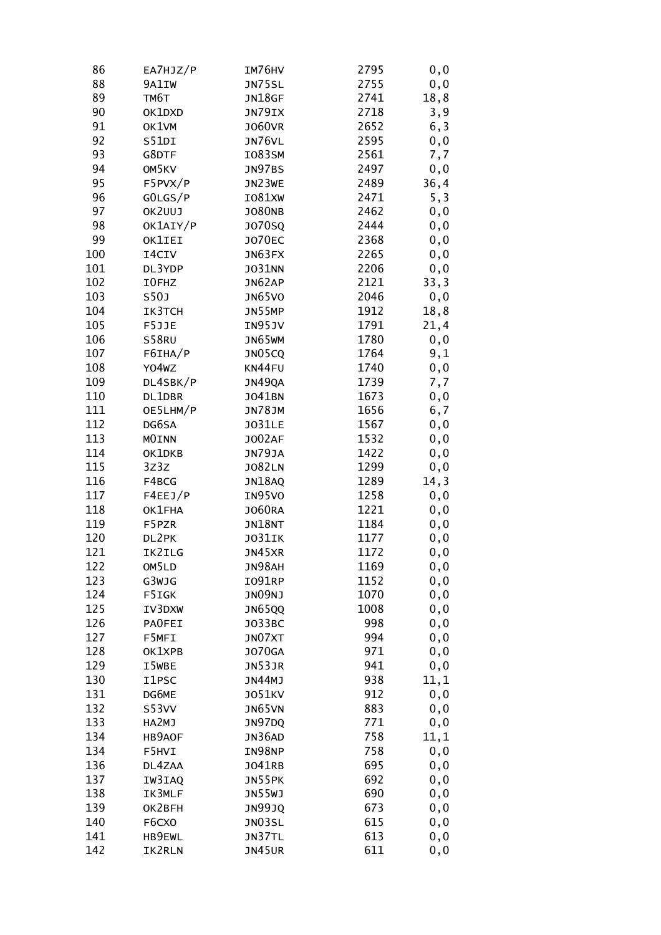| 86  | EA7HJZ/P     | IM76HV        | 2795 | 0, 0 |
|-----|--------------|---------------|------|------|
| 88  | 9A1IW        | JN75SL        | 2755 | 0, 0 |
| 89  | TM6T         | JN18GF        | 2741 | 18,8 |
| 90  | OK1DXD       | JN79IX        | 2718 | 3, 9 |
| 91  | OK1VM        | <b>JO60VR</b> | 2652 | 6,3  |
| 92  | S51DI        | JN76VL        | 2595 | 0, 0 |
| 93  | G8DTF        | IO83SM        | 2561 | 7,7  |
| 94  | OM5KV        | JN97BS        | 2497 | 0,0  |
| 95  | F5PVX/P      | JN23WE        | 2489 | 36,4 |
| 96  | GOLGS/P      | <b>IO81XW</b> | 2471 | 5,3  |
| 97  | OK2UUJ       | <b>JO80NB</b> | 2462 | 0, 0 |
| 98  | OK1AIY/P     | J070SQ        | 2444 | 0, 0 |
| 99  | OK1IEI       | <b>JO70EC</b> | 2368 | 0, 0 |
| 100 | I4CIV        | JN63FX        | 2265 | 0,0  |
| 101 | DL3YDP       | J031NN        | 2206 | 0,0  |
| 102 | I0FHZ        | JN62AP        | 2121 | 33,3 |
| 103 | <b>S50J</b>  | <b>JN65VO</b> | 2046 | 0, 0 |
| 104 | IK3TCH       | JN55MP        | 1912 | 18,8 |
| 105 | F5JJE        | IN95JV        | 1791 | 21,4 |
| 106 | S58RU        | JN65WM        | 1780 | 0, 0 |
| 107 | F6IHA/P      | JN05CQ        | 1764 | 9,1  |
| 108 | Y04wZ        | KN44FU        | 1740 | 0, 0 |
| 109 | DL4SBK/P     | JN49QA        | 1739 | 7,7  |
| 110 | DL1DBR       | J041BN        | 1673 | 0, 0 |
| 111 | OE5LHM/P     | <b>JN78JM</b> | 1656 | 6,7  |
| 112 | DG6SA        | <b>JO31LE</b> | 1567 | 0, 0 |
| 113 | <b>MOINN</b> | <b>JO02AF</b> | 1532 | 0, 0 |
| 114 | OK1DKB       | JN79JA        | 1422 | 0,0  |
| 115 | 3Z3Z         | <b>JO82LN</b> | 1299 | 0,0  |
| 116 | F4BCG        | JN18AQ        | 1289 | 14,3 |
| 117 | F4EEJ/P      | IN95VO        | 1258 | 0,0  |
| 118 | OK1FHA       | J060RA        | 1221 | 0, 0 |
| 119 | F5PZR        | JN18NT        | 1184 | 0,0  |
| 120 | DL2PK        | JO31IK        | 1177 | 0, 0 |
| 121 | IK2ILG       | JN45XR        | 1172 | 0,0  |
| 122 | OM5LD        | JN98AH        | 1169 | 0, 0 |
| 123 | G3WJG        | <b>IO91RP</b> | 1152 | 0,0  |
| 124 | F5IGK        | JN09NJ        | 1070 | 0,0  |
| 125 | IV3DXW       | <b>JN65QQ</b> | 1008 | 0,0  |
| 126 | PAOFEI       | J033BC        | 998  | 0, 0 |
| 127 | F5MFI        | JN07XT        | 994  | 0, 0 |
| 128 | OK1XPB       | <b>JO70GA</b> | 971  | 0, 0 |
| 129 | I5WBE        | JN53JR        | 941  | 0, 0 |
| 130 | I1PSC        | JN44MJ        | 938  | 11,1 |
| 131 | DG6ME        | <b>JO51KV</b> | 912  | 0, 0 |
| 132 | S53VV        | JN65VN        | 883  | 0, 0 |
| 133 | HA2MJ        | JN97DQ        | 771  | 0, 0 |
| 134 | HB9AOF       | JN36AD        | 758  | 11,1 |
| 134 | F5HVI        | IN98NP        | 758  | 0, 0 |
| 136 | DL4ZAA       | J041RB        | 695  | 0, 0 |
| 137 | IW3IAQ       | JN55PK        | 692  | 0, 0 |
| 138 | IK3MLF       | <b>JN55WJ</b> | 690  | 0, 0 |
| 139 | OK2BFH       | <b>JN99JQ</b> | 673  | 0,0  |
| 140 | F6CXO        | JN03SL        | 615  | 0, 0 |
| 141 | HB9EWL       | JN37TL        | 613  | 0, 0 |
| 142 | IK2RLN       | JN45UR        | 611  | 0,0  |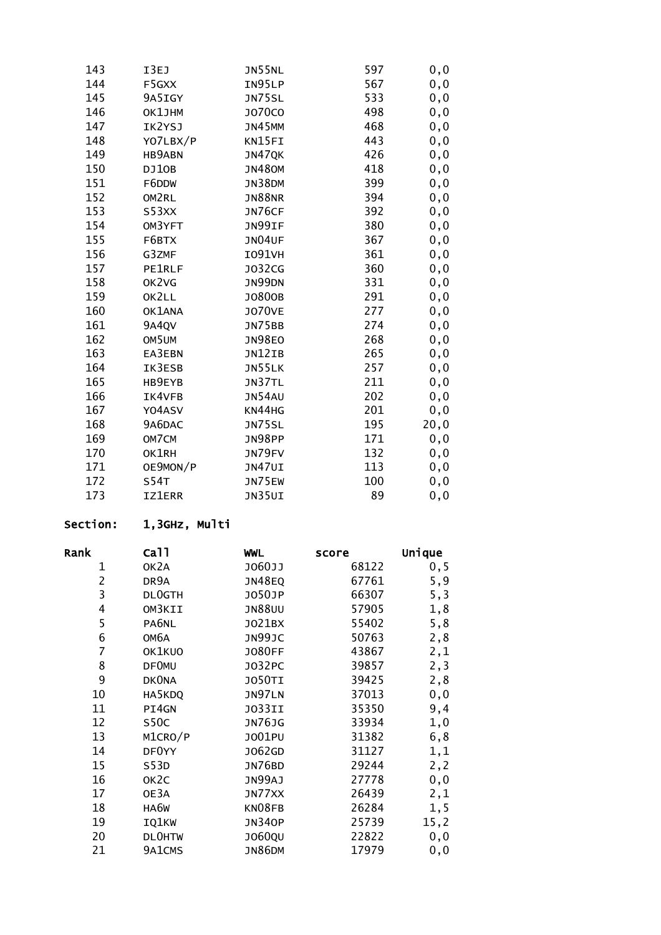| 143 | I3EJ          | <b>JN55NL</b> | 597 | 0, 0 |
|-----|---------------|---------------|-----|------|
| 144 | F5GXX         | IN95LP        | 567 | 0,0  |
| 145 | 9A5IGY        | <b>JN75SL</b> | 533 | 0,0  |
| 146 | OK1JHM        | <b>JO70CO</b> | 498 | 0,0  |
| 147 | IK2YSJ        | JN45MM        | 468 | 0, 0 |
| 148 | YO7LBX/P      | KN15FI        | 443 | 0, 0 |
| 149 | <b>HB9ABN</b> | JN47QK        | 426 | 0, 0 |
| 150 | DJ10B         | <b>JN480M</b> | 418 | 0,0  |
| 151 | F6DDW         | JN38DM        | 399 | 0, 0 |
| 152 | OM2RL         | <b>JN88NR</b> | 394 | 0, 0 |
| 153 | S53XX         | JN76CF        | 392 | 0,0  |
| 154 | OM3YFT        | JN99IF        | 380 | 0, 0 |
| 155 | F6BTX         | JN04UF        | 367 | 0,0  |
| 156 | G3ZMF         | <b>I091VH</b> | 361 | 0, 0 |
| 157 | <b>PE1RLF</b> | J032CG        | 360 | 0, 0 |
| 158 | OK2VG         | JN99DN        | 331 | 0, 0 |
| 159 | OK2LL         | J0800B        | 291 | 0,0  |
| 160 | OK1ANA        | <b>JO70VE</b> | 277 | 0, 0 |
| 161 | 9A4QV         | JN75BB        | 274 | 0, 0 |
| 162 | OM5UM         | <b>JN98EO</b> | 268 | 0,0  |
| 163 | EA3EBN        | JN12IB        | 265 | 0, 0 |
| 164 | IK3ESB        | JN55LK        | 257 | 0,0  |
| 165 | HB9EYB        | JN37TL        | 211 | 0, 0 |
| 166 | IK4VFB        | JN54AU        | 202 | 0, 0 |
| 167 | Y04ASV        | KN44HG        | 201 | 0, 0 |
| 168 | 9A6DAC        | <b>JN75SL</b> | 195 | 20,0 |
| 169 | OM7CM         | JN98PP        | 171 | 0, 0 |
| 170 | OK1RH         | JN79FV        | 132 | 0, 0 |
| 171 | OE9MON/P      | JN47UI        | 113 | 0, 0 |
| 172 | S54T          | JN75EW        | 100 | 0,0  |
| 173 | <b>IZ1ERR</b> | JN35UI        | 89  | 0,0  |

# Section: 1,3GHz, Multi

| Rank           | Ca <sub>11</sub>  | <b>WWL</b>    | score | Unique |
|----------------|-------------------|---------------|-------|--------|
| 1              | OK <sub>2</sub> A | J060JJ        | 68122 | 0, 5   |
| $\overline{c}$ | DR9A              | JN48EQ        | 67761 | 5,9    |
| 3              | <b>DLOGTH</b>     | J050JP        | 66307 | 5, 3   |
| 4              | OM3KII            | <b>JN88UU</b> | 57905 | 1,8    |
| 5              | PA6NL             | J021BX        | 55402 | 5,8    |
| 6              | ОМ6А              | JN99JC        | 50763 | 2,8    |
| 7              | OK1KUO            | <b>JO80FF</b> | 43867 | 2,1    |
| 8              | <b>DF0MU</b>      | J032PC        | 39857 | 2,3    |
| 9              | <b>DKONA</b>      | <b>JO50TI</b> | 39425 | 2,8    |
| 10             | HA5KDQ            | JN97LN        | 37013 | 0, 0   |
| 11             | PI4GN             | JO33II        | 35350 | 9,4    |
| 12             | S50C              | <b>JN76JG</b> | 33934 | 1,0    |
| 13             | M1CRO/P           | J001PU        | 31382 | 6,8    |
| 14             | DF0YY             | J062GD        | 31127 | 1,1    |
| 15             | S53D              | JN76BD        | 29244 | 2,2    |
| 16             | OK <sub>2</sub> C | JN99AJ        | 27778 | 0, 0   |
| 17             | OE3A              | JN77XX        | 26439 | 2,1    |
| 18             | HA6W              | KN08FB        | 26284 | 1,5    |
| 19             | IQ1KW             | <b>JN340P</b> | 25739 | 15, 2  |
| 20             | <b>DLOHTW</b>     | J060QU        | 22822 | 0,0    |
| 21             | 9A1CMS            | <b>JN86DM</b> | 17979 | 0,0    |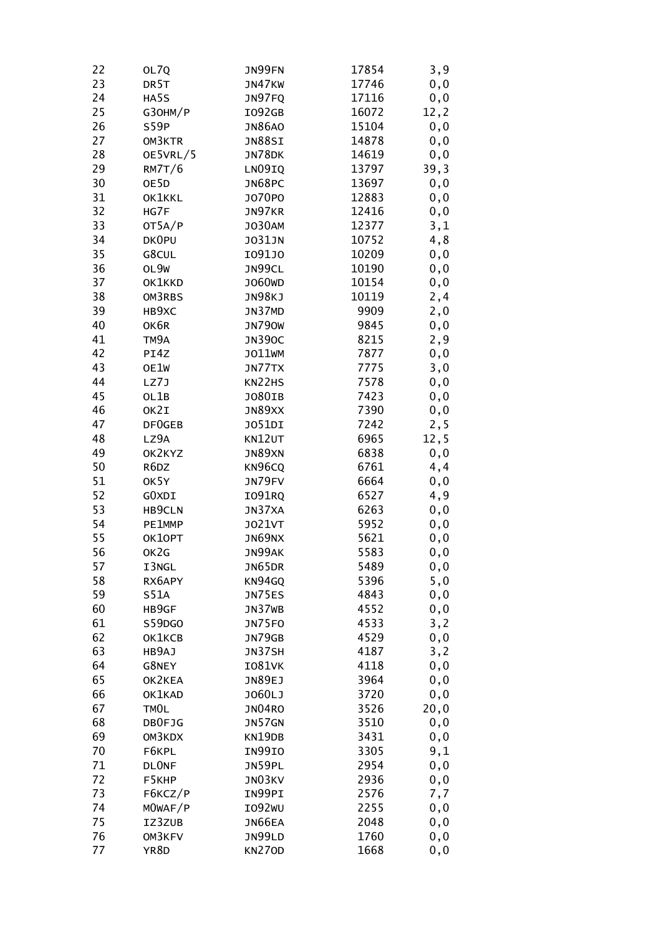| 22 | OL7Q              | JN99FN             | 17854 | 3,9   |
|----|-------------------|--------------------|-------|-------|
| 23 | DR <sub>5</sub> T | JN47KW             | 17746 | 0, 0  |
| 24 | HA5S              | JN97FQ             | 17116 | 0, 0  |
| 25 | G30HM/P           | I092GB             | 16072 | 12, 2 |
| 26 | S59P              | <b>JN86AO</b>      | 15104 | 0, 0  |
| 27 | OM3KTR            | <b>JN88SI</b>      | 14878 | 0, 0  |
| 28 | OE5VRL/5          | JN78DK             | 14619 | 0, 0  |
| 29 | RM7T/6            | LN09IQ             | 13797 | 39,3  |
| 30 | OE5D              | JN68PC             | 13697 | 0, 0  |
| 31 | OK1KKL            | J070P0             | 12883 | 0, 0  |
| 32 | HG7F              | JN97KR             | 12416 | 0, 0  |
| 33 | OT5A/P            | <b>JO30AM</b>      | 12377 | 3,1   |
| 34 | DK0PU             | <b>JO31JN</b>      | 10752 | 4,8   |
| 35 | G8CUL             | I091J0             | 10209 | 0, 0  |
| 36 | OL9W              | JN99CL             | 10190 | 0, 0  |
| 37 | OK1KKD            | J060 <sub>WD</sub> | 10154 | 0, 0  |
| 38 | OM3RBS            | JN98KJ             | 10119 | 2,4   |
| 39 | HB9XC             | JN37MD             | 9909  | 2,0   |
| 40 | OK6R              | <b>JN790W</b>      | 9845  | 0, 0  |
| 41 | TM9A              | <b>JN390C</b>      | 8215  | 2,9   |
| 42 | PI4Z              | J011WM             | 7877  | 0, 0  |
| 43 | OE1W              | JN77TX             | 7775  | 3,0   |
| 44 | LZ7J              | KN22HS             | 7578  | 0,0   |
| 45 | OL1B              | J080IB             | 7423  | 0,0   |
| 46 | OK2I              | JN89XX             | 7390  | 0, 0  |
| 47 | DF0GEB            | JO51DI             | 7242  | 2,5   |
| 48 | LZ9A              | KN12UT             | 6965  | 12, 5 |
| 49 | OK2KYZ            | JN89XN             | 6838  | 0, 0  |
| 50 | R6DZ              | KN96CQ             | 6761  | 4,4   |
| 51 | OK5Y              | JN79FV             | 6664  | 0, 0  |
| 52 | GOXDI             | I091RQ             | 6527  | 4,9   |
| 53 | HB9CLN            | JN37XA             | 6263  | 0,0   |
| 54 | PE1MMP            | <b>JO21VT</b>      | 5952  | 0,0   |
| 55 | OK10PT            | JN69NX             | 5621  | 0, 0  |
| 56 | OK2G              | JN99AK             | 5583  | 0,0   |
| 57 | I3NGL             | JN65DR             | 5489  | 0, 0  |
| 58 | RX6APY            | KN94GQ             | 5396  | 5,0   |
| 59 | S51A              | JN75ES             | 4843  | 0,0   |
| 60 | HB9GF             | JN37WB             | 4552  | 0,0   |
| 61 | S59DGO            | JN75FO             | 4533  | 3,2   |
| 62 | OK1KCB            | JN79GB             | 4529  | 0, 0  |
| 63 | HB9AJ             | JN37SH             | 4187  | 3, 2  |
| 64 | G8NEY             | <b>IO81VK</b>      | 4118  | 0, 0  |
| 65 | OK2KEA            | JN89EJ             | 3964  | 0, 0  |
| 66 | OK1KAD            | J060LJ             | 3720  | 0, 0  |
| 67 | TMOL              | <b>JN04RO</b>      | 3526  | 20,0  |
| 68 | DB0FJG            | JN57GN             | 3510  | 0,0   |
| 69 | OM3KDX            | KN19DB             | 3431  | 0, 0  |
| 70 | F6KPL             | IN99IO             | 3305  | 9,1   |
| 71 | <b>DLONF</b>      | JN59PL             | 2954  | 0, 0  |
| 72 | F5KHP             | JN03KV             | 2936  | 0,0   |
| 73 | F6KCZ/P           | IN99PI             | 2576  | 7,7   |
| 74 | MOWAF/P           | IO92WU             | 2255  | 0,0   |
| 75 | IZ3ZUB            | JN66EA             | 2048  | 0,0   |
| 76 | OM3KFV            | JN99LD             | 1760  | 0,0   |
| 77 | YR8D              | <b>KN270D</b>      | 1668  | 0,0   |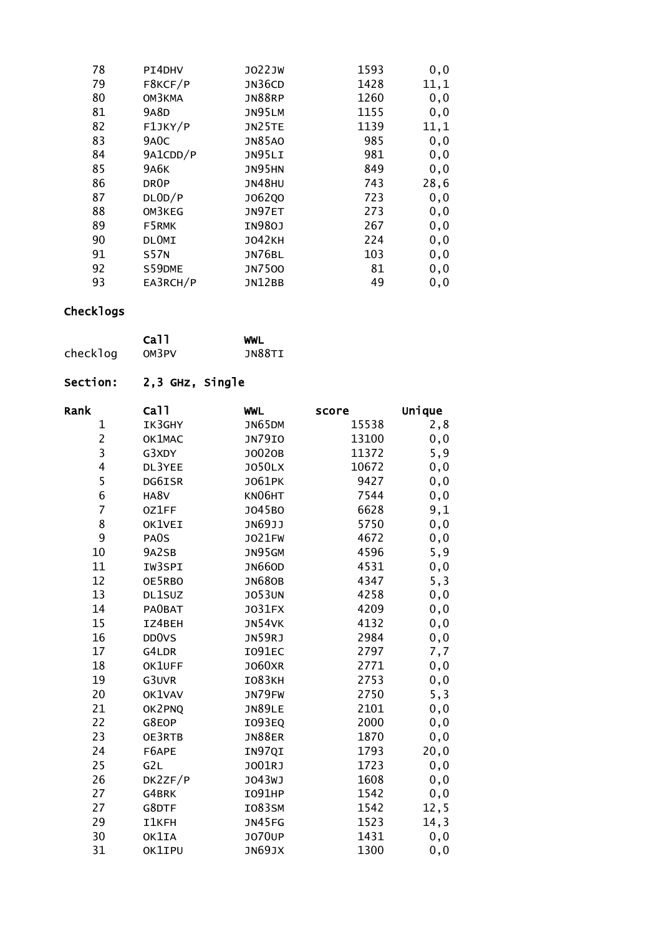| 78 | PI4DHV            | J022JW        | 1593 | 0, 0 |
|----|-------------------|---------------|------|------|
| 79 | F8KCF/P           | JN36CD        | 1428 | 11,1 |
| 80 | OM3KMA            | <b>JN88RP</b> | 1260 | 0, 0 |
| 81 | 9A8D              | JN95LM        | 1155 | 0, 0 |
| 82 | F1JKY/P           | JN25TE        | 1139 | 11,1 |
| 83 | 9A <sub>0</sub> C | <b>JN85AO</b> | 985  | 0, 0 |
| 84 | 9A1CDD/P          | JN95LI        | 981  | 0, 0 |
| 85 | <b>9A6K</b>       | JN95HN        | 849  | 0, 0 |
| 86 | DR <sub>OP</sub>  | <b>JN48HU</b> | 743  | 28,6 |
| 87 | DLOD/P            | J062Q0        | 723  | 0, 0 |
| 88 | OM3KEG            | JN97ET        | 273  | 0, 0 |
| 89 | F5RMK             | IN980J        | 267  | 0, 0 |
| 90 | <b>DLOMI</b>      | <b>JO42KH</b> | 224  | 0, 0 |
| 91 | <b>S57N</b>       | <b>JN76BL</b> | 103  | 0, 0 |
| 92 | S59DME            | <b>JN7500</b> | 81   | 0, 0 |
| 93 | EA3RCH/P          | <b>JN12BB</b> | 49   | 0, 0 |

|          | Ca <sub>11</sub> | WWL    |
|----------|------------------|--------|
| checklog | OM3PV            | JN88TI |

| Section: |  |  | 2,3 GHz, Single |
|----------|--|--|-----------------|
|----------|--|--|-----------------|

| Ca <sub>11</sub> | <b>WWL</b>                                                                                                                                                               | score                                                                                                                                                                                                                          | Unique                                                                                                                                               |
|------------------|--------------------------------------------------------------------------------------------------------------------------------------------------------------------------|--------------------------------------------------------------------------------------------------------------------------------------------------------------------------------------------------------------------------------|------------------------------------------------------------------------------------------------------------------------------------------------------|
| IK3GHY           | JN65DM                                                                                                                                                                   | 15538                                                                                                                                                                                                                          | 2,8                                                                                                                                                  |
| OK1MAC           | <b>JN79IO</b>                                                                                                                                                            | 13100                                                                                                                                                                                                                          | 0, 0                                                                                                                                                 |
| G3XDY            | J0020B                                                                                                                                                                   | 11372                                                                                                                                                                                                                          | 5,9                                                                                                                                                  |
| DL3YEE           | <b>JO50LX</b>                                                                                                                                                            | 10672                                                                                                                                                                                                                          | 0, 0                                                                                                                                                 |
| DG6ISR           | <b>JO61PK</b>                                                                                                                                                            | 9427                                                                                                                                                                                                                           | 0, 0                                                                                                                                                 |
| HA8V             | KN06HT                                                                                                                                                                   | 7544                                                                                                                                                                                                                           | 0, 0                                                                                                                                                 |
| 0Z1FF            | J045B0                                                                                                                                                                   |                                                                                                                                                                                                                                | 9,1                                                                                                                                                  |
| OK1VEI           | JN69JJ                                                                                                                                                                   | 5750                                                                                                                                                                                                                           | 0, 0                                                                                                                                                 |
| PA0S             | <b>JO21FW</b>                                                                                                                                                            |                                                                                                                                                                                                                                | 0, 0                                                                                                                                                 |
| 9A2SB            | JN95GM                                                                                                                                                                   | 4596                                                                                                                                                                                                                           | 5, 9                                                                                                                                                 |
| IW3SPI           | <b>JN660D</b>                                                                                                                                                            | 4531                                                                                                                                                                                                                           | 0, 0                                                                                                                                                 |
| OE5RBO           | <b>JN680B</b>                                                                                                                                                            | 4347                                                                                                                                                                                                                           | 5, 3                                                                                                                                                 |
| DL1SUZ           | <b>JO53UN</b>                                                                                                                                                            |                                                                                                                                                                                                                                | 0, 0                                                                                                                                                 |
| <b>PAOBAT</b>    | J031FX                                                                                                                                                                   | 4209                                                                                                                                                                                                                           | 0, 0                                                                                                                                                 |
| IZ4BEH           |                                                                                                                                                                          |                                                                                                                                                                                                                                | 0, 0                                                                                                                                                 |
|                  |                                                                                                                                                                          |                                                                                                                                                                                                                                | 0, 0                                                                                                                                                 |
|                  |                                                                                                                                                                          |                                                                                                                                                                                                                                | 7,7                                                                                                                                                  |
|                  |                                                                                                                                                                          |                                                                                                                                                                                                                                | 0,0                                                                                                                                                  |
|                  |                                                                                                                                                                          |                                                                                                                                                                                                                                | 0, 0                                                                                                                                                 |
|                  |                                                                                                                                                                          |                                                                                                                                                                                                                                | 5, 3                                                                                                                                                 |
|                  |                                                                                                                                                                          |                                                                                                                                                                                                                                | 0, 0                                                                                                                                                 |
|                  |                                                                                                                                                                          |                                                                                                                                                                                                                                | 0, 0                                                                                                                                                 |
|                  |                                                                                                                                                                          |                                                                                                                                                                                                                                | 0, 0                                                                                                                                                 |
|                  |                                                                                                                                                                          |                                                                                                                                                                                                                                | 20,0                                                                                                                                                 |
|                  |                                                                                                                                                                          |                                                                                                                                                                                                                                | 0, 0                                                                                                                                                 |
|                  |                                                                                                                                                                          |                                                                                                                                                                                                                                | 0, 0                                                                                                                                                 |
|                  |                                                                                                                                                                          |                                                                                                                                                                                                                                | 0, 0                                                                                                                                                 |
|                  |                                                                                                                                                                          |                                                                                                                                                                                                                                | 12, 5                                                                                                                                                |
| <b>I1KFH</b>     |                                                                                                                                                                          | 1523                                                                                                                                                                                                                           | 14, 3                                                                                                                                                |
|                  |                                                                                                                                                                          |                                                                                                                                                                                                                                | 0, 0                                                                                                                                                 |
|                  |                                                                                                                                                                          |                                                                                                                                                                                                                                | 0, 0                                                                                                                                                 |
|                  | DD <sub>0</sub> v <sub>S</sub><br>G4LDR<br>OK1UFF<br>G3UVR<br>OK1VAV<br>OK2PNQ<br>G8EOP<br>OE3RTB<br>F6APE<br>G2L<br>DK2ZF/P<br>G4BRK<br>G8DTF<br>OK1IA<br><b>OK1IPU</b> | JN54VK<br>JN59RJ<br><b>IO91EC</b><br><b>JO60XR</b><br><b>IO83KH</b><br>JN79FW<br><b>JN89LE</b><br>I093EQ<br><b>JN88ER</b><br>IN97QI<br>J001RJ<br>J043WJ<br><b>IO91HP</b><br><b>IO83SM</b><br>JN45FG<br><b>JO70UP</b><br>JN69JX | 6628<br>4672<br>4258<br>4132<br>2984<br>2797<br>2771<br>2753<br>2750<br>2101<br>2000<br>1870<br>1793<br>1723<br>1608<br>1542<br>1542<br>1431<br>1300 |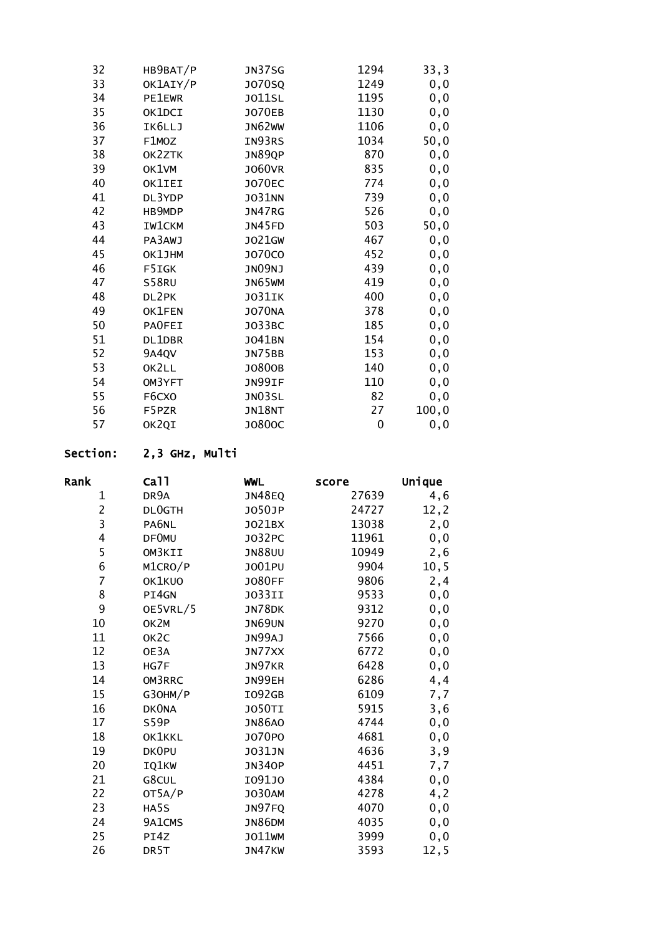| HB9BAT/P      | JN37SG        | 1294 | 33,3   |
|---------------|---------------|------|--------|
| OK1AIY/P      | <b>JO70SQ</b> | 1249 | 0, 0   |
| <b>PE1EWR</b> | <b>JO11SL</b> | 1195 | 0, 0   |
| OK1DCI        | <b>JO70EB</b> | 1130 | 0, 0   |
| IK6LLJ        | JN62WW        | 1106 | 0, 0   |
| F1MOZ         | IN93RS        | 1034 | 50,0   |
| OK2ZTK        | JN89QP        | 870  | 0, 0   |
| OK1VM         | <b>JO60VR</b> | 835  | 0, 0   |
| <b>OK1IEI</b> | <b>JO70EC</b> | 774  | 0, 0   |
| DL3YDP        | <b>JO31NN</b> | 739  | 0, 0   |
| HB9MDP        | JN47RG        | 526  | 0, 0   |
| <b>IW1CKM</b> | JN45FD        | 503  | 50,0   |
| PA3AWJ        | J021GW        | 467  | 0, 0   |
| OK1JHM        | J070C0        | 452  | 0,0    |
| F5IGK         | JNO9NJ        | 439  | 0, 0   |
| <b>S58RU</b>  | JN65WM        | 419  | 0, 0   |
| DL2PK         | <b>JO31IK</b> | 400  | 0, 0   |
| OK1FEN        | <b>JO70NA</b> | 378  | 0, 0   |
| <b>PAOFEI</b> | J033BC        | 185  | 0, 0   |
| DL1DBR        | J041BN        | 154  | 0, 0   |
| 9A4QV         | <b>JN75BB</b> | 153  | 0, 0   |
| OK2LL         | J0800B        | 140  | 0, 0   |
| OM3YFT        | JN99IF        | 110  | 0,0    |
| F6CXO         | JN03SL        | 82   | 0, 0   |
| F5PZR         | <b>JN18NT</b> | 27   | 100, 0 |
| OK2QI         | J0800C        | 0    | 0, 0   |
|               |               |      |        |

# Section: 2,3 GHz, Multi

| Rank           | Ca <sub>11</sub>  | <b>WWL</b>    | score | Unique |
|----------------|-------------------|---------------|-------|--------|
| 1              | DR9A              | JN48EQ        | 27639 | 4,6    |
| $\overline{2}$ | <b>DLOGTH</b>     | J050JP        | 24727 | 12, 2  |
| 3              | PA6NL             | J021BX        | 13038 | 2,0    |
| 4              | <b>DFOMU</b>      | J032PC        | 11961 | 0, 0   |
| 5              | OM3KII            | <b>JN88UU</b> | 10949 | 2,6    |
| 6              | M1CRO/P           | J001PU        | 9904  | 10, 5  |
| $\overline{7}$ | OK1KUO            | <b>JO80FF</b> | 9806  | 2,4    |
| 8              | PI4GN             | <b>JO33II</b> | 9533  | 0, 0   |
| 9              | OE5VRL/5          | JN78DK        | 9312  | 0, 0   |
| 10             | OK2M              | <b>JN69UN</b> | 9270  | 0, 0   |
| 11             | OK <sub>2</sub> C | JN99AJ        | 7566  | 0, 0   |
| 12             | OE3A              | JN77XX        | 6772  | 0, 0   |
| 13             | HG7F              | JN97KR        | 6428  | 0, 0   |
| 14             | OM3RRC            | JN99EH        | 6286  | 4,4    |
| 15             | G30HM/P           | I092GB        | 6109  | 7,7    |
| 16             | <b>DKONA</b>      | <b>JO50TI</b> | 5915  | 3,6    |
| 17             | S59P              | <b>JN86AO</b> | 4744  | 0, 0   |
| 18             | OK1KKL            | J070P0        | 4681  | 0, 0   |
| 19             | <b>DKOPU</b>      | <b>JO31JN</b> | 4636  | 3,9    |
| 20             | IQ1KW             | <b>JN340P</b> | 4451  | 7,7    |
| 21             | G8CUL             | I091J0        | 4384  | 0, 0   |
| 22             | OT5A/P            | <b>JO30AM</b> | 4278  | 4,2    |
| 23             | HA5S              | JN97FQ        | 4070  | 0, 0   |
| 24             | 9A1CMS            | <b>JN86DM</b> | 4035  | 0, 0   |
| 25             | PI4Z              | J011WM        | 3999  | 0, 0   |
| 26             | DR <sub>5</sub> T | JN47KW        | 3593  | 12, 5  |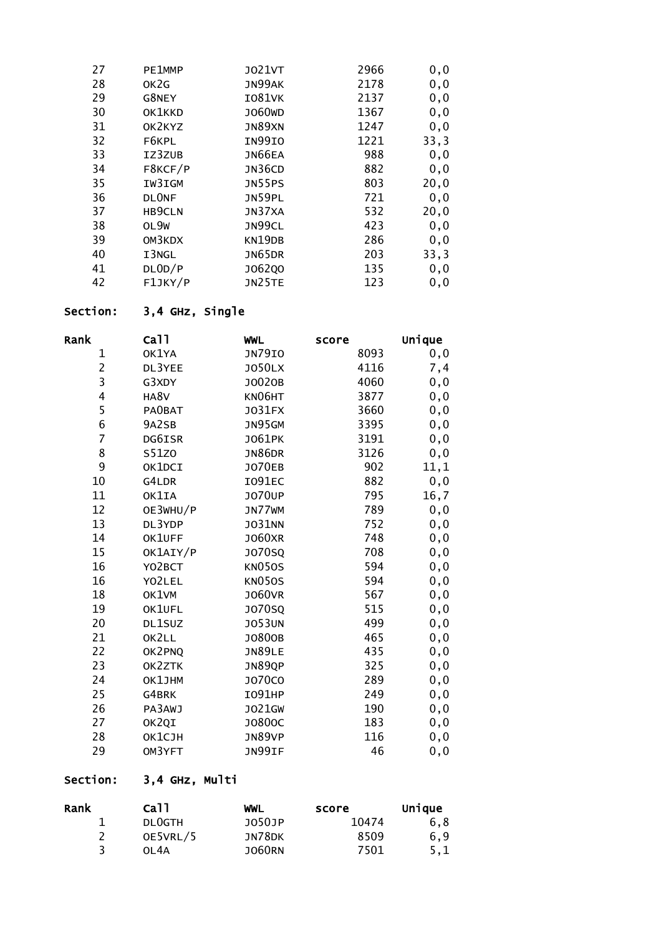| 27 | PE1MMP       | J021VT             | 2966 | 0, 0 |
|----|--------------|--------------------|------|------|
| 28 | OK2G         | JN99AK             | 2178 | 0, 0 |
| 29 | G8NEY        | <b>I081VK</b>      | 2137 | 0, 0 |
| 30 | OK1KKD       | J060 <sub>WD</sub> | 1367 | 0, 0 |
| 31 | OK2KYZ       | JN89XN             | 1247 | 0, 0 |
| 32 | F6KPL        | IN99IO             | 1221 | 33,3 |
| 33 | IZ3ZUB       | JN66EA             | 988  | 0, 0 |
| 34 | F8KCF/P      | JN36CD             | 882  | 0, 0 |
| 35 | IW3IGM       | <b>JN55PS</b>      | 803  | 20,0 |
| 36 | <b>DLONF</b> | JN59PL             | 721  | 0, 0 |
| 37 | HB9CLN       | JN37XA             | 532  | 20,0 |
| 38 | OL9W         | JN99CL             | 423  | 0, 0 |
| 39 | OM3KDX       | KN19DB             | 286  | 0, 0 |
| 40 | I3NGL        | <b>JN65DR</b>      | 203  | 33,3 |
| 41 | DLOD/P       | J062Q0             | 135  | 0, 0 |
| 42 | F1JKY/P      | JN25TE             | 123  | 0, 0 |

## Section: 3,4 GHz, Single

| Rank                    | ca11          | <b>WWL</b>    | score | Unique |
|-------------------------|---------------|---------------|-------|--------|
| 1                       | OK1YA         | <b>JN79IO</b> | 8093  | 0,0    |
| $\overline{c}$          | DL3YEE        | <b>JO50LX</b> | 4116  | 7,4    |
| 3                       | G3XDY         | J0020B        | 4060  | 0, 0   |
| $\overline{\mathbf{4}}$ | HA8V          | KN06HT        | 3877  | 0, 0   |
| 5                       | <b>PAOBAT</b> | J031FX        | 3660  | 0, 0   |
| 6                       | 9A2SB         | JN95GM        | 3395  | 0, 0   |
| $\overline{7}$          | DG6ISR        | J061PK        | 3191  | 0, 0   |
| 8                       | S51Z0         | <b>JN86DR</b> | 3126  | 0, 0   |
| 9                       | OK1DCI        | <b>JO70EB</b> | 902   | 11,1   |
| 10                      | G4LDR         | I091EC        | 882   | 0, 0   |
| 11                      | OK1IA         | <b>JO70UP</b> | 795   | 16,7   |
| 12                      | OE3WHU/P      | JN77WM        | 789   | 0, 0   |
| 13                      | DL3YDP        | <b>JO31NN</b> | 752   | 0, 0   |
| 14                      | OK1UFF        | <b>JO60XR</b> | 748   | 0, 0   |
| 15                      | OK1AIY/P      | J070SQ        | 708   | 0, 0   |
| 16                      | YO2BCT        | <b>KN050S</b> | 594   | 0, 0   |
| 16                      | YO2LEL        | <b>KN050S</b> | 594   | 0, 0   |
| 18                      | OK1VM         | <b>JO60VR</b> | 567   | 0,0    |
| 19                      | OK1UFL        | <b>JO70SQ</b> | 515   | 0,0    |
| 20                      | DL1SUZ        | <b>JO53UN</b> | 499   | 0,0    |
| 21                      | OK2LL         | J0800B        | 465   | 0, 0   |
| 22                      | OK2PNQ        | JN89LE        | 435   | 0, 0   |
| 23                      | OK2ZTK        | JN89QP        | 325   | 0, 0   |
| 24                      | OK1JHM        | <b>JO70CO</b> | 289   | 0, 0   |
| 25                      | G4BRK         | <b>IO91HP</b> | 249   | 0,0    |
| 26                      | PA3AWJ        | J021GW        | 190   | 0,0    |
| 27                      | OK2QI         | J0800C        | 183   | 0,0    |
| 28                      | ОК1СЈН        | JN89VP        | 116   | 0, 0   |
| 29                      | OM3YFT        | JN99IF        | 46    | 0,0    |

# Section: 3,4 GHz, Multi

| Rank | Ca11          | WWL           | score | Unique |
|------|---------------|---------------|-------|--------|
|      | <b>DLOGTH</b> | J050JP        | 10474 | 6.8    |
|      | OE5VRL/5      | JN78DK        | 8509  | 6.9    |
|      | 01.4A         | <b>JO60RN</b> | 7501  | 5,1    |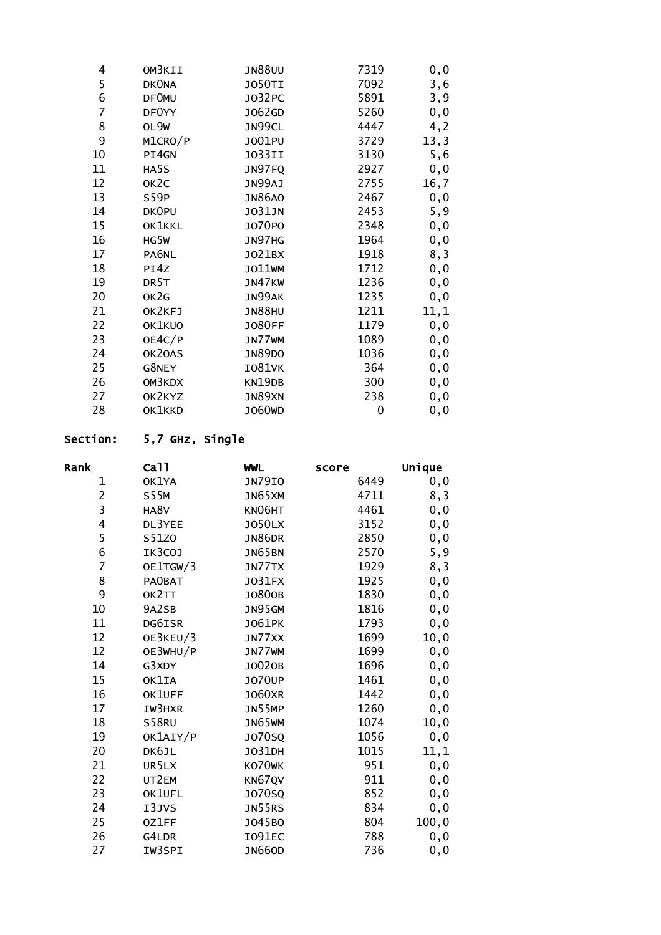| 4  | OM3KII            | <b>JN88UU</b> | 7319 | 0,0   |
|----|-------------------|---------------|------|-------|
| 5  | <b>DKONA</b>      | <b>JO50TI</b> | 7092 | 3,6   |
| 6  | <b>DFOMU</b>      | J032PC        | 5891 | 3,9   |
| 7  | DF0YY             | J062GD        | 5260 | 0, 0  |
| 8  | OL9W              | JN99CL        | 4447 | 4,2   |
| 9  | M1CRO/P           | J001PU        | 3729 | 13, 3 |
| 10 | PI4GN             | JO33II        | 3130 | 5,6   |
| 11 | HA5S              | JN97FQ        | 2927 | 0,0   |
| 12 | OK <sub>2</sub> C | JN99AJ        | 2755 | 16,7  |
| 13 | S59P              | <b>JN86AO</b> | 2467 | 0, 0  |
| 14 | DK0PU             | J031JN        | 2453 | 5,9   |
| 15 | OK1KKL            | J070P0        | 2348 | 0, 0  |
| 16 | HG5W              | JN97HG        | 1964 | 0, 0  |
| 17 | PA6NL             | J021BX        | 1918 | 8,3   |
| 18 | PI4Z              | J011WM        | 1712 | 0, 0  |
| 19 | DR5T              | JN47KW        | 1236 | 0, 0  |
| 20 | OK2G              | JN99AK        | 1235 | 0, 0  |
| 21 | OK2KFJ            | <b>JN88HU</b> | 1211 | 11,1  |
| 22 | OK1KUO            | <b>JO80FF</b> | 1179 | 0, 0  |
| 23 | OE4C/P            | JN77WM        | 1089 | 0, 0  |
| 24 | OK20AS            | <b>JN89DO</b> | 1036 | 0, 0  |
| 25 | G8NEY             | <b>IO81VK</b> | 364  | 0,0   |
| 26 | OM3KDX            | KN19DB        | 300  | 0,0   |
| 27 | OK2KYZ            | JN89XN        | 238  | 0,0   |
| 28 | OK1KKD            | J060WD        | 0    | 0, 0  |

# Section: 5,7 GHz, Single

| Rank           | Ca <sub>11</sub> | <b>WWL</b>    | score | Unique |
|----------------|------------------|---------------|-------|--------|
| 1              | OK1YA            | <b>JN79IO</b> | 6449  | 0,0    |
| $\overline{c}$ | <b>S55M</b>      | JN65XM        | 4711  | 8,3    |
| 3              | HA8V             | KN06HT        | 4461  | 0, 0   |
| 4              | DL3YEE           | <b>JO50LX</b> | 3152  | 0, 0   |
| 5              | S51Z0            | JN86DR        | 2850  | 0, 0   |
| 6              | IK3COJ           | JN65BN        | 2570  | 5,9    |
| $\overline{7}$ | OE1TGW/3         | JN77TX        | 1929  | 8,3    |
| 8              | <b>PAOBAT</b>    | J031FX        | 1925  | 0, 0   |
| 9              | OK2TT            | J0800B        | 1830  | 0, 0   |
| 10             | 9A2SB            | JN95GM        | 1816  | 0, 0   |
| 11             | DG6ISR           | J061PK        | 1793  | 0,0    |
| 12             | OE3KEU/3         | JN77XX        | 1699  | 10, 0  |
| 12             | OE3WHU/P         | JN77WM        | 1699  | 0, 0   |
| 14             | G3XDY            | J0020B        | 1696  | 0,0    |
| 15             | OK1IA            | <b>JO70UP</b> | 1461  | 0, 0   |
| 16             | OK1UFF           | <b>JO60XR</b> | 1442  | 0, 0   |
| 17             | IW3HXR           | JN55MP        | 1260  | 0, 0   |
| 18             | S58RU            | <b>JN65WM</b> | 1074  | 10, 0  |
| 19             | OK1AIY/P         | <b>JO70SQ</b> | 1056  | 0, 0   |
| 20             | DK6JL            | J031DH        | 1015  | 11,1   |
| 21             | UR5LX            | KO70WK        | 951   | 0, 0   |
| 22             | UT2EM            | KN67QV        | 911   | 0, 0   |
| 23             | OK1UFL           | <b>JO70SQ</b> | 852   | 0, 0   |
| 24             | I3JVS            | JN55RS        | 834   | 0, 0   |
| 25             | 0Z1FF            | J045B0        | 804   | 100, 0 |
| 26             | G4LDR            | I091EC        | 788   | 0, 0   |
| 27             | IW3SPI           | <b>JN66OD</b> | 736   | 0,0    |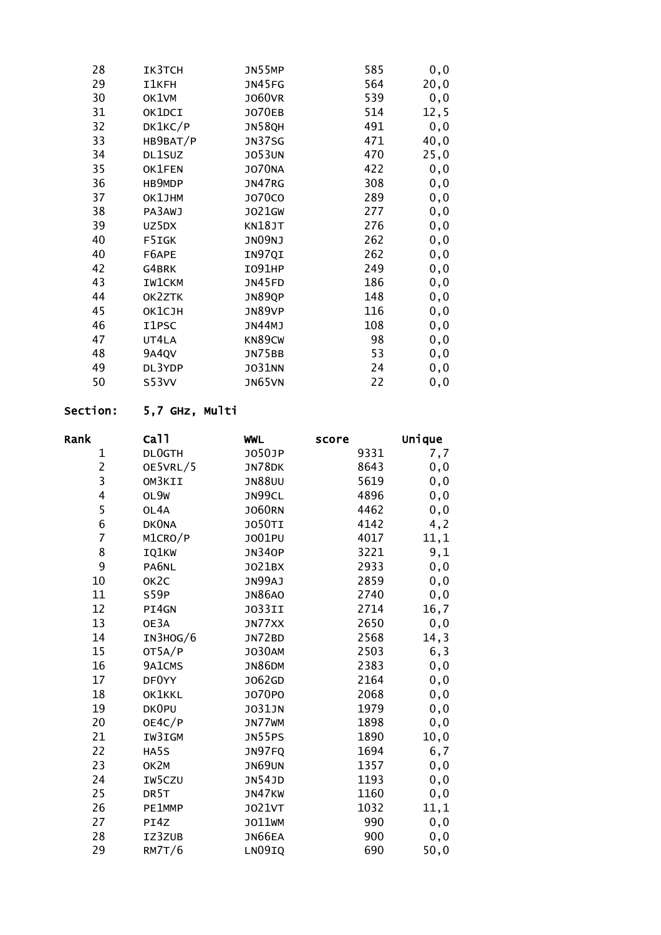| 28 | IK3TCH        | JN55MP        | 585 | 0, 0  |
|----|---------------|---------------|-----|-------|
| 29 | I1KFH         | <b>JN45FG</b> | 564 | 20,0  |
| 30 | OK1VM         | <b>JO60VR</b> | 539 | 0,0   |
| 31 | OK1DCI        | <b>JO70EB</b> | 514 | 12, 5 |
| 32 | DK1KC/P       | <b>JN58QH</b> | 491 | 0, 0  |
| 33 | HB9BAT/P      | <b>JN37SG</b> | 471 | 40,0  |
| 34 | DL1SUZ        | <b>JO53UN</b> | 470 | 25,0  |
| 35 | OK1FEN        | <b>JO70NA</b> | 422 | 0, 0  |
| 36 | HB9MDP        | JN47RG        | 308 | 0, 0  |
| 37 | OK1JHM        | <b>JO70CO</b> | 289 | 0, 0  |
| 38 | PA3AWJ        | J021GW        | 277 | 0, 0  |
| 39 | UZ5DX         | KN18JT        | 276 | 0, 0  |
| 40 | F5IGK         | JNO9NJ        | 262 | 0, 0  |
| 40 | F6APE         | IN97QI        | 262 | 0, 0  |
| 42 | G4BRK         | <b>IO91HP</b> | 249 | 0, 0  |
| 43 | <b>IW1CKM</b> | JN45FD        | 186 | 0, 0  |
| 44 | OK2ZTK        | JN89QP        | 148 | 0, 0  |
| 45 | OK1CJH        | JN89VP        | 116 | 0, 0  |
| 46 | I1PSC         | JN44MJ        | 108 | 0, 0  |
| 47 | UT4LA         | KN89CW        | 98  | 0, 0  |
| 48 | 9A4QV         | <b>JN75BB</b> | 53  | 0, 0  |
| 49 | DL3YDP        | J031NN        | 24  | 0, 0  |
| 50 | S53VV         | <b>JN65VN</b> | 22  | 0,0   |
|    |               |               |     |       |

## Section: 5,7 GHz, Multi

| Rank           | Ca <sub>11</sub>  | <b>WWL</b>    | score | Unique |
|----------------|-------------------|---------------|-------|--------|
| $\mathbf 1$    | DL0GTH            | J050JP        | 9331  | 7,7    |
| $\overline{c}$ | OE5VRL/5          | JN78DK        | 8643  | 0,0    |
| 3              | OM3KII            | <b>JN88UU</b> | 5619  | 0,0    |
| 4              | OL9W              | JN99CL        | 4896  | 0,0    |
| 5              | OL4A              | <b>JO60RN</b> | 4462  | 0,0    |
| 6              | <b>DKONA</b>      | <b>JO50TI</b> | 4142  | 4,2    |
| $\overline{7}$ | M1CRO/P           | J001PU        | 4017  | 11,1   |
| 8              | IQ1KW             | <b>JN340P</b> | 3221  | 9,1    |
| 9              | PA6NL             | J021BX        | 2933  | 0, 0   |
| 10             | OK <sub>2</sub> C | JN99AJ        | 2859  | 0, 0   |
| 11             | S59P              | <b>JN86A0</b> | 2740  | 0,0    |
| 12             | PI4GN             | <b>JO33II</b> | 2714  | 16,7   |
| 13             | OE3A              | JN77XX        | 2650  | 0,0    |
| 14             | IN3HOG/6          | JN72BD        | 2568  | 14, 3  |
| 15             | OT5A/P            | <b>JO30AM</b> | 2503  | 6,3    |
| 16             | 9A1CMS            | <b>JN86DM</b> | 2383  | 0, 0   |
| 17             | DF0YY             | J062GD        | 2164  | 0, 0   |
| 18             | OK1KKL            | J070P0        | 2068  | 0, 0   |
| 19             | DK0PU             | J031JN        | 1979  | 0,0    |
| 20             | OE4C/P            | JN77WM        | 1898  | 0,0    |
| 21             | IW3IGM            | JN55PS        | 1890  | 10, 0  |
| 22             | HA5S              | JN97FQ        | 1694  | 6,7    |
| 23             | OK2M              | JN69UN        | 1357  | 0,0    |
| 24             | IW5CZU            | <b>JN54JD</b> | 1193  | 0, 0   |
| 25             | DR <sub>5</sub> T | JN47KW        | 1160  | 0,0    |
| 26             | PE1MMP            | J021VT        | 1032  | 11,1   |
| 27             | PI4Z              | J011WM        | 990   | 0,0    |
| 28             | IZ3ZUB            | JN66EA        | 900   | 0, 0   |
| 29             | <b>RM7T/6</b>     | LN09IQ        | 690   | 50,0   |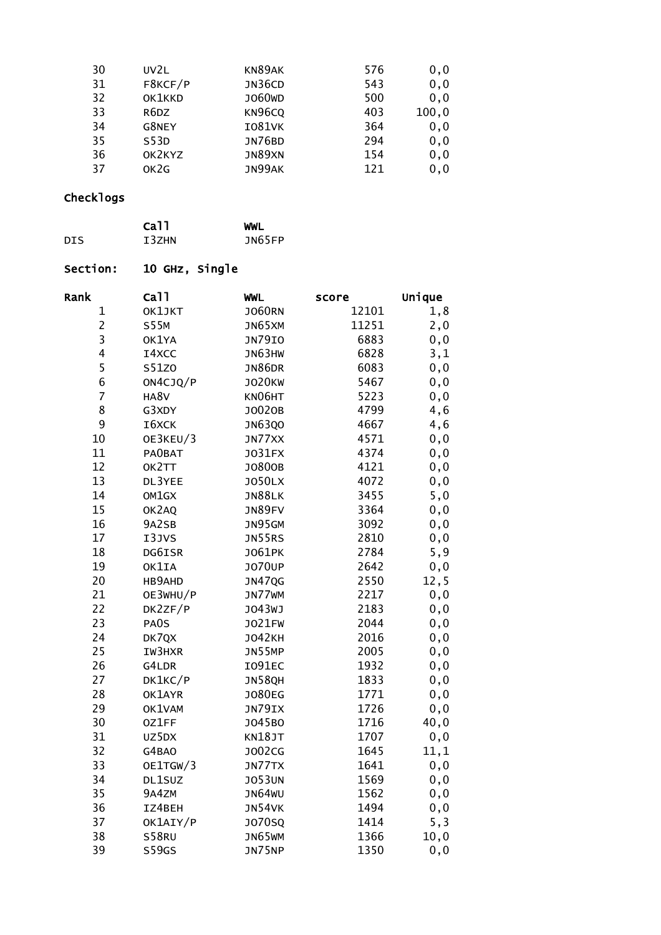| 30 | UV2L    | KN89AK             | 576 | 0, 0   |
|----|---------|--------------------|-----|--------|
| 31 | F8KCF/P | JN36CD             | 543 | 0, 0   |
| 32 | OK1KKD  | J060 <sub>WD</sub> | 500 | 0, 0   |
| 33 | R6DZ    | KN96CQ             | 403 | 100, 0 |
| 34 | G8NEY   | <b>IO81VK</b>      | 364 | 0, 0   |
| 35 | S53D    | <b>JN76BD</b>      | 294 | 0, 0   |
| 36 | OK2KYZ  | JN89XN             | 154 | 0, 0   |
| 37 | OK2G    | JN99AK             | 121 | 0, 0   |
|    |         |                    |     |        |

|      | Ca <sub>11</sub> | WWL    |
|------|------------------|--------|
| DIS. | T3ZHN            | JN65FP |

# Section: 10 GHz, Single

| Rank                    | Ca <sub>11</sub> | <b>WWL</b>    | score | Unique |
|-------------------------|------------------|---------------|-------|--------|
| $\mathbf 1$             | OK1JKT           | <b>JO60RN</b> | 12101 | 1,8    |
| $\overline{c}$          | <b>S55M</b>      | JN65XM        | 11251 | 2,0    |
| $\overline{\mathbf{3}}$ | OK1YA            | <b>JN79IO</b> | 6883  | 0, 0   |
| 4                       | I4XCC            | JN63HW        | 6828  | 3,1    |
| 5                       | S51Z0            | JN86DR        | 6083  | 0, 0   |
| 6                       | ON4CJQ/P         | <b>JO20KW</b> | 5467  | 0, 0   |
| $\overline{7}$          | HA8V             | KN06HT        | 5223  | 0, 0   |
| 8                       | G3XDY            | J0020B        | 4799  | 4,6    |
| 9                       | I6XCK            | <b>JN63QO</b> | 4667  | 4,6    |
| 10                      | OE3KEU/3         | JN77XX        | 4571  | 0, 0   |
| 11                      | <b>PAOBAT</b>    | J031FX        | 4374  | 0, 0   |
| 12                      | OK2TT            | J0800B        | 4121  | 0, 0   |
| 13                      | DL3YEE           | <b>JO50LX</b> | 4072  | 0, 0   |
| 14                      | OM1GX            | JN88LK        | 3455  | 5,0    |
| 15                      | OK2AQ            | JN89FV        | 3364  | 0, 0   |
| 16                      | 9A2SB            | JN95GM        | 3092  | 0, 0   |
| 17                      | I3JVS            | <b>JN55RS</b> | 2810  | 0,0    |
| 18                      | DG6ISR           | J061PK        | 2784  | 5,9    |
| 19                      | OK1IA            | <b>JO70UP</b> | 2642  | 0, 0   |
| 20                      | HB9AHD           | <b>JN47QG</b> | 2550  | 12, 5  |
| 21                      | OE3WHU/P         | JN77WM        | 2217  | 0, 0   |
| 22                      | DK2ZF/P          | J043WJ        | 2183  | 0, 0   |
| 23                      | PA0S             | <b>JO21FW</b> | 2044  | 0,0    |
| 24                      | DK7QX            | <b>JO42KH</b> | 2016  | 0,0    |
| 25                      | IW3HXR           | JN55MP        | 2005  | 0, 0   |
| 26                      | G4LDR            | I091EC        | 1932  | 0, 0   |
| 27                      | DK1KC/P          | <b>JN58QH</b> | 1833  | 0, 0   |
| 28                      | OK1AYR           | <b>JO80EG</b> | 1771  | 0, 0   |
| 29                      | OK1VAM           | JN79IX        | 1726  | 0, 0   |
| 30                      | 0Z1FF            | J045B0        | 1716  | 40,0   |
| 31                      | UZ5DX            | <b>KN18JT</b> | 1707  | 0, 0   |
| 32                      | G4BAO            | J002CG        | 1645  | 11,1   |
| 33                      | OE1TGW/3         | JN77TX        | 1641  | 0, 0   |
| 34                      | DL1SUZ           | <b>JO53UN</b> | 1569  | 0, 0   |
| 35                      | 9A4ZM            | JN64WU        | 1562  | 0, 0   |
| 36                      | IZ4BEH           | JN54VK        | 1494  | 0,0    |
| 37                      | OK1AIY/P         | <b>JO70SQ</b> | 1414  | 5, 3   |
| 38                      | <b>S58RU</b>     | JN65WM        | 1366  | 10, 0  |
| 39                      | <b>S59GS</b>     | JN75NP        | 1350  | 0, 0   |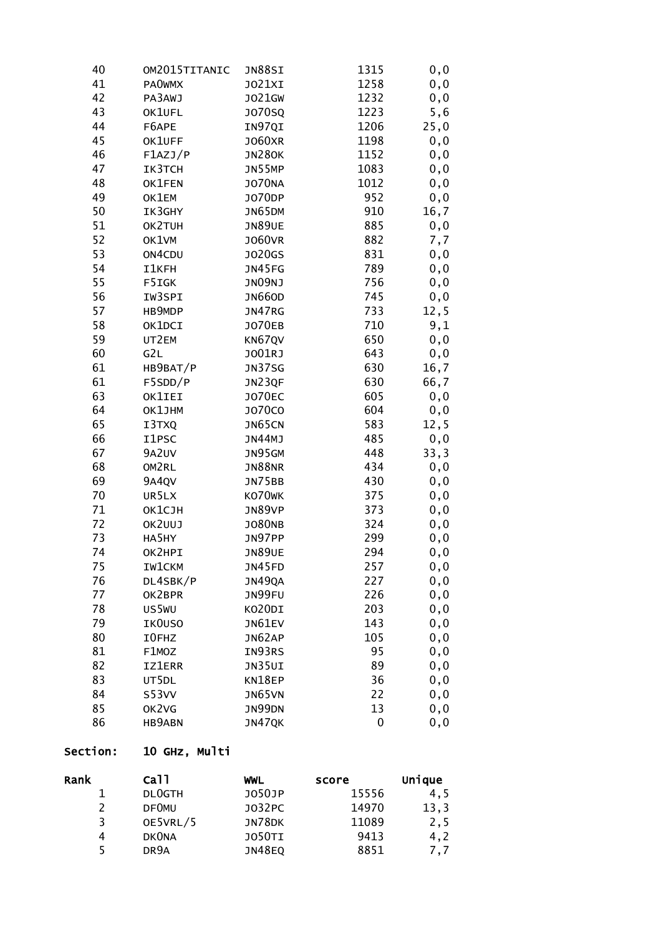| 40       | OM2015TITANIC | JN88SI        | 1315     | 0, 0  |
|----------|---------------|---------------|----------|-------|
| 41       | <b>PAOWMX</b> | J021XI        | 1258     | 0,0   |
| 42       | PA3AWJ        | J021GW        | 1232     | 0, 0  |
| 43       | OK1UFL        | J070SQ        | 1223     | 5,6   |
| 44       | F6APE         | IN97QI        | 1206     | 25,0  |
| 45       | OK1UFF        | J060XR        | 1198     | 0, 0  |
| 46       | F1AZJ/P       | <b>JN280K</b> | 1152     | 0,0   |
| 47       | IK3TCH        | JN55MP        | 1083     | 0,0   |
| 48       | OK1FEN        | <b>JO70NA</b> | 1012     | 0,0   |
| 49       | OK1EM         | J070DP        | 952      | 0,0   |
| 50       | IK3GHY        | JN65DM        | 910      | 16,7  |
| 51       | OK2TUH        | <b>JN89UE</b> | 885      | 0,0   |
| 52       | OK1VM         | <b>JO60VR</b> | 882      | 7,7   |
| 53       | ON4CDU        | J020GS        | 831      | 0, 0  |
| 54       | I1KFH         | JN45FG        | 789      | 0,0   |
| 55       | F5IGK         | JN09NJ        | 756      | 0,0   |
| 56       | IW3SPI        | <b>JN660D</b> | 745      | 0,0   |
| 57       | HB9MDP        | JN47RG        | 733      | 12, 5 |
| 58       | OK1DCI        | J070EB        | 710      | 9,1   |
| 59       | UT2EM         | KN67QV        | 650      | 0, 0  |
| 60       | G2L           | J001RJ        | 643      | 0, 0  |
| 61       | HB9BAT/P      | <b>JN37SG</b> | 630      | 16,7  |
| 61       | F5SDD/P       | JN23QF        | 630      | 66,7  |
| 63       | OK1IEI        | <b>JO70EC</b> | 605      | 0,0   |
| 64       | OK1JHM        | <b>JO70CO</b> | 604      | 0,0   |
| 65       | I3TXQ         | JN65CN        | 583      | 12, 5 |
| 66       | I1PSC         | JN44MJ        | 485      | 0, 0  |
| 67       | 9A2UV         | JN95GM        | 448      | 33,3  |
| 68       | OM2RL         | <b>JN88NR</b> | 434      | 0, 0  |
| 69       | 9A4QV         | JN75BB        | 430      | 0, 0  |
| 70       | UR5LX         | KO70WK        | 375      | 0,0   |
| 71       | OK1CJH        | JN89VP        | 373      | 0,0   |
| 72       | OK2UUJ        | <b>JO80NB</b> | 324      | 0, 0  |
| 73       | HA5HY         | JN97PP        | 299      | 0, 0  |
| 74       | OK2HPI        | <b>JN89UE</b> | 294      | 0, 0  |
| 75       | <b>IW1CKM</b> | JN45FD        | 257      | 0, 0  |
| 76       | DL4SBK/P      | JN49QA        | 227      | 0, 0  |
| 77       | OK2BPR        | JN99FU        | 226      | 0, 0  |
| 78       | US5WU         | KO20DI        | 203      | 0, 0  |
| 79       | IK0USO        | JN61EV        | 143      | 0, 0  |
| 80       | I0FHZ         | JN62AP        | 105      | 0, 0  |
| 81       | F1MOZ         | IN93RS        | 95       | 0, 0  |
| 82<br>83 | <b>IZ1ERR</b> | JN35UI        | 89       | 0, 0  |
|          | UT5DL         | KN18EP        | 36       | 0, 0  |
| 84<br>85 | S53VV         | JN65VN        | 22<br>13 | 0, 0  |
| 86       | OK2VG         | JN99DN        |          | 0, 0  |
|          | HB9ABN        | JN47QK        | 0        | 0, 0  |

## Section: 10 GHz, Multi

| Rank | ca11              | WWL           | score | Unique |
|------|-------------------|---------------|-------|--------|
|      | <b>DLOGTH</b>     | J050JP        | 15556 | 4,5    |
|      | <b>DFOMU</b>      | J032PC        | 14970 | 13, 3  |
|      | OE5VRL/5          | JN78DK        | 11089 | 2,5    |
| 4    | <b>DKONA</b>      | <b>JO50TI</b> | 9413  | 4,2    |
|      | DR <sub>9</sub> A | <b>JN48EQ</b> | 8851  | 7.7    |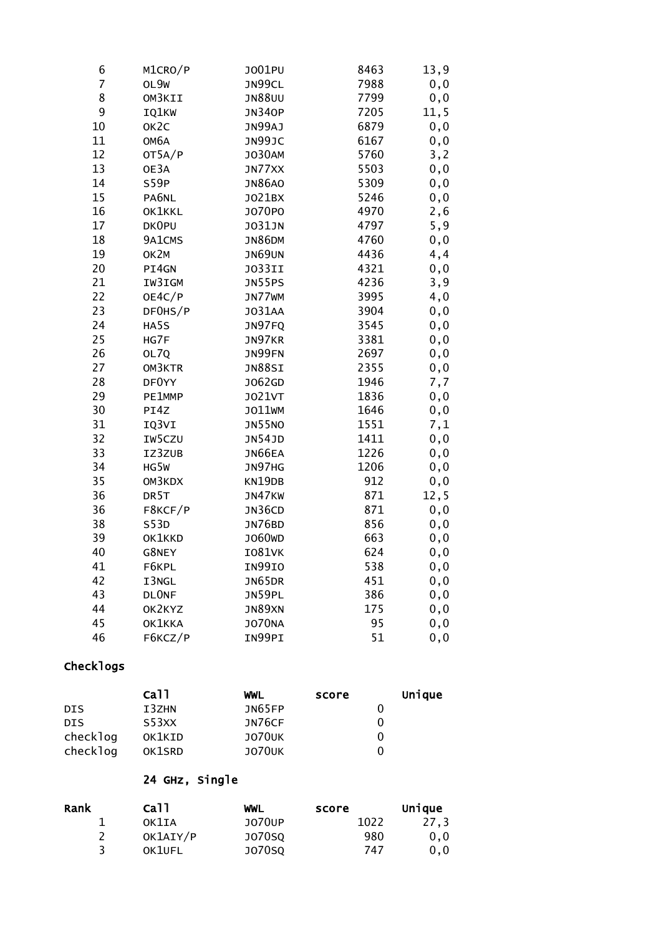| 6  | M1CRO/P           | J001PU        | 8463 | 13,9  |
|----|-------------------|---------------|------|-------|
| 7  | OL9W              | JN99CL        | 7988 | 0, 0  |
| 8  | OM3KII            | <b>JN88UU</b> | 7799 | 0, 0  |
| 9  | IQ1KW             | <b>JN340P</b> | 7205 | 11, 5 |
| 10 | OK <sub>2</sub> C | JN99AJ        | 6879 | 0, 0  |
| 11 | ОМ6А              | JN99JC        | 6167 | 0, 0  |
| 12 | OT5A/P            | <b>JO30AM</b> | 5760 | 3, 2  |
| 13 | OE3A              | JN77XX        | 5503 | 0, 0  |
| 14 | S59P              | <b>JN86AO</b> | 5309 | 0, 0  |
| 15 | PA6NL             | J021BX        | 5246 | 0,0   |
| 16 | OK1KKL            | J070P0        | 4970 | 2,6   |
| 17 | DK0PU             | <b>JO31JN</b> | 4797 | 5,9   |
| 18 | 9A1CMS            | <b>JN86DM</b> | 4760 | 0, 0  |
| 19 | OK2M              | <b>JN69UN</b> | 4436 | 4,4   |
| 20 | PI4GN             | <b>JO33II</b> | 4321 | 0,0   |
| 21 | IW3IGM            | JN55PS        | 4236 | 3,9   |
| 22 | OE4C/P            | JN77WM        | 3995 | 4,0   |
| 23 | DF0HS/P           | J031AA        | 3904 | 0, 0  |
| 24 | HA5S              | JN97FQ        | 3545 | 0, 0  |
| 25 | HG7F              | JN97KR        | 3381 | 0, 0  |
| 26 | OL7Q              | JN99FN        | 2697 | 0, 0  |
| 27 | OM3KTR            | JN88SI        | 2355 | 0,0   |
| 28 | DF0YY             | J062GD        | 1946 | 7,7   |
| 29 | PE1MMP            | <b>JO21VT</b> | 1836 | 0,0   |
| 30 | PI4Z              | J011WM        | 1646 | 0,0   |
| 31 | IQ3VI             | <b>JN55NO</b> | 1551 | 7,1   |
| 32 | IW5CZU            | JN54JD        | 1411 | 0,0   |
| 33 | IZ3ZUB            | JN66EA        | 1226 | 0,0   |
| 34 | HG5W              | JN97HG        | 1206 | 0,0   |
| 35 | OM3KDX            | KN19DB        | 912  | 0, 0  |
| 36 | DR5T              | JN47KW        | 871  | 12, 5 |
| 36 | F8KCF/P           | JN36CD        | 871  | 0, 0  |
| 38 | S53D              | JN76BD        | 856  | 0, 0  |
| 39 | OK1KKD            | J060WD        | 663  | 0,0   |
| 40 | G8NEY             | <b>IO81VK</b> | 624  | 0,0   |
| 41 | F6KPL             | <b>IN99IO</b> | 538  | 0,0   |
| 42 | I3NGL             | JN65DR        | 451  | 0,0   |
| 43 | <b>DLONF</b>      | JN59PL        | 386  | 0,0   |
| 44 | OK2KYZ            | JN89XN        | 175  | 0, 0  |
| 45 | OK1KKA            | <b>JO70NA</b> | 95   | 0,0   |
| 46 | F6KCZ/P           | IN99PI        | 51   | 0,0   |

|            | Ca <sub>11</sub> | WWL           | score | Unique |
|------------|------------------|---------------|-------|--------|
| DIS        | I3ZHN            | JN65FP        |       |        |
| <b>DIS</b> | S53XX            | JN76CF        |       |        |
| checklog   | OK1KID           | <b>JO70UK</b> |       |        |
| checklog   | OK1SRD           | <b>JO70UK</b> |       |        |

## 24 GHz, Single

| Rank | Ca11     | WWL           | score | Unique |
|------|----------|---------------|-------|--------|
|      | OK1IA    | J070UP        | 1022  | 27.3   |
|      | OK1AIY/P | J070S0        | 980   | 0.0    |
|      | OK1UFL   | <b>JO70SQ</b> | 747   | 0.0    |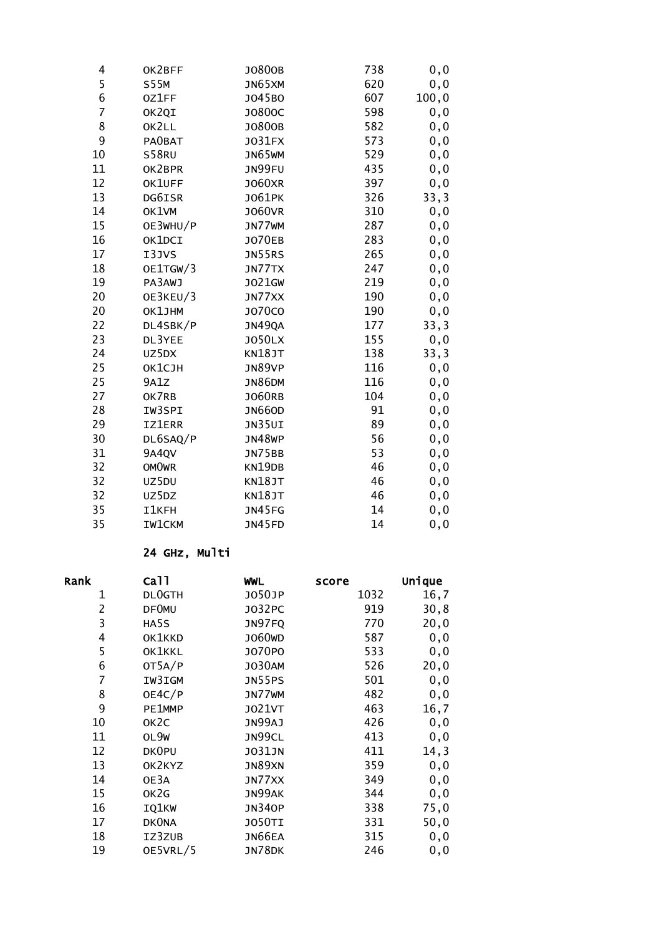| OK2BFF        | J0800B        | 738 | 0, 0   |
|---------------|---------------|-----|--------|
| <b>S55M</b>   | JN65XM        | 620 | 0, 0   |
| 0Z1FF         | J045B0        | 607 | 100, 0 |
| OK2QI         | J0800C        | 598 | 0, 0   |
| OK2LL         | J0800B        | 582 | 0, 0   |
| PA0BAT        | J031FX        | 573 | 0, 0   |
| S58RU         | JN65WM        | 529 | 0, 0   |
| OK2BPR        | JN99FU        | 435 | 0,0    |
| OK1UFF        | <b>JO60XR</b> | 397 | 0, 0   |
| DG6ISR        | J061PK        | 326 | 33,3   |
| OK1VM         | <b>JO60VR</b> | 310 | 0, 0   |
| OE3WHU/P      | JN77WM        | 287 | 0, 0   |
| OK1DCI        | J070EB        | 283 | 0, 0   |
| I3JVS         | JN55RS        | 265 | 0,0    |
| OE1TGW/3      | JN77TX        | 247 | 0, 0   |
| PA3AWJ        | J021GW        | 219 | 0, 0   |
| OE3KEU/3      | JN77XX        | 190 | 0, 0   |
| OK1JHM        | J070C0        | 190 | 0, 0   |
| DL4SBK/P      | <b>JN49QA</b> | 177 | 33,3   |
| DL3YEE        | <b>JO50LX</b> | 155 | 0, 0   |
| UZ5DX         | KN18JT        | 138 | 33,3   |
| <b>ОК1СЈН</b> | JN89VP        | 116 | 0, 0   |
| 9A1Z          | <b>JN86DM</b> | 116 | 0, 0   |
| OK7RB         | J060RB        | 104 | 0, 0   |
| IW3SPI        | <b>JN660D</b> | 91  | 0, 0   |
| <b>IZ1ERR</b> | JN35UI        | 89  | 0, 0   |
| DL6SAQ/P      | JN48WP        | 56  | 0, 0   |
| 9A4QV         | JN75BB        | 53  | 0, 0   |
| <b>OMOWR</b>  | KN19DB        | 46  | 0, 0   |
| UZ5DU         | <b>KN18JT</b> | 46  | 0,0    |
| UZ5DZ         | KN18JT        | 46  | 0, 0   |
| <b>I1KFH</b>  | JN45FG        | 14  | 0, 0   |
| <b>IW1CKM</b> | <b>JN45FD</b> | 14  | 0, 0   |
|               |               |     |        |

#### 24 GHz, Multi

| Rank           | Call              | <b>WWL</b>         | score | Unique |
|----------------|-------------------|--------------------|-------|--------|
| 1              | <b>DLOGTH</b>     | J050JP             | 1032  | 16,7   |
| $\overline{2}$ | <b>DF0MU</b>      | J032PC             | 919   | 30, 8  |
| 3              | HA5S              | JN97FQ             | 770   | 20,0   |
| 4              | OK1KKD            | J060 <sub>WD</sub> | 587   | 0, 0   |
| 5              | OK1KKL            | J070P0             | 533   | 0, 0   |
| 6              | OT5A/P            | <b>JO30AM</b>      | 526   | 20,0   |
| 7              | IW3IGM            | <b>JN55PS</b>      | 501   | 0, 0   |
| 8              | OE4C/P            | JN77WM             | 482   | 0, 0   |
| 9              | PE1MMP            | <b>JO21VT</b>      | 463   | 16,7   |
| 10             | OK <sub>2</sub> C | JN99AJ             | 426   | 0, 0   |
| 11             | OL9W              | JN99CL             | 413   | 0, 0   |
| 12             | <b>DKOPU</b>      | <b>JO31JN</b>      | 411   | 14, 3  |
| 13             | OK2KYZ            | JN89XN             | 359   | 0, 0   |
| 14             | OE3A              | JN77XX             | 349   | 0, 0   |
| 15             | OK2G              | JN99AK             | 344   | 0, 0   |
| 16             | IQ1KW             | <b>JN340P</b>      | 338   | 75,0   |
| 17             | <b>DKONA</b>      | <b>JO50TI</b>      | 331   | 50,0   |
| 18             | IZ3ZUB            | JN66EA             | 315   | 0, 0   |
| 19             | OE5VRL/5          | JN78DK             | 246   | 0, 0   |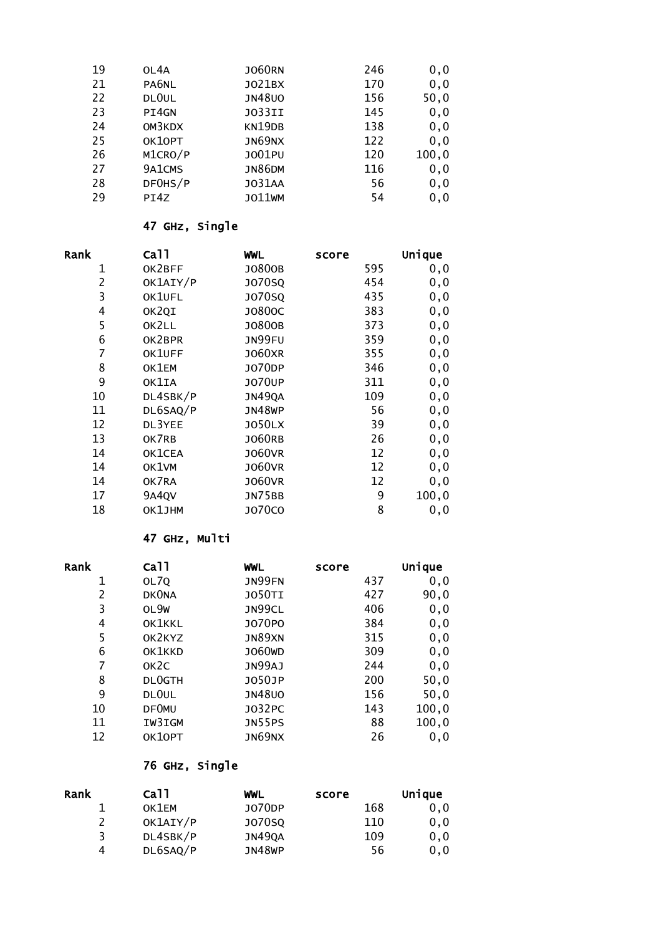| 19 | OL4A    | <b>JO60RN</b> | 246 | 0, 0   |
|----|---------|---------------|-----|--------|
| 21 | PA6NL   | J021BX        | 170 | 0, 0   |
| 22 | DLOUL   | <b>JN48U0</b> | 156 | 50,0   |
| 23 | PI4GN   | <b>JO33II</b> | 145 | 0, 0   |
| 24 | OM3KDX  | KN19DB        | 138 | 0, 0   |
| 25 | OK1OPT  | JN69NX        | 122 | 0, 0   |
| 26 | M1CRO/P | J001PU        | 120 | 100, 0 |
| 27 | 9A1CMS  | <b>JN86DM</b> | 116 | 0, 0   |
| 28 | DF0HS/P | <b>JO31AA</b> | 56  | 0, 0   |
| 29 | PI4Z    | J011WM        | 54  | 0, 0   |

#### 47 GHz, Single

| Rank           | Ca11     | <b>WWL</b>    | score | Unique |
|----------------|----------|---------------|-------|--------|
| 1              | OK2BFF   | J0800B        | 595   | 0, 0   |
| $\overline{2}$ | OK1AIY/P | <b>JO70SQ</b> | 454   | 0, 0   |
| 3              | OK1UFL   | <b>JO70SQ</b> | 435   | 0, 0   |
| $\overline{4}$ | OK2QI    | J0800C        | 383   | 0, 0   |
| 5              | OK2LL    | J0800B        | 373   | 0, 0   |
| 6              | OK2BPR   | JN99FU        | 359   | 0, 0   |
| 7              | OK1UFF   | <b>JO60XR</b> | 355   | 0, 0   |
| 8              | OK1EM    | J070DP        | 346   | 0, 0   |
| 9              | OK1IA    | <b>JO70UP</b> | 311   | 0, 0   |
| 10             | DL4SBK/P | <b>JN49QA</b> | 109   | 0, 0   |
| 11             | DL6SAQ/P | <b>JN48WP</b> | 56    | 0, 0   |
| 12             | DL3YEE   | <b>JO50LX</b> | 39    | 0, 0   |
| 13             | OK7RB    | <b>JO60RB</b> | 26    | 0, 0   |
| 14             | OK1CEA   | <b>JO60VR</b> | 12    | 0, 0   |
| 14             | OK1VM    | <b>JO60VR</b> | 12    | 0, 0   |
| 14             | OK7RA    | <b>JO60VR</b> | 12    | 0, 0   |
| 17             | 9A4QV    | <b>JN75BB</b> | 9     | 100, 0 |
| 18             | OK1JHM   | <b>JO70CO</b> | 8     | 0, 0   |

#### 47 GHz, Multi

| Rank | Ca <sub>11</sub>  | <b>WWL</b>         | score | Unique |
|------|-------------------|--------------------|-------|--------|
| 1    | OL7Q              | JN99FN             | 437   | 0, 0   |
| 2    | <b>DKONA</b>      | <b>JO50TI</b>      | 427   | 90,0   |
| 3    | OL9W              | JN99CL             | 406   | 0, 0   |
| 4    | OK1KKL            | J070P0             | 384   | 0, 0   |
| 5    | OK2KYZ            | JN89XN             | 315   | 0, 0   |
| 6    | OK1KKD            | J060 <sub>WD</sub> | 309   | 0, 0   |
| 7    | OK <sub>2</sub> C | JN99AJ             | 244   | 0, 0   |
| 8    | <b>DLOGTH</b>     | J050JP             | 200   | 50,0   |
| 9    | DL <sub>OUL</sub> | <b>JN48U0</b>      | 156   | 50,0   |
| 10   | <b>DF0MU</b>      | J032PC             | 143   | 100, 0 |
| 11   | IW3IGM            | <b>JN55PS</b>      | 88    | 100, 0 |
| 12   | OK10PT            | JN69NX             | 26    | 0, 0   |

### 76 GHz, Single

| Rank | Ca <sub>11</sub> | WWL           | score | Unique |
|------|------------------|---------------|-------|--------|
|      | OK1EM            | J070DP        | 168   | 0, 0   |
|      | OK1AIY/P         | <b>JO70SQ</b> | 110   | 0, 0   |
| ર    | DL4SBK/P         | JN49QA        | 109   | 0, 0   |
| 4    | DL6SAQ/P         | JN48WP        | 56    | 0, 0   |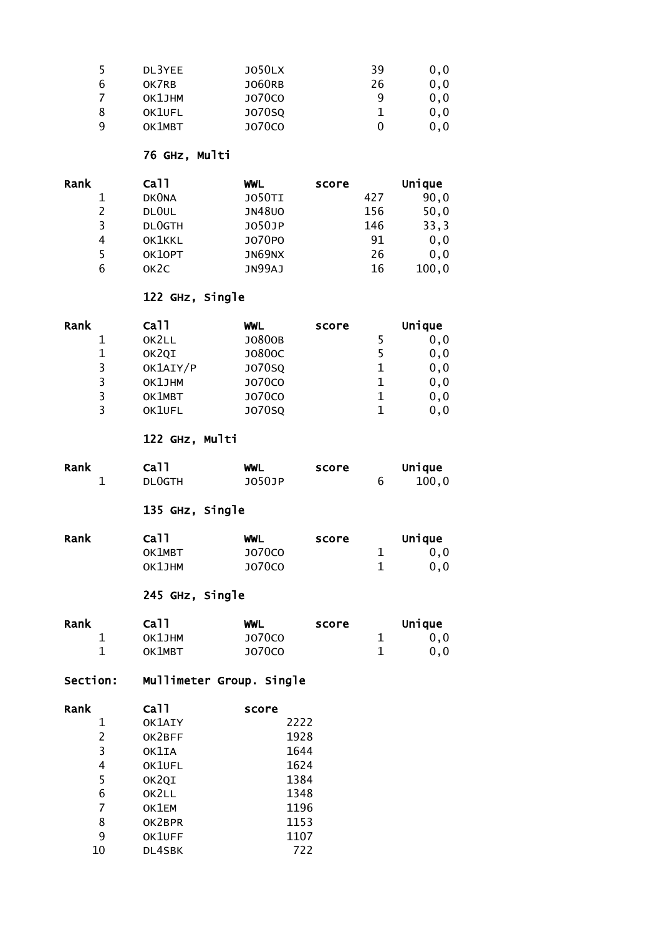| 5 | DL3YEE | <b>JO50LX</b> | 39 | 0.0 |
|---|--------|---------------|----|-----|
| 6 | OK7RB  | <b>JO60RB</b> | 26 | 0.0 |
|   | OK1JHM | J070C0        | q  | 0.0 |
| 8 | OK1UFL | <b>JO70SQ</b> |    | 0.0 |
| q | OK1MBT | <b>JO70CO</b> |    | 0.0 |

#### 76 GHz, Multi

| Rank          | ca11              | WWL           | score | Unique |
|---------------|-------------------|---------------|-------|--------|
|               | <b>DKONA</b>      | <b>JO50TI</b> | 427   | 90,0   |
| $\mathcal{P}$ | DLOUL             | <b>JN48UO</b> | 156   | 50,0   |
| 3             | <b>DLOGTH</b>     | J050JP        | 146   | 33,3   |
| 4             | OK1KKL            | J070P0        | 91    | 0, 0   |
| 5             | OK10PT            | JN69NX        | 26    | 0, 0   |
| 6             | OK <sub>2</sub> C | JN99AJ        | 16    | 100, 0 |

#### 122 GHz, Single

| Rank | ca11     | WWL           | score | Unique |
|------|----------|---------------|-------|--------|
|      | OK2LL    | J0800B        |       | 0, 0   |
|      | OK2QI    | J0800C        |       | 0, 0   |
| 3    | OK1AIY/P | <b>JO70SQ</b> |       | 0, 0   |
| 3    | OK1JHM   | <b>JO70CO</b> |       | 0, 0   |
| 3    | OK1MBT   | <b>JO70CO</b> |       | 0, 0   |
| २    | OK1UFL   | <b>JO70SQ</b> |       | 0.0    |

### 122 GHz, Multi

| Rank | Ca <sub>11</sub> | WWL    | score | Unique |
|------|------------------|--------|-------|--------|
|      | DL0GTH           | J050JP |       | 100.0  |

### 135 GHz, Single

| Rank | Ca11   | WWL    | score | Unique |
|------|--------|--------|-------|--------|
|      | OK1MBT | J070CO |       | 0.0    |
|      | OK1JHM | J070CO |       | 0.0    |

## 245 GHz, Single

| Rank | ca11   | WWL    | score | Unique |
|------|--------|--------|-------|--------|
|      | OK1JHM | J070C0 |       | 0.0    |
|      | OK1MBT | J070CO |       | 0.0    |

### Section: Mullimeter Group. Single

| Rank | Ca11   | score |
|------|--------|-------|
| 1    | OK1AIY | 2222  |
| 2    | OK2BFF | 1928  |
| 3    | OK1IA  | 1644  |
| 4    | OK1UFL | 1624  |
| 5    | OK2QI  | 1384  |
| 6    | OK2LL  | 1348  |
| 7    | OK1EM  | 1196  |
| 8    | OK2BPR | 1153  |
| 9    | OK1UFF | 1107  |
| 10   | DL4SBK | 722   |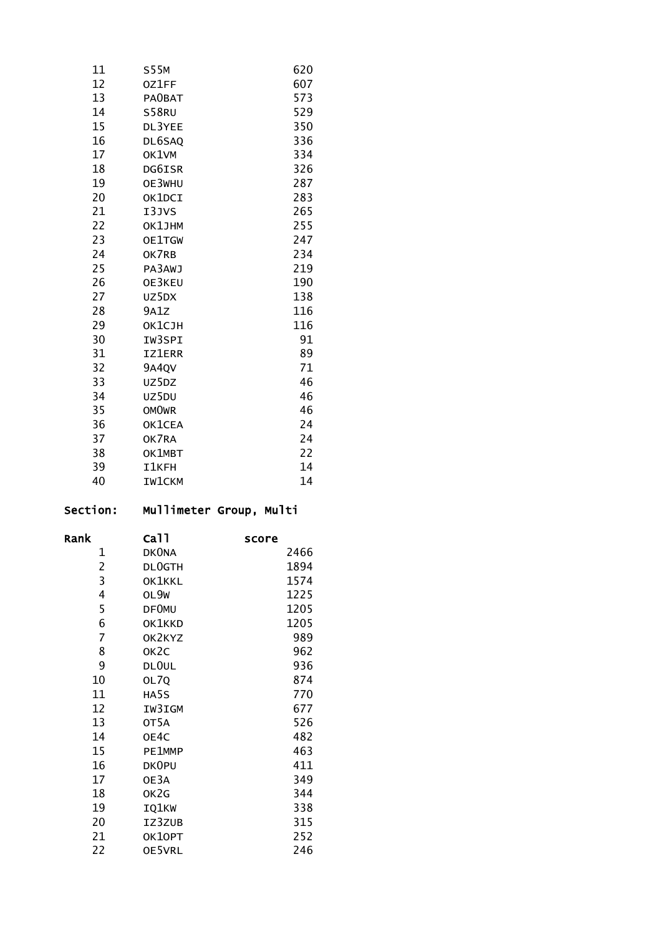| 11 | S55M          | 620 |
|----|---------------|-----|
| 12 | 0Z1FF         | 607 |
| 13 | <b>PAOBAT</b> | 573 |
| 14 | S58RU         | 529 |
| 15 | DL3YEE        | 350 |
| 16 | DL6SAQ        | 336 |
| 17 | OK1VM         | 334 |
| 18 | DG6ISR        | 326 |
| 19 | OE3WHU        | 287 |
| 20 | OK1DCI        | 283 |
| 21 | I3JVS         | 265 |
| 22 | OK1JHM        | 255 |
| 23 | OE1TGW        | 247 |
| 24 | OK7RB         | 234 |
| 25 | PA3AWJ        | 219 |
| 26 | OE3KEU        | 190 |
| 27 | uz5dx         | 138 |
| 28 | 9A1Z          | 116 |
| 29 | ОК1СЈН        | 116 |
| 30 | IW3SPI        | 91  |
| 31 | <b>IZ1ERR</b> | 89  |
| 32 | 9A4QV         | 71  |
| 33 | UZ5DZ         | 46  |
| 34 | UZ5DU         | 46  |
| 35 | <b>OMOWR</b>  | 46  |
| 36 | OK1CEA        | 24  |
| 37 | OK7RA         | 24  |
| 38 | OK1MBT        | 22  |
| 39 | I1KFH         | 14  |
| 40 | <b>IW1CKM</b> | 14  |
|    |               |     |

# Section: Mullimeter Group, Multi

| Rank | Ca11              | score |
|------|-------------------|-------|
| 1    | <b>DKONA</b>      | 2466  |
| 2    | <b>DLOGTH</b>     | 1894  |
| 3    | OK1KKL            | 1574  |
| 4    | OL9W              | 1225  |
| 5    | <b>DF0MU</b>      | 1205  |
| 6    | OK1KKD            | 1205  |
| 7    | OK2KYZ            | 989   |
| 8    | OK <sub>2</sub> C | 962   |
| 9    | DL0UL             | 936   |
| 10   | OL7Q              | 874   |
| 11   | HA5S              | 770   |
| 12   | IW3IGM            | 677   |
| 13   | OT5A              | 526   |
| 14   | OE4C              | 482   |
| 15   | PE1MMP            | 463   |
| 16   | DK0PU             | 411   |
| 17   | OE3A              | 349   |
| 18   | OK2G              | 344   |
| 19   | IQ1KW             | 338   |
| 20   | IZ3ZUB            | 315   |
| 21   | OK10PT            | 252   |
| 22   | OE5VRL            | 246   |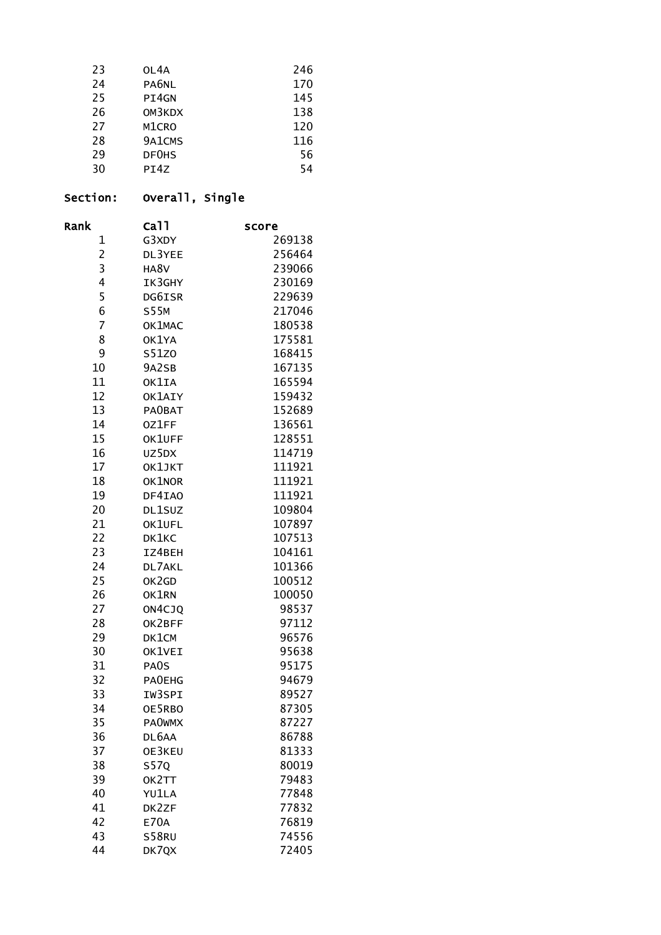| 23 | OL4A   | 246 |
|----|--------|-----|
| 24 | PA6NL  | 170 |
| 25 | PI4GN  | 145 |
| 26 | OM3KDX | 138 |
| 27 | M1CRO  | 120 |
| 28 | 9A1CMS | 116 |
| 29 | DF0HS  | 56  |
| 30 | PI4Z   | 54  |

# Section: Overall, Single

| Rank           | Ca <sub>11</sub> | score  |
|----------------|------------------|--------|
| 1              | G3XDY            | 269138 |
| $\overline{c}$ | DL3YEE           | 256464 |
| 3              | HA8V             | 239066 |
| 4              | IK3GHY           | 230169 |
| 5              | DG6ISR           | 229639 |
| 6              | <b>S55M</b>      | 217046 |
| 7              | OK1MAC           | 180538 |
| 8              | OK1YA            | 175581 |
| 9              | S51Z0            | 168415 |
| 10             | 9A2SB            | 167135 |
| 11             | OK1IA            | 165594 |
| 12             | OK1AIY           | 159432 |
| 13             | PA0BAT           | 152689 |
| 14             | 0Z1FF            | 136561 |
| 15             | OK1UFF           | 128551 |
| 16             | UZ5DX            | 114719 |
| 17             | OK1JKT           | 111921 |
| 18             | OK1NOR           | 111921 |
| 19             | DF4IA0           | 111921 |
| 20             | DL1SUZ           | 109804 |
| 21             | OK1UFL           | 107897 |
| 22             | DK1KC            | 107513 |
| 23             | IZ4BEH           | 104161 |
| 24             | DL7AKL           | 101366 |
| 25             | OK2GD            | 100512 |
| 26             | OK1RN            | 100050 |
| 27             | ON4CJQ           | 98537  |
| 28             | OK2BFF           | 97112  |
| 29             | DK1CM            | 96576  |
| 30             | OK1VEI           | 95638  |
| 31             | PA0S             | 95175  |
| 32             | <b>PAOEHG</b>    | 94679  |
| 33             | IW3SPI           | 89527  |
| 34             | OE5RBO           | 87305  |
| 35             | <b>PAOWMX</b>    | 87227  |
| 36             | DL6AA            | 86788  |
| 37             | OE3KEU           | 81333  |
| 38             | <b>S57Q</b>      | 80019  |
| 39             | OK2TT            | 79483  |
| 40             | <b>YU1LA</b>     | 77848  |
| 41             | DK2ZF            | 77832  |
| 42             | <b>E70A</b>      | 76819  |
| 43             | S58RU            | 74556  |
| 44             | DK7QX            | 72405  |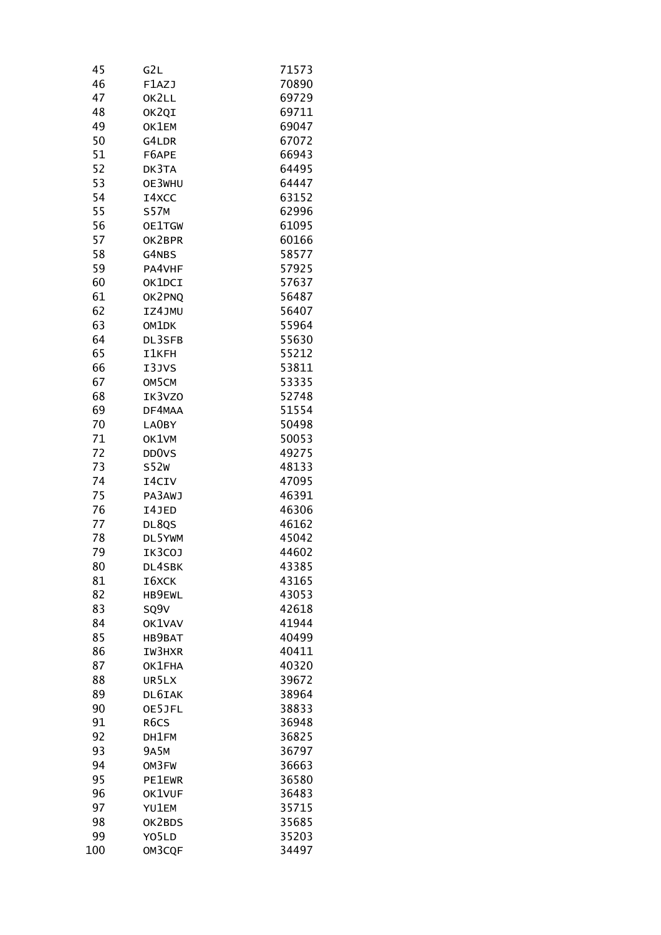| 45  | G2L                | 71573 |
|-----|--------------------|-------|
| 46  | F1AZJ              | 70890 |
| 47  | OK2LL              | 69729 |
| 48  | OK2QI              | 69711 |
| 49  | OK1EM              | 69047 |
| 50  | G4LDR              | 67072 |
| 51  | F6APE              | 66943 |
| 52  | DK3TA              | 64495 |
| 53  | OE3WHU             | 64447 |
| 54  | I4XCC              | 63152 |
|     |                    |       |
| 55  | <b>S57M</b>        | 62996 |
| 56  | OE1TGW             | 61095 |
| 57  | OK2BPR             | 60166 |
| 58  | G4NBS              | 58577 |
| 59  | PA4VHF             | 57925 |
| 60  | OK1DCI             | 57637 |
| 61  | OK2PNQ             | 56487 |
| 62  | IZ4JMU             | 56407 |
| 63  | OM1DK              | 55964 |
| 64  | DL3SFB             | 55630 |
| 65  | <b>I1KFH</b>       | 55212 |
| 66  | I3JVS              | 53811 |
| 67  | OM5CM              | 53335 |
| 68  | IK3VZ0             | 52748 |
| 69  | DF4MAA             | 51554 |
| 70  | LA0BY              | 50498 |
|     | OK1VM              | 50053 |
| 71  |                    |       |
| 72  | DD <sub>0</sub> VS | 49275 |
| 73  | <b>S52W</b>        | 48133 |
| 74  | I4CIV              | 47095 |
| 75  | PA3AWJ             | 46391 |
| 76  | I4JED              | 46306 |
| 77  | DL8QS              | 46162 |
| 78  | DL5YWM             | 45042 |
| 79  | IK3COJ             | 44602 |
| 80  | DL4SBK             | 43385 |
| 81  | I6XCK              | 43165 |
| 82  | HB9EWL             | 43053 |
| 83  | SQ9V               | 42618 |
| 84  | OK1VAV             | 41944 |
| 85  | HB9BAT             | 40499 |
| 86  | IW3HXR             | 40411 |
| 87  | OK1FHA             | 40320 |
| 88  | UR5LX              | 39672 |
| 89  | DL6IAK             | 38964 |
| 90  | OE5JFL             | 38833 |
|     |                    |       |
| 91  | R <sub>6</sub> CS  | 36948 |
| 92  | DH1FM              | 36825 |
| 93  | <b>9A5M</b>        | 36797 |
| 94  | OM3FW              | 36663 |
| 95  | <b>PE1EWR</b>      | 36580 |
| 96  | OK1VUF             | 36483 |
| 97  | YU1EM              | 35715 |
| 98  | OK2BDS             | 35685 |
| 99  | Y05LD              | 35203 |
| 100 | OM3CQF             | 34497 |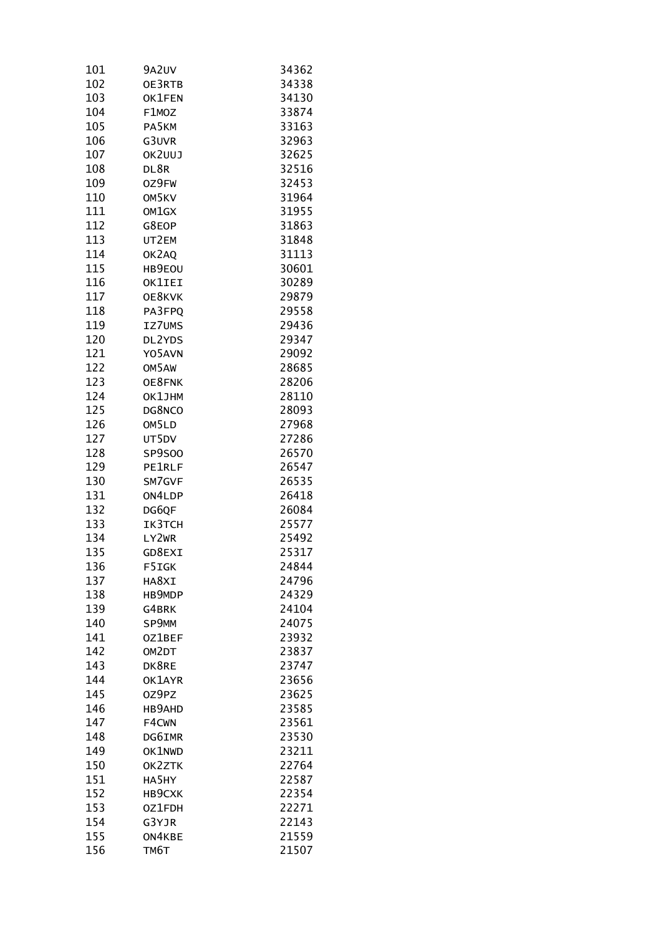| 101 | 9A2UV         | 34362 |
|-----|---------------|-------|
| 102 | OE3RTB        | 34338 |
| 103 | OK1FEN        | 34130 |
| 104 | F1MOZ         | 33874 |
| 105 | PA5KM         | 33163 |
| 106 | G3UVR         | 32963 |
| 107 | OK2UUJ        | 32625 |
| 108 | DL8R          | 32516 |
| 109 | 0Z9FW         | 32453 |
| 110 | OM5KV         | 31964 |
| 111 | OM1GX         | 31955 |
| 112 | G8EOP         | 31863 |
| 113 | UT2EM         | 31848 |
| 114 | OK2AQ         | 31113 |
| 115 | HB9EOU        | 30601 |
| 116 | OK1IEI        | 30289 |
| 117 | OE8KVK        | 29879 |
| 118 | PA3FPQ        | 29558 |
| 119 | IZ7UMS        | 29436 |
| 120 | DL2YDS        | 29347 |
| 121 | Y05AVN        | 29092 |
| 122 | OM5AW         | 28685 |
| 123 | OE8FNK        | 28206 |
| 124 | OK1JHM        | 28110 |
| 125 | DG8NCO        | 28093 |
| 126 | OM5LD         | 27968 |
| 127 | UT5DV         | 27286 |
| 128 | SP9S00        | 26570 |
| 129 | <b>PE1RLF</b> | 26547 |
| 130 | SM7GVF        | 26535 |
| 131 | ON4LDP        | 26418 |
| 132 | DG6QF         | 26084 |
| 133 | IK3TCH        | 25577 |
| 134 | LY2WR         | 25492 |
| 135 | GD8EXI        | 25317 |
| 136 | F5IGK         | 24844 |
| 137 | HA8XI         | 24796 |
| 138 | HB9MDP        | 24329 |
| 139 | G4BRK         | 24104 |
| 140 | SP9MM         | 24075 |
| 141 | OZ1BEF        | 23932 |
| 142 | OM2DT         | 23837 |
| 143 | DK8RE         | 23747 |
| 144 | OK1AYR        | 23656 |
| 145 | OZ9PZ         | 23625 |
| 146 | HB9AHD        | 23585 |
| 147 | F4CWN         | 23561 |
| 148 | DG6IMR        | 23530 |
| 149 | OK1NWD        | 23211 |
| 150 | OK2ZTK        | 22764 |
| 151 | HA5HY         | 22587 |
| 152 | <b>НВ9СХК</b> | 22354 |
| 153 | 0Z1FDH        | 22271 |
| 154 | G3YJR         | 22143 |
| 155 | ON4KBE        | 21559 |
| 156 | TM6T          | 21507 |
|     |               |       |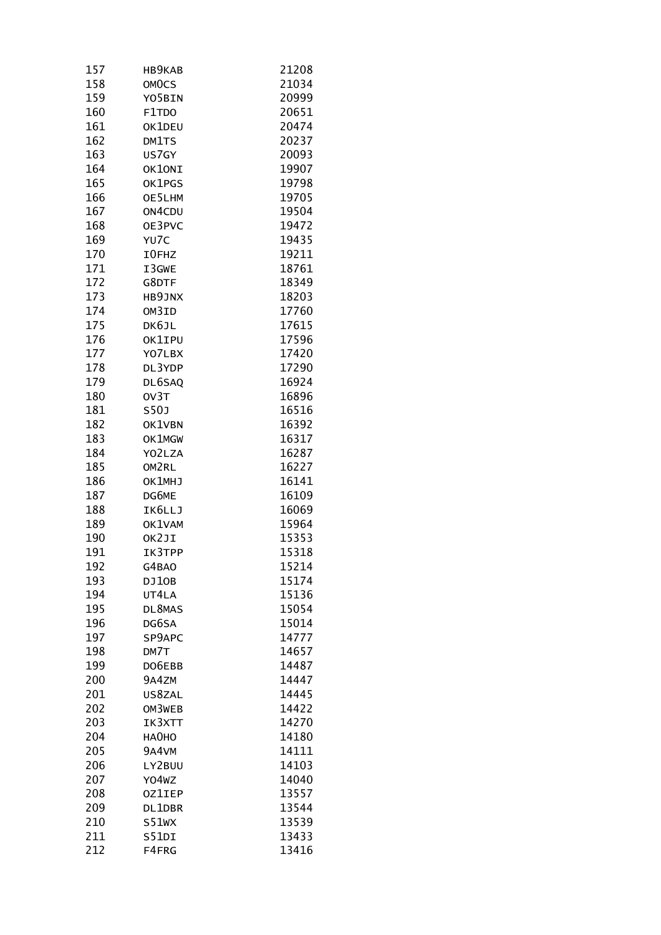| 157 | HB9KAB        | 21208 |
|-----|---------------|-------|
| 158 | OMOCS         | 21034 |
| 159 | Y05BIN        | 20999 |
| 160 | F1TDO         | 20651 |
| 161 | OK1DEU        | 20474 |
| 162 | DM1TS         | 20237 |
| 163 | US7GY         | 20093 |
| 164 | OK1ONI        | 19907 |
| 165 | OK1PGS        | 19798 |
| 166 | OE5LHM        | 19705 |
| 167 | ON4CDU        | 19504 |
| 168 | OE3PVC        | 19472 |
| 169 | YU7C          | 19435 |
| 170 | I0FHZ         | 19211 |
| 171 | I3GWE         | 18761 |
| 172 | G8DTF         | 18349 |
| 173 | HB9JNX        | 18203 |
| 174 | OM3ID         | 17760 |
| 175 | DK6JL         | 17615 |
| 176 | OK1IPU        | 17596 |
| 177 | YO7LBX        | 17420 |
| 178 | DL3YDP        | 17290 |
| 179 | DL6SAQ        | 16924 |
| 180 | OV3T          | 16896 |
| 181 | <b>S50J</b>   | 16516 |
| 182 | OK1VBN        | 16392 |
| 183 | OK1MGW        | 16317 |
| 184 | YO2LZA        | 16287 |
| 185 | OM2RL         | 16227 |
| 186 | OK1MHJ        | 16141 |
| 187 | DG6ME         | 16109 |
| 188 | IK6LLJ        | 16069 |
| 189 | OK1VAM        | 15964 |
| 190 | OK2JI         | 15353 |
| 191 | IK3TPP        | 15318 |
| 192 | G4BAO         | 15214 |
| 193 | DJ10B         | 15174 |
| 194 | UT4LA         | 15136 |
| 195 | DL8MAS        | 15054 |
| 196 | DG6SA         | 15014 |
| 197 | SP9APC        | 14777 |
| 198 | DM7T          | 14657 |
| 199 | DO6EBB        | 14487 |
| 200 | 9A4ZM         | 14447 |
| 201 | US8ZAL        | 14445 |
| 202 | OM3WEB        | 14422 |
| 203 | IK3XTT        | 14270 |
| 204 | HA0HO         | 14180 |
| 205 | 9A4VM         | 14111 |
| 206 | LY2BUU        | 14103 |
| 207 | Y04wZ         | 14040 |
| 208 | <b>OZ1IEP</b> | 13557 |
| 209 | DL1DBR        | 13544 |
| 210 | S51WX         | 13539 |
| 211 | S51DI         | 13433 |
| 212 | F4FRG         | 13416 |
|     |               |       |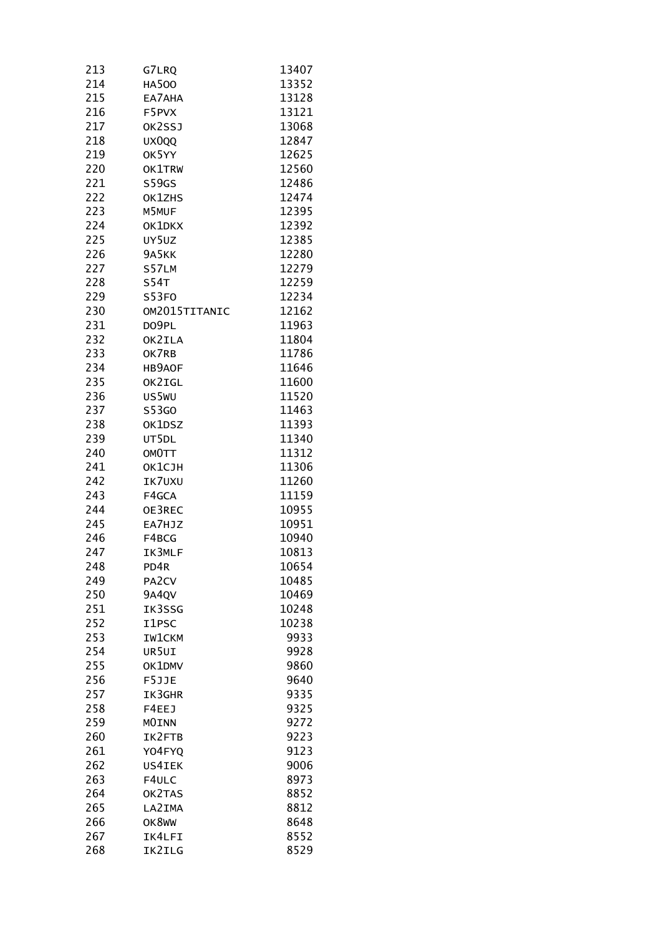| 213 | G7LRQ              | 13407 |
|-----|--------------------|-------|
| 214 | <b>HA500</b>       | 13352 |
| 215 | EA7AHA             | 13128 |
| 216 | F5PVX              | 13121 |
| 217 | OK2SSJ             | 13068 |
| 218 | UX0QQ              | 12847 |
| 219 | OK5YY              | 12625 |
| 220 | OK1TRW             | 12560 |
| 221 | S59GS              | 12486 |
| 222 | OK1ZHS             | 12474 |
| 223 | M5MUF              | 12395 |
| 224 | OK1DKX             | 12392 |
| 225 | UY5UZ              | 12385 |
| 226 | 9A5KK              | 12280 |
| 227 | S57LM              | 12279 |
| 228 | S <sub>54T</sub>   | 12259 |
| 229 | <b>S53FO</b>       | 12234 |
| 230 | OM2015TITANIC      | 12162 |
| 231 | DO9PL              | 11963 |
| 232 | OK2ILA             | 11804 |
| 233 | OK7RB              | 11786 |
| 234 | HB9AOF             | 11646 |
| 235 | OK2IGL             | 11600 |
| 236 | US5WU              | 11520 |
| 237 | S53G0              | 11463 |
| 238 | OK1DSZ             | 11393 |
| 239 | UT5DL              | 11340 |
| 240 | OMOTT              | 11312 |
| 241 | OK1CJH             | 11306 |
| 242 | IK7UXU             | 11260 |
| 243 | F4GCA              | 11159 |
| 244 | OE3REC             | 10955 |
| 245 | EA7HJZ             | 10951 |
| 246 | F4BCG              | 10940 |
| 247 | IK3MLF             | 10813 |
| 248 | PD4R               | 10654 |
| 249 | PA <sub>2</sub> CV | 10485 |
| 250 | 9A4QV              | 10469 |
| 251 | IK3SSG             | 10248 |
| 252 | I1PSC              | 10238 |
| 253 | <b>IW1CKM</b>      | 9933  |
| 254 | UR5UI              | 9928  |
| 255 | OK1DMV             | 9860  |
| 256 | F5JJE              | 9640  |
| 257 | IK3GHR             | 9335  |
| 258 | F4EEJ              | 9325  |
| 259 | MOINN              | 9272  |
| 260 | IK2FTB             | 9223  |
| 261 | Y04FYQ             | 9123  |
| 262 | US4IEK             | 9006  |
| 263 | F4ULC              | 8973  |
| 264 | OK2TAS             | 8852  |
| 265 | LA2IMA             | 8812  |
| 266 | OK8WW              | 8648  |
| 267 | IK4LFI             | 8552  |
| 268 | IK2ILG             | 8529  |
|     |                    |       |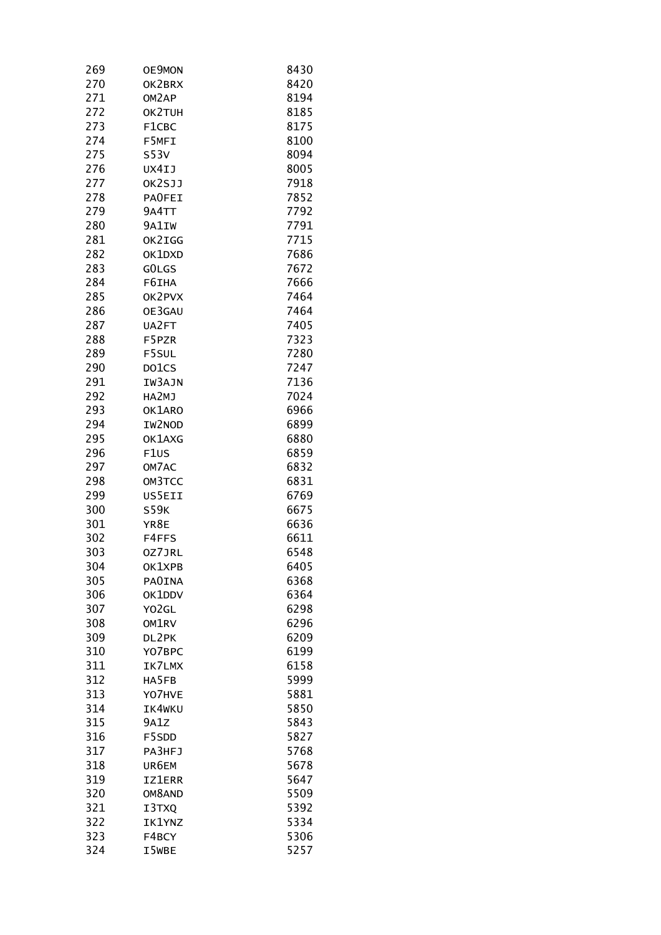| 269 | OE9MON             | 8430 |
|-----|--------------------|------|
| 270 | OK2BRX             | 8420 |
| 271 | OM <sub>2</sub> AP | 8194 |
| 272 | OK2TUH             | 8185 |
| 273 | F1CBC              | 8175 |
| 274 | F5MFI              | 8100 |
| 275 | S53V               | 8094 |
| 276 | UX4IJ              | 8005 |
| 277 | OK2SJJ             | 7918 |
| 278 | PAOFEI             | 7852 |
| 279 | 9A4TT              | 7792 |
| 280 | 9A1IW              | 7791 |
| 281 | OK2IGG             | 7715 |
| 282 | OK1DXD             | 7686 |
| 283 | GOLGS              | 7672 |
| 284 | F6IHA              | 7666 |
| 285 | OK2PVX             | 7464 |
| 286 | OE3GAU             | 7464 |
| 287 | UA2FT              | 7405 |
| 288 | F5PZR              | 7323 |
| 289 | F5SUL              | 7280 |
| 290 | DO1CS              | 7247 |
| 291 | IW3AJN             | 7136 |
| 292 | HA2MJ              | 7024 |
| 293 | OK1ARO             | 6966 |
| 294 | IW2NOD             | 6899 |
| 295 | OK1AXG             | 6880 |
| 296 | F1US               | 6859 |
| 297 | OM7AC              | 6832 |
| 298 | OM3TCC             | 6831 |
| 299 | US5EII             | 6769 |
| 300 | <b>S59K</b>        | 6675 |
| 301 | YR8E               | 6636 |
| 302 | F4FFS              | 6611 |
| 303 | 0Z7JRL             | 6548 |
| 304 | OK1XPB             | 6405 |
| 305 | <b>PAOINA</b>      | 6368 |
| 306 | OK1DDV             | 6364 |
| 307 | Y02GL              | 6298 |
| 308 | OM1RV              | 6296 |
| 309 | DL2PK              | 6209 |
| 310 | Y07BPC             | 6199 |
| 311 | IK7LMX             | 6158 |
| 312 | HA5FB              | 5999 |
| 313 | YO7HVE             | 5881 |
| 314 | IK4WKU             | 5850 |
| 315 | 9A1Z               | 5843 |
| 316 | F5SDD              | 5827 |
| 317 | PA3HFJ             | 5768 |
| 318 | UR6EM              | 5678 |
| 319 | <b>IZ1ERR</b>      | 5647 |
| 320 | OM8AND             | 5509 |
| 321 | I3TXQ              | 5392 |
| 322 | <b>IK1YNZ</b>      | 5334 |
| 323 | F4BCY              | 5306 |
| 324 | I5WBE              | 5257 |
|     |                    |      |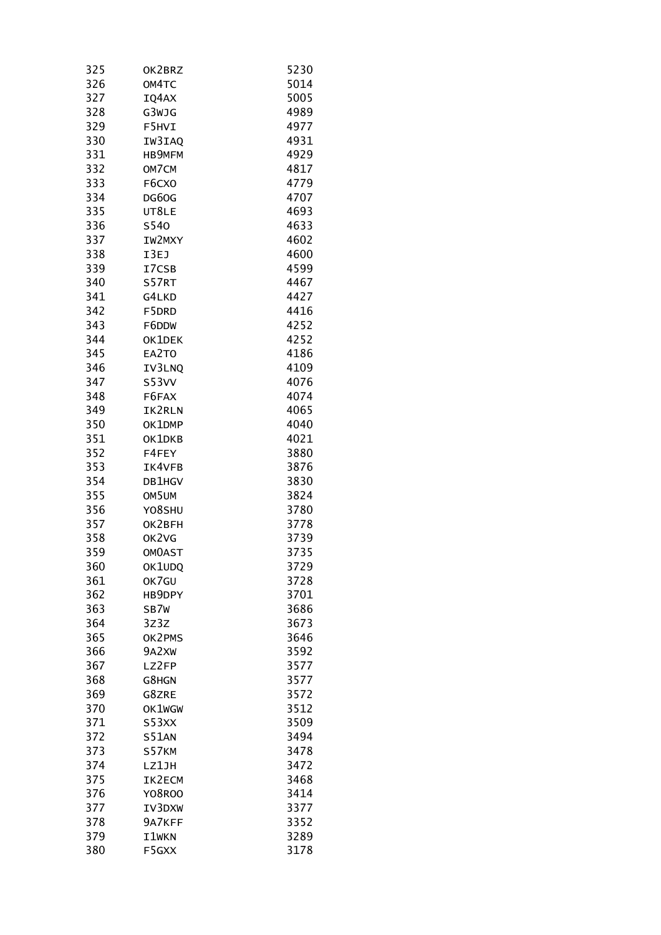| 325 | OK2BRZ        | 5230 |
|-----|---------------|------|
| 326 | OM4TC         | 5014 |
| 327 | IQ4AX         | 5005 |
| 328 | G3WJG         | 4989 |
| 329 | F5HVI         | 4977 |
| 330 | IW3IAQ        | 4931 |
| 331 | <b>НВ9МFМ</b> | 4929 |
| 332 | OM7CM         | 4817 |
| 333 | F6CX0         | 4779 |
| 334 | DG60G         | 4707 |
| 335 | UT8LE         | 4693 |
| 336 | <b>S540</b>   | 4633 |
| 337 | IW2MXY        | 4602 |
| 338 | I3EJ          | 4600 |
| 339 | I7CSB         | 4599 |
| 340 | S57RT         | 4467 |
| 341 | G4LKD         | 4427 |
| 342 | F5DRD         | 4416 |
| 343 | F6DDW         | 4252 |
| 344 | OK1DEK        | 4252 |
| 345 | EA2TO         | 4186 |
| 346 | IV3LNQ        | 4109 |
| 347 | S53VV         | 4076 |
| 348 | F6FAX         | 4074 |
| 349 | IK2RLN        | 4065 |
| 350 | OK1DMP        | 4040 |
| 351 | OK1DKB        | 4021 |
| 352 | F4FEY         | 3880 |
| 353 | IK4VFB        | 3876 |
| 354 | DB1HGV        | 3830 |
| 355 | OM5UM         | 3824 |
| 356 | Y08SHU        | 3780 |
| 357 | OK2BFH        | 3778 |
| 358 | OK2VG         | 3739 |
| 359 | <b>OMOAST</b> | 3735 |
| 360 | OK1UDQ        | 3729 |
| 361 | OK7GU         | 3728 |
| 362 | HB9DPY        | 3701 |
| 363 | SB7W          | 3686 |
| 364 | 3Z3Z          | 3673 |
| 365 | OK2PMS        | 3646 |
| 366 | 9A2XW         | 3592 |
| 367 | LZ2FP         | 3577 |
| 368 | G8HGN         | 3577 |
| 369 | G8ZRE         | 3572 |
| 370 | OK1WGW        | 3512 |
| 371 | S53XX         | 3509 |
| 372 | <b>S51AN</b>  | 3494 |
| 373 | S57KM         | 3478 |
| 374 | LZ1JH         | 3472 |
| 375 | IK2ECM        | 3468 |
| 376 | <b>Y08R00</b> | 3414 |
| 377 | IV3DXW        | 3377 |
| 378 | 9A7KFF        | 3352 |
| 379 | I1WKN         | 3289 |
| 380 | F5GXX         | 3178 |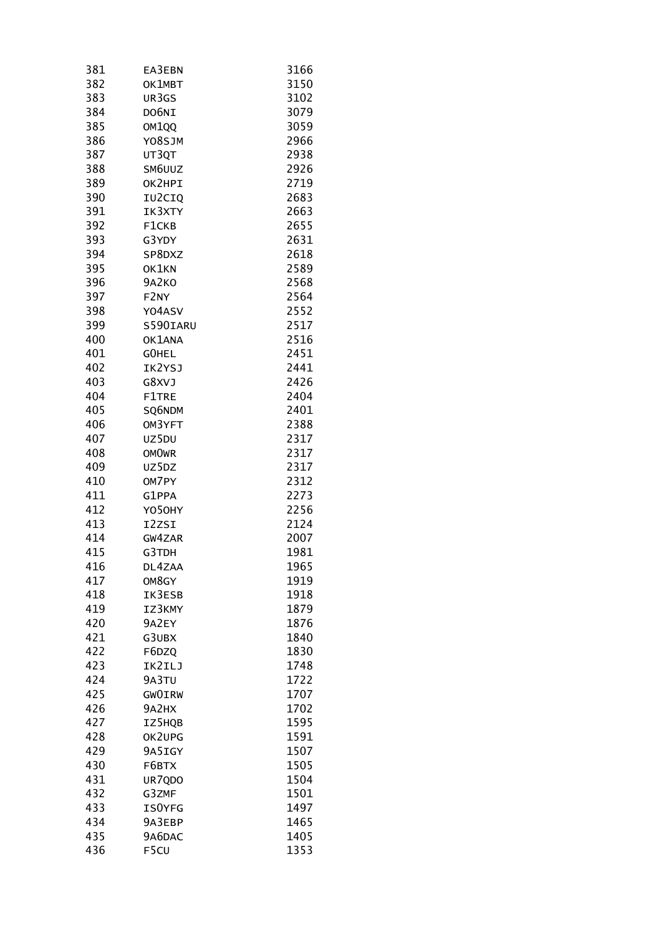| 381 | EA3EBN        | 3166 |
|-----|---------------|------|
| 382 | OK1MBT        | 3150 |
| 383 | UR3GS         | 3102 |
| 384 | DO6NI         | 3079 |
| 385 | OM1QQ         | 3059 |
| 386 | Y08SJM        | 2966 |
| 387 | UT3QT         | 2938 |
| 388 | SM6UUZ        | 2926 |
| 389 | OK2HPI        | 2719 |
| 390 | IU2CIQ        | 2683 |
| 391 | IK3XTY        | 2663 |
| 392 | F1CKB         | 2655 |
| 393 | G3YDY         | 2631 |
| 394 | SP8DXZ        | 2618 |
| 395 | OK1KN         | 2589 |
| 396 | <b>9A2KO</b>  | 2568 |
| 397 | F2NY          | 2564 |
| 398 | Y04ASV        | 2552 |
| 399 | S590IARU      | 2517 |
| 400 |               |      |
|     | OK1ANA        | 2516 |
| 401 | GOHEL         | 2451 |
| 402 | IK2YSJ        | 2441 |
| 403 | G8XVJ         | 2426 |
| 404 | F1TRE         | 2404 |
| 405 | SQ6NDM        | 2401 |
| 406 | OM3YFT        | 2388 |
| 407 | UZ5DU         | 2317 |
| 408 | <b>OMOWR</b>  | 2317 |
| 409 | UZ5DZ         | 2317 |
| 410 | OM7PY         | 2312 |
| 411 | G1PPA         | 2273 |
| 412 | Y050HY        | 2256 |
| 413 | I2ZSI         | 2124 |
| 414 | GW4ZAR        | 2007 |
| 415 | G3TDH         | 1981 |
| 416 | DL4ZAA        | 1965 |
| 417 | OM8GY         | 1919 |
| 418 | IK3ESB        | 1918 |
| 419 | IZ3KMY        | 1879 |
| 420 | 9A2EY         | 1876 |
| 421 | G3UBX         | 1840 |
| 422 | F6DZQ         | 1830 |
| 423 | IK2ILJ        | 1748 |
| 424 | 9A3TU         | 1722 |
| 425 | <b>GWOIRW</b> | 1707 |
| 426 | 9A2HX         | 1702 |
| 427 | IZ5HQB        | 1595 |
| 428 | OK2UPG        | 1591 |
| 429 | 9A5IGY        | 1507 |
| 430 | F6BTX         | 1505 |
| 431 | UR7QDO        | 1504 |
| 432 | G3ZMF         | 1501 |
| 433 | <b>ISOYFG</b> | 1497 |
| 434 | 9A3EBP        | 1465 |
| 435 | 9A6DAC        | 1405 |
| 436 | F5CU          | 1353 |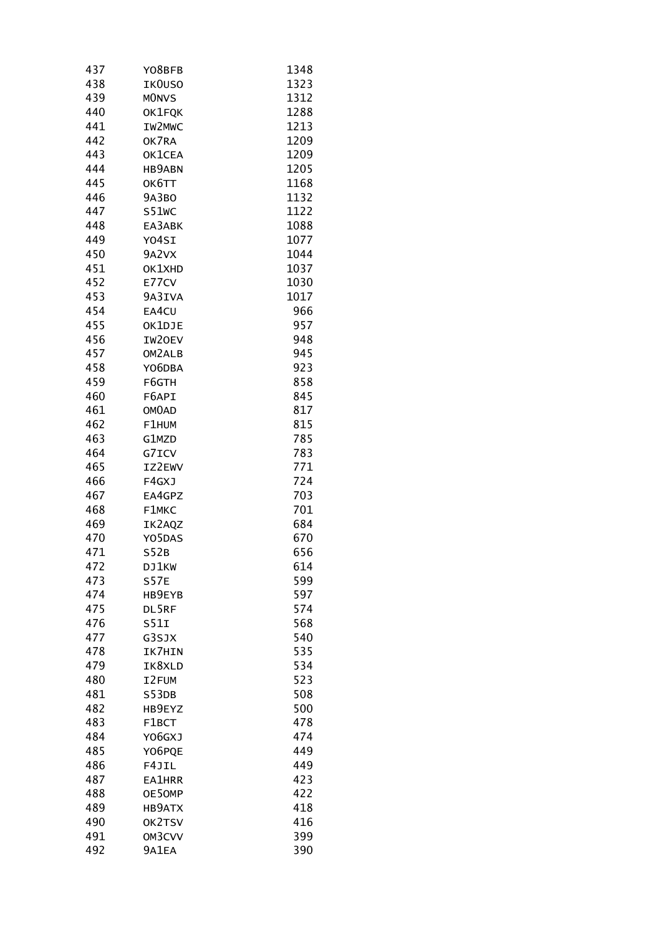| 437 | Y08BFB             | 1348 |
|-----|--------------------|------|
| 438 | IK0USO             | 1323 |
| 439 | <b>MONVS</b>       | 1312 |
| 440 | OK1FQK             | 1288 |
| 441 | IW2MWC             | 1213 |
| 442 | OK7RA              | 1209 |
| 443 | OK1CEA             | 1209 |
| 444 | <b>HB9ABN</b>      | 1205 |
| 445 | OK6TT              | 1168 |
| 446 | <b>9A3BO</b>       | 1132 |
| 447 | S51WC              | 1122 |
| 448 | EA3ABK             | 1088 |
| 449 | Y04SI              | 1077 |
| 450 | 9A2VX              | 1044 |
|     |                    |      |
| 451 | OK1XHD             | 1037 |
| 452 | E77CV              | 1030 |
| 453 | 9A3IVA             | 1017 |
| 454 | EA4CU              | 966  |
| 455 | OK1DJE             | 957  |
| 456 | IW20EV             | 948  |
| 457 | OM2ALB             | 945  |
| 458 | YO6DBA             | 923  |
| 459 | F6GTH              | 858  |
| 460 | F6API              | 845  |
| 461 | OM <sub>O</sub> AD | 817  |
| 462 | F1HUM              | 815  |
| 463 | G1MZD              | 785  |
| 464 | G7ICV              | 783  |
| 465 | IZ2EWV             | 771  |
| 466 | F4GXJ              | 724  |
| 467 | EA4GPZ             | 703  |
| 468 | F1MKC              | 701  |
| 469 | IK2AQZ             | 684  |
| 470 | Y05DAS             | 670  |
| 471 | S52B               | 656  |
| 472 | DJ1KW              | 614  |
| 473 | <b>S57E</b>        | 599  |
| 474 | HB9EYB             | 597  |
| 475 | DL5RF              | 574  |
| 476 | S51I               | 568  |
| 477 | G3SJX              | 540  |
|     |                    |      |
| 478 | IK7HIN             | 535  |
| 479 | IK8XLD             | 534  |
| 480 | I2FUM              | 523  |
| 481 | S53DB              | 508  |
| 482 | HB9EYZ             | 500  |
| 483 | F1BCT              | 478  |
| 484 | Y06GXJ             | 474  |
| 485 | Y06PQE             | 449  |
| 486 | F4JIL              | 449  |
| 487 | EA1HRR             | 423  |
| 488 | OE50MP             | 422  |
| 489 | HB9ATX             | 418  |
| 490 | OK2TSV             | 416  |
| 491 | OM3CVV             | 399  |
| 492 | 9A1EA              | 390  |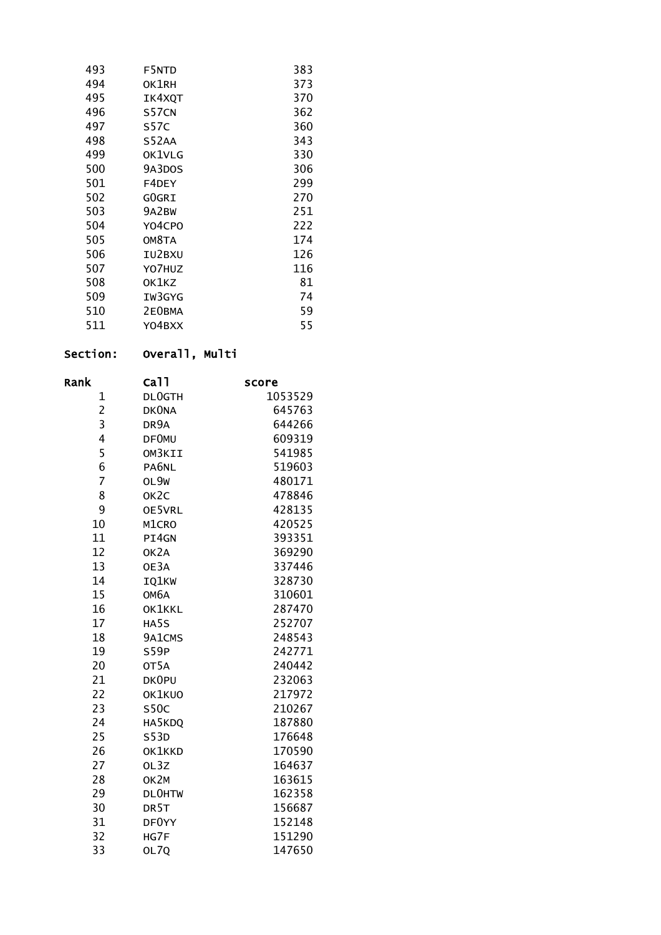| 493 | F5NTD  | 383 |
|-----|--------|-----|
| 494 | OK1RH  | 373 |
| 495 | IK4XQT | 370 |
| 496 | S57CN  | 362 |
| 497 | S57C   | 360 |
| 498 | S52AA  | 343 |
| 499 | OK1VLG | 330 |
| 500 | 9A3DOS | 306 |
| 501 | F4DEY  | 299 |
| 502 | GOGRI  | 270 |
| 503 | 9A2BW  | 251 |
| 504 | Y04CPO | 222 |
| 505 | OM8TA  | 174 |
| 506 | IU2BXU | 126 |
| 507 | YO7HUZ | 116 |
| 508 | OK1KZ  | 81  |
| 509 | IW3GYG | 74  |
| 510 | 2E0BMA | 59  |
| 511 | Y04BXX | 55  |
|     |        |     |

# Section: Overall, Multi

| Rank           | ca11              |                  |
|----------------|-------------------|------------------|
| 1              | <b>DLOGTH</b>     | score<br>1053529 |
| $\overline{c}$ | <b>DKONA</b>      | 645763           |
| 3              | DR9A              | 644266           |
| 4              | <b>DF0MU</b>      | 609319           |
| 5              | OM3KII            | 541985           |
| 6              | PA6NL             | 519603           |
| 7              | OL9W              | 480171           |
| 8              | OK <sub>2</sub> C | 478846           |
| 9              | OE5VRL            | 428135           |
| 10             | M1CRO             | 420525           |
| 11             | PI4GN             | 393351           |
| 12             | OK <sub>2</sub> A | 369290           |
| 13             | OE3A              | 337446           |
| 14             | IQ1KW             | 328730           |
| 15             | ОМ6А              | 310601           |
| 16             | OK1KKL            | 287470           |
| 17             | HA5S              | 252707           |
| 18             | 9A1CMS            | 248543           |
| 19             | S59P              | 242771           |
| 20             | OT <sub>5</sub> A | 240442           |
| 21             | DK0PU             | 232063           |
| 22             | OK1KUO            | 217972           |
| 23             | <b>S50C</b>       | 210267           |
| 24             | HA5KDQ            | 187880           |
| 25             | S53D              | 176648           |
| 26             | OK1KKD            | 170590           |
| 27             | OL3Z              | 164637           |
| 28             | OK2M              | 163615           |
| 29             | <b>DLOHTW</b>     | 162358           |
| 30             | DR <sub>5</sub> T | 156687           |
| 31             | DF0YY             | 152148           |
| 32             | HG7F              | 151290           |
| 33             | OL70              | 147650           |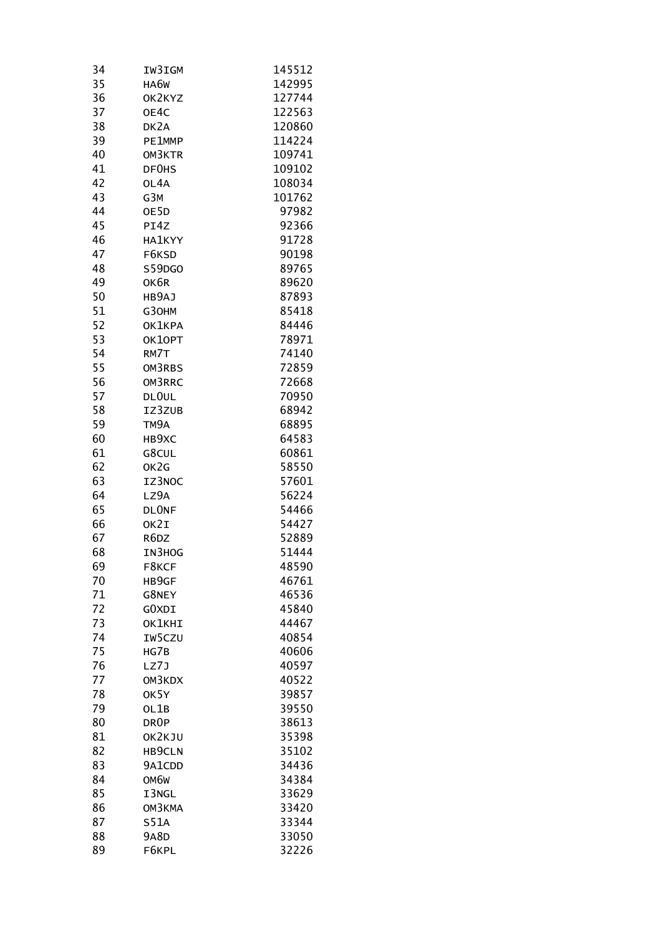| 34 | IW3IGM            | 145512 |
|----|-------------------|--------|
| 35 | HA6W              | 142995 |
| 36 | OK2KYZ            | 127744 |
| 37 | OE4C              | 122563 |
| 38 | DK <sub>2</sub> A | 120860 |
| 39 | PE1MMP            | 114224 |
| 40 | OM3KTR            | 109741 |
| 41 | DF0HS             | 109102 |
| 42 | OL4A              | 108034 |
| 43 | G3M               | 101762 |
| 44 | OE5D              | 97982  |
| 45 | PI4Z              | 92366  |
| 46 |                   | 91728  |
|    | HA1KYY            |        |
| 47 | F6KSD             | 90198  |
| 48 | S59DGO            | 89765  |
| 49 | OK6R              | 89620  |
| 50 | HB9AJ             | 87893  |
| 51 | G30HM             | 85418  |
| 52 | OK1KPA            | 84446  |
| 53 | OK10PT            | 78971  |
| 54 | RM7T              | 74140  |
| 55 | OM3RBS            | 72859  |
| 56 | OM3RRC            | 72668  |
| 57 | DLOUL             | 70950  |
| 58 | IZ3ZUB            | 68942  |
| 59 | TM9A              | 68895  |
| 60 | HB9XC             | 64583  |
| 61 | G8CUL             | 60861  |
| 62 | OK2G              | 58550  |
| 63 | IZ3NOC            | 57601  |
| 64 | LZ9A              | 56224  |
| 65 | <b>DLONF</b>      | 54466  |
| 66 | OK2I              | 54427  |
| 67 | R6DZ              | 52889  |
| 68 | IN3HOG            | 51444  |
| 69 | F8KCF             | 48590  |
| 70 | HB9GF             | 46761  |
| 71 | G8NEY             | 46536  |
| 72 |                   | 45840  |
| 73 | GOXDI             |        |
|    | OK1KHI            | 44467  |
| 74 | IW5CZU            | 40854  |
| 75 | HG7B              | 40606  |
| 76 | LZ7J              | 40597  |
| 77 | OM3KDX            | 40522  |
| 78 | OK5Y              | 39857  |
| 79 | OL1B              | 39550  |
| 80 | DR <sub>OP</sub>  | 38613  |
| 81 | OK2KJU            | 35398  |
| 82 | HB9CLN            | 35102  |
| 83 | 9A1CDD            | 34436  |
| 84 | OM6W              | 34384  |
| 85 | I3NGL             | 33629  |
| 86 | OM3KMA            | 33420  |
| 87 | S51A              | 33344  |
| 88 | <b>9A8D</b>       | 33050  |
| 89 | F6KPL             | 32226  |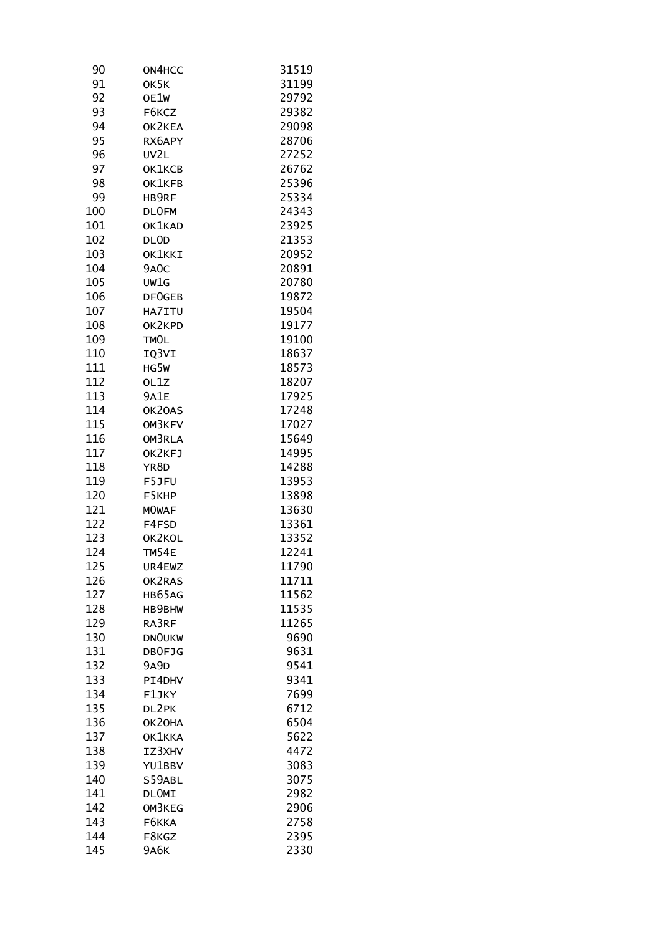| ON4HCC       | 31519                                                                                                                                                                                                                                                                                                                                                                         |
|--------------|-------------------------------------------------------------------------------------------------------------------------------------------------------------------------------------------------------------------------------------------------------------------------------------------------------------------------------------------------------------------------------|
| OK5K         | 31199                                                                                                                                                                                                                                                                                                                                                                         |
| OE1W         | 29792                                                                                                                                                                                                                                                                                                                                                                         |
| F6KCZ        | 29382                                                                                                                                                                                                                                                                                                                                                                         |
| OK2KEA       | 29098                                                                                                                                                                                                                                                                                                                                                                         |
|              | 28706                                                                                                                                                                                                                                                                                                                                                                         |
|              | 27252                                                                                                                                                                                                                                                                                                                                                                         |
|              | 26762                                                                                                                                                                                                                                                                                                                                                                         |
|              | 25396                                                                                                                                                                                                                                                                                                                                                                         |
|              | 25334                                                                                                                                                                                                                                                                                                                                                                         |
|              | 24343                                                                                                                                                                                                                                                                                                                                                                         |
|              | 23925                                                                                                                                                                                                                                                                                                                                                                         |
|              | 21353                                                                                                                                                                                                                                                                                                                                                                         |
|              | 20952                                                                                                                                                                                                                                                                                                                                                                         |
|              | 20891                                                                                                                                                                                                                                                                                                                                                                         |
|              | 20780                                                                                                                                                                                                                                                                                                                                                                         |
|              | 19872                                                                                                                                                                                                                                                                                                                                                                         |
|              | 19504                                                                                                                                                                                                                                                                                                                                                                         |
|              |                                                                                                                                                                                                                                                                                                                                                                               |
|              | 19177                                                                                                                                                                                                                                                                                                                                                                         |
|              | 19100                                                                                                                                                                                                                                                                                                                                                                         |
|              | 18637                                                                                                                                                                                                                                                                                                                                                                         |
|              | 18573                                                                                                                                                                                                                                                                                                                                                                         |
|              | 18207                                                                                                                                                                                                                                                                                                                                                                         |
|              | 17925                                                                                                                                                                                                                                                                                                                                                                         |
|              | 17248                                                                                                                                                                                                                                                                                                                                                                         |
|              | 17027                                                                                                                                                                                                                                                                                                                                                                         |
|              | 15649                                                                                                                                                                                                                                                                                                                                                                         |
|              | 14995                                                                                                                                                                                                                                                                                                                                                                         |
|              | 14288                                                                                                                                                                                                                                                                                                                                                                         |
|              | 13953                                                                                                                                                                                                                                                                                                                                                                         |
|              | 13898                                                                                                                                                                                                                                                                                                                                                                         |
|              | 13630                                                                                                                                                                                                                                                                                                                                                                         |
|              | 13361                                                                                                                                                                                                                                                                                                                                                                         |
|              | 13352                                                                                                                                                                                                                                                                                                                                                                         |
|              | 12241                                                                                                                                                                                                                                                                                                                                                                         |
| UR4EWZ       | 11790                                                                                                                                                                                                                                                                                                                                                                         |
|              | 11711                                                                                                                                                                                                                                                                                                                                                                         |
|              | 11562                                                                                                                                                                                                                                                                                                                                                                         |
|              | 11535                                                                                                                                                                                                                                                                                                                                                                         |
|              | 11265                                                                                                                                                                                                                                                                                                                                                                         |
|              | 9690                                                                                                                                                                                                                                                                                                                                                                          |
| DB0FJG       | 9631                                                                                                                                                                                                                                                                                                                                                                          |
| <b>9A9D</b>  | 9541                                                                                                                                                                                                                                                                                                                                                                          |
| PI4DHV       | 9341                                                                                                                                                                                                                                                                                                                                                                          |
| F1JKY        | 7699                                                                                                                                                                                                                                                                                                                                                                          |
| DL2PK        | 6712                                                                                                                                                                                                                                                                                                                                                                          |
| OK20HA       | 6504                                                                                                                                                                                                                                                                                                                                                                          |
| OK1KKA       | 5622                                                                                                                                                                                                                                                                                                                                                                          |
| IZ3XHV       | 4472                                                                                                                                                                                                                                                                                                                                                                          |
| YU1BBV       | 3083                                                                                                                                                                                                                                                                                                                                                                          |
| S59ABL       | 3075                                                                                                                                                                                                                                                                                                                                                                          |
| <b>DLOMI</b> | 2982                                                                                                                                                                                                                                                                                                                                                                          |
| OM3KEG       | 2906                                                                                                                                                                                                                                                                                                                                                                          |
| F6KKA        | 2758                                                                                                                                                                                                                                                                                                                                                                          |
| F8KGZ        | 2395                                                                                                                                                                                                                                                                                                                                                                          |
|              |                                                                                                                                                                                                                                                                                                                                                                               |
|              | RX6APY<br>UV2L<br>OK1KCB<br>OK1KFB<br>HB9RF<br>DLOFM<br>OK1KAD<br>DL <sub>OD</sub><br>OK1KKI<br>9A <sub>0</sub> C<br>UW1G<br>DF0GEB<br>HA7ITU<br>OK2KPD<br>TMOL<br>IQ3VI<br>HG5W<br>OL1Z<br><b>9A1E</b><br>OK20AS<br>OM3KFV<br>OM3RLA<br>OK2KFJ<br>YR8D<br>F5JFU<br>F5KHP<br><b>MOWAF</b><br>F4FSD<br>OK2KOL<br>TM54E<br>OK2RAS<br>HB65AG<br>HB9BHW<br>RA3RF<br><b>DNOUKW</b> |